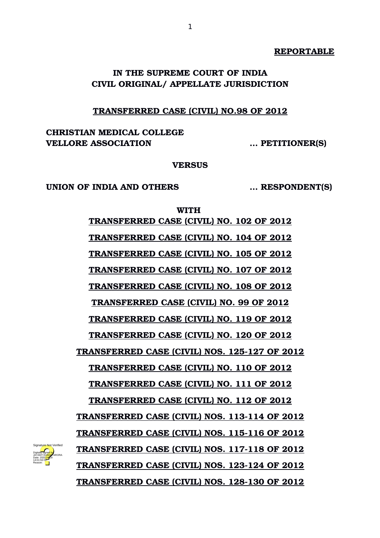## **REPORTABLE**

# **IN THE SUPREME COURT OF INDIA CIVIL ORIGINAL/ APPELLATE JURISDICTION**

1

# **TRANSFERRED CASE (CIVIL) NO.98 OF 2012**

**CHRISTIAN MEDICAL COLLEGE VELLORE ASSOCIATION … PETITIONER(S)**

#### **VERSUS**

**UNION OF INDIA AND OTHERS … RESPONDENT(S)**

Digitally signed by

Date: 2020.04.29 14:01:59 IST Reason:

**WITH TRANSFERRED CASE (CIVIL) NO. 102 OF 2012 TRANSFERRED CASE (CIVIL) NO. 104 OF 2012 TRANSFERRED CASE (CIVIL) NO. 105 OF 2012 TRANSFERRED CASE (CIVIL) NO. 107 OF 2012 TRANSFERRED CASE (CIVIL) NO. 108 OF 2012 TRANSFERRED CASE (CIVIL) NO. 99 OF 2012 TRANSFERRED CASE (CIVIL) NO. 119 OF 2012 TRANSFERRED CASE (CIVIL) NO. 120 OF 2012 TRANSFERRED CASE (CIVIL) NOS. 125127 OF 2012 TRANSFERRED CASE (CIVIL) NO. 110 OF 2012 TRANSFERRED CASE (CIVIL) NO. 111 OF 2012 TRANSFERRED CASE (CIVIL) NO. 112 OF 2012 TRANSFERRED CASE (CIVIL) NOS. 113114 OF 2012 TRANSFERRED CASE (CIVIL) NOS. 115116 OF 2012 TRANSFERRED CASE (CIVIL) NOS. 117118 OF 2012 TRANSFERRED CASE (CIVIL) NOS. 123124 OF 2012 TRANSFERRED CASE (CIVIL) NOS. 128130 OF 2012** JAYANT K<mark>UMAR</mark> ARORA Signature Not Verified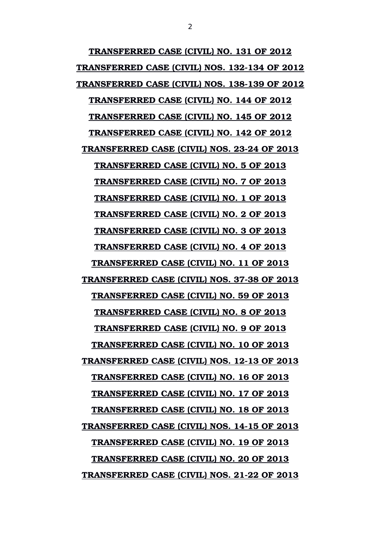**TRANSFERRED CASE (CIVIL) NO. 131 OF 2012 TRANSFERRED CASE (CIVIL) NOS. 132134 OF 2012 TRANSFERRED CASE (CIVIL) NOS. 138139 OF 2012 TRANSFERRED CASE (CIVIL) NO. 144 OF 2012 TRANSFERRED CASE (CIVIL) NO. 145 OF 2012 TRANSFERRED CASE (CIVIL) NO. 142 OF 2012** TRANSFERRED CASE (CIVIL) NOS. 23-24 OF 2013 **TRANSFERRED CASE (CIVIL) NO. 5 OF 2013 TRANSFERRED CASE (CIVIL) NO. 7 OF 2013 TRANSFERRED CASE (CIVIL) NO. 1 OF 2013 TRANSFERRED CASE (CIVIL) NO. 2 OF 2013 TRANSFERRED CASE (CIVIL) NO. 3 OF 2013 TRANSFERRED CASE (CIVIL) NO. 4 OF 2013 TRANSFERRED CASE (CIVIL) NO. 11 OF 2013** TRANSFERRED CASE (CIVIL) NOS. 37-38 OF 2013 **TRANSFERRED CASE (CIVIL) NO. 59 OF 2013 TRANSFERRED CASE (CIVIL) NO. 8 OF 2013 TRANSFERRED CASE (CIVIL) NO. 9 OF 2013 TRANSFERRED CASE (CIVIL) NO. 10 OF 2013** TRANSFERRED CASE (CIVIL) NOS. 12-13 OF 2013 **TRANSFERRED CASE (CIVIL) NO. 16 OF 2013 TRANSFERRED CASE (CIVIL) NO. 17 OF 2013 TRANSFERRED CASE (CIVIL) NO. 18 OF 2013** TRANSFERRED CASE (CIVIL) NOS. 14-15 OF 2013 **TRANSFERRED CASE (CIVIL) NO. 19 OF 2013 TRANSFERRED CASE (CIVIL) NO. 20 OF 2013 TRANSFERRED CASE (CIVIL) NOS. 21-22 OF 2013**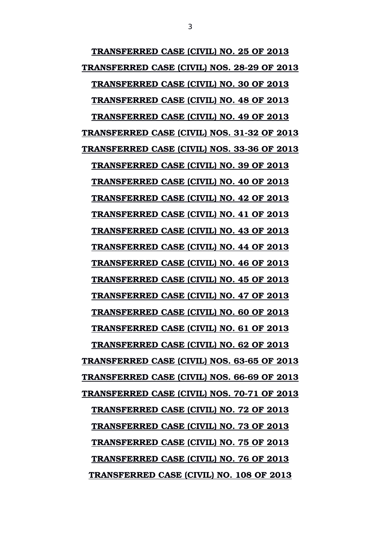**TRANSFERRED CASE (CIVIL) NO. 25 OF 2013 TRANSFERRED CASE (CIVIL) NOS. 28-29 OF 2013 TRANSFERRED CASE (CIVIL) NO. 30 OF 2013 TRANSFERRED CASE (CIVIL) NO. 48 OF 2013 TRANSFERRED CASE (CIVIL) NO. 49 OF 2013 TRANSFERRED CASE (CIVIL) NOS. 31-32 OF 2013** TRANSFERRED CASE (CIVIL) NOS. 33-36 OF 2013 **TRANSFERRED CASE (CIVIL) NO. 39 OF 2013 TRANSFERRED CASE (CIVIL) NO. 40 OF 2013 TRANSFERRED CASE (CIVIL) NO. 42 OF 2013 TRANSFERRED CASE (CIVIL) NO. 41 OF 2013 TRANSFERRED CASE (CIVIL) NO. 43 OF 2013 TRANSFERRED CASE (CIVIL) NO. 44 OF 2013 TRANSFERRED CASE (CIVIL) NO. 46 OF 2013 TRANSFERRED CASE (CIVIL) NO. 45 OF 2013 TRANSFERRED CASE (CIVIL) NO. 47 OF 2013 TRANSFERRED CASE (CIVIL) NO. 60 OF 2013 TRANSFERRED CASE (CIVIL) NO. 61 OF 2013 TRANSFERRED CASE (CIVIL) NO. 62 OF 2013** TRANSFERRED CASE (CIVIL) NOS. 63-65 OF 2013 **TRANSFERRED CASE (CIVIL) NOS. 66-69 OF 2013** TRANSFERRED CASE (CIVIL) NOS. 70-71 OF 2013 **TRANSFERRED CASE (CIVIL) NO. 72 OF 2013 TRANSFERRED CASE (CIVIL) NO. 73 OF 2013 TRANSFERRED CASE (CIVIL) NO. 75 OF 2013 TRANSFERRED CASE (CIVIL) NO. 76 OF 2013 TRANSFERRED CASE (CIVIL) NO. 108 OF 2013**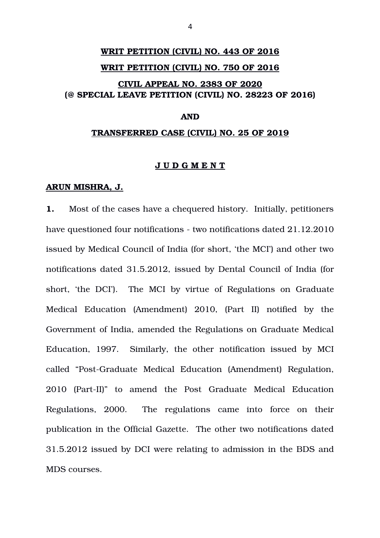# **WRIT PETITION (CIVIL) NO. 443 OF 2016 WRIT PETITION (CIVIL) NO. 750 OF 2016 CIVIL APPEAL NO. 2383 OF 2020 (@ SPECIAL LEAVE PETITION (CIVIL) NO. 28223 OF 2016)**

# **AND**

#### **TRANSFERRED CASE (CIVIL) NO. 25 OF 2019**

#### **J U D G M E N T**

#### **ARUN MISHRA, J.**

**1.** Most of the cases have a chequered history. Initially, petitioners have questioned four notifications - two notifications dated 21.12.2010 issued by Medical Council of India (for short, 'the MCI') and other two notifications dated 31.5.2012, issued by Dental Council of India (for short, 'the DCI'). The MCI by virtue of Regulations on Graduate Medical Education (Amendment) 2010, (Part II) notified by the Government of India, amended the Regulations on Graduate Medical Education, 1997. Similarly, the other notification issued by MCI called "Post-Graduate Medical Education (Amendment) Regulation, 2010 (Part-II)" to amend the Post Graduate Medical Education Regulations, 2000. The regulations came into force on their publication in the Official Gazette. The other two notifications dated 31.5.2012 issued by DCI were relating to admission in the BDS and MDS courses.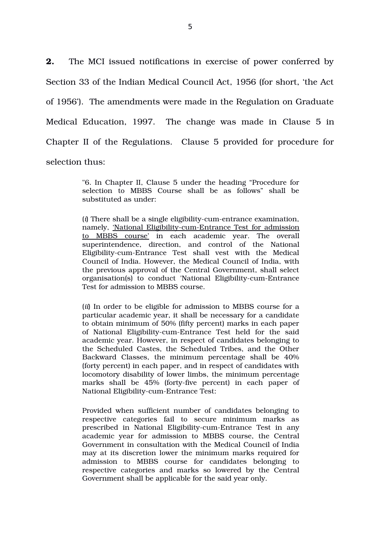**2.** The MCI issued notifications in exercise of power conferred by Section 33 of the Indian Medical Council Act, 1956 (for short, 'the Act of 1956'). The amendments were made in the Regulation on Graduate Medical Education, 1997. The change was made in Clause 5 in Chapter II of the Regulations. Clause 5 provided for procedure for selection thus:

> "6. In Chapter II, Clause 5 under the heading "Procedure for selection to MBBS Course shall be as follows" shall be substituted as under:

> (*i*) There shall be a single eligibility-cum-entrance examination, namely, 'National Eligibility-cum-Entrance Test for admission to MBBS course' in each academic year. The overall superintendence, direction, and control of the National Eligibility-cum-Entrance Test shall vest with the Medical Council of India. However, the Medical Council of India, with the previous approval of the Central Government, shall select organisation(s) to conduct 'National Eligibility-cum-Entrance Test for admission to MBBS course.

> (*ii*) In order to be eligible for admission to MBBS course for a particular academic year, it shall be necessary for a candidate to obtain minimum of 50% (fifty percent) marks in each paper of National Eligibility-cum-Entrance Test held for the said academic year. However, in respect of candidates belonging to the Scheduled Castes, the Scheduled Tribes, and the Other Backward Classes, the minimum percentage shall be 40% (forty percent) in each paper, and in respect of candidates with locomotory disability of lower limbs, the minimum percentage marks shall be 45% (forty-five percent) in each paper of National Eligibility-cum-Entrance Test:

> Provided when sufficient number of candidates belonging to respective categories fail to secure minimum marks as prescribed in National Eligibility-cum-Entrance Test in any academic year for admission to MBBS course, the Central Government in consultation with the Medical Council of India may at its discretion lower the minimum marks required for admission to MBBS course for candidates belonging to respective categories and marks so lowered by the Central Government shall be applicable for the said year only.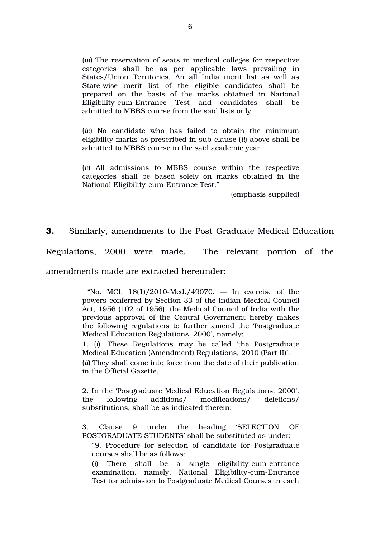(*iii*) The reservation of seats in medical colleges for respective categories shall be as per applicable laws prevailing in States/Union Territories. An all India merit list as well as State-wise merit list of the eligible candidates shall be prepared on the basis of the marks obtained in National Eligibility-cum-Entrance Test and candidates shall be admitted to MBBS course from the said lists only.

(*iv*) No candidate who has failed to obtain the minimum eligibility marks as prescribed in sub-clause (*ii*) above shall be admitted to MBBS course in the said academic year.

(*v*) All admissions to MBBS course within the respective categories shall be based solely on marks obtained in the National Eligibility-cum-Entrance Test."

(emphasis supplied)

**3.** Similarly, amendments to the Post Graduate Medical Education

Regulations, 2000 were made. The relevant portion of the

amendments made are extracted hereunder:

"No. MCI.  $18(1)/2010$ -Med./49070.  $-$  In exercise of the powers conferred by Section 33 of the Indian Medical Council Act, 1956 (102 of 1956), the Medical Council of India with the previous approval of the Central Government hereby makes the following regulations to further amend the 'Postgraduate Medical Education Regulations, 2000', namely:

1. (*i*). These Regulations may be called 'the Postgraduate Medical Education (Amendment) Regulations, 2010 (Part II)'. (*ii*) They shall come into force from the date of their publication in the Official Gazette.

2. In the 'Postgraduate Medical Education Regulations, 2000', the following additions/ modifications/ deletions/ substitutions, shall be as indicated therein:

3. Clause 9 under the heading 'SELECTION OF POSTGRADUATE STUDENTS' shall be substituted as under:

"9. Procedure for selection of candidate for Postgraduate courses shall be as follows:

(*i*) There shall be a single eligibility-cum-entrance examination, namely, National Eligibility-cum-Entrance Test for admission to Postgraduate Medical Courses in each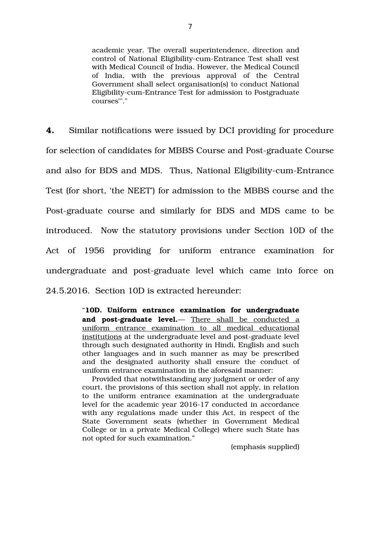academic year. The overall superintendence, direction and control of National Eligibility-cum-Entrance Test shall vest with Medical Council of India. However, the Medical Council of India, with the previous approval of the Central Government shall select organisation(s) to conduct National Eligibility-cum-Entrance Test for admission to Postgraduate courses"'."

**4.** Similar notifications were issued by DCI providing for procedure for selection of candidates for MBBS Course and Post-graduate Course and also for BDS and MDS. Thus, National Eligibility-cum-Entrance Test (for short, 'the NEET') for admission to the MBBS course and the Post-graduate course and similarly for BDS and MDS came to be introduced. Now the statutory provisions under Section 10D of the Act of 1956 providing for uniform entrance examination for undergraduate and post-graduate level which came into force on 24.5.2016. Section 10D is extracted hereunder:

> "**10D. Uniform entrance examination for undergraduate** and post-graduate level.— There shall be conducted a uniform entrance examination to all medical educational institutions at the undergraduate level and post-graduate level through such designated authority in Hindi, English and such other languages and in such manner as may be prescribed and the designated authority shall ensure the conduct of uniform entrance examination in the aforesaid manner:

> Provided that notwithstanding any judgment or order of any court, the provisions of this section shall not apply, in relation to the uniform entrance examination at the undergraduate level for the academic year 2016-17 conducted in accordance with any regulations made under this Act, in respect of the State Government seats (whether in Government Medical College or in a private Medical College) where such State has not opted for such examination."

> > (emphasis supplied)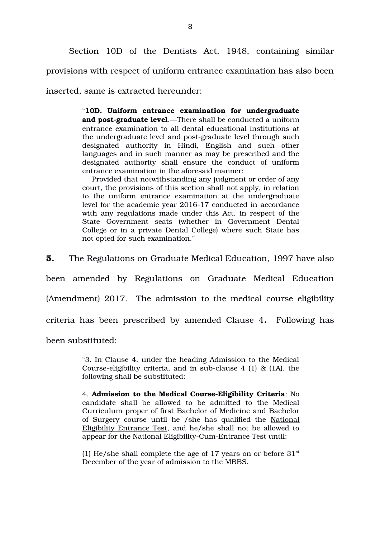Section 10D of the Dentists Act, 1948, containing similar provisions with respect of uniform entrance examination has also been

inserted, same is extracted hereunder:

"**10D. Uniform entrance examination for undergraduate** and post-graduate level.—There shall be conducted a uniform entrance examination to all dental educational institutions at the undergraduate level and post-graduate level through such designated authority in Hindi, English and such other languages and in such manner as may be prescribed and the designated authority shall ensure the conduct of uniform entrance examination in the aforesaid manner:

Provided that notwithstanding any judgment or order of any court, the provisions of this section shall not apply, in relation to the uniform entrance examination at the undergraduate level for the academic year 2016-17 conducted in accordance with any regulations made under this Act, in respect of the State Government seats (whether in Government Dental College or in a private Dental College) where such State has not opted for such examination."

**5.** The Regulations on Graduate Medical Education, 1997 have also

been amended by Regulations on Graduate Medical Education

(Amendment) 2017. The admission to the medical course eligibility

criteria has been prescribed by amended Clause 4**.** Following has

been substituted:

"3. In Clause 4, under the heading Admission to the Medical Course-eligibility criteria, and in sub-clause 4 (1)  $\&$  (1A), the following shall be substituted:

4. **Admission to the Medical Course-Eligibility Criteria**: No candidate shall be allowed to be admitted to the Medical Curriculum proper of first Bachelor of Medicine and Bachelor of Surgery course until he /she has qualified the National Eligibility Entrance Test, and he/she shall not be allowed to appear for the National Eligibility-Cum-Entrance Test until:

(1) He/she shall complete the age of 17 years on or before  $31<sup>st</sup>$ December of the year of admission to the MBBS.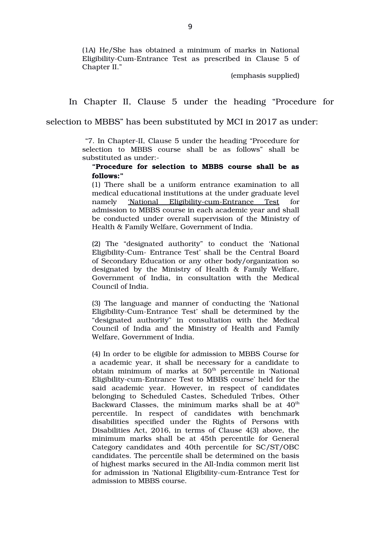(1A) He/She has obtained a minimum of marks in National Eligibility-Cum-Entrance Test as prescribed in Clause 5 of Chapter II."

(emphasis supplied)

In Chapter II, Clause 5 under the heading "Procedure for

selection to MBBS" has been substituted by MCI in 2017 as under:

"7. In Chapter-II, Clause 5 under the heading "Procedure for selection to MBBS course shall be as follows" shall be substituted as under:

## **"Procedure for selection to MBBS course shall be as follows:"**

(1) There shall be a uniform entrance examination to all medical educational institutions at the under graduate level namely 'National Eligibility-cum-Entrance Test for admission to MBBS course in each academic year and shall be conducted under overall supervision of the Ministry of Health & Family Welfare, Government of India.

(2) The "designated authority" to conduct the 'National Eligibility-Cum- Entrance Test' shall be the Central Board of Secondary Education or any other body/organization so designated by the Ministry of Health & Family Welfare, Government of India, in consultation with the Medical Council of India.

(3) The language and manner of conducting the 'National Eligibility-Cum-Entrance Test' shall be determined by the "designated authority" in consultation with the Medical Council of India and the Ministry of Health and Family Welfare, Government of India.

(4) In order to be eligible for admission to MBBS Course for a academic year, it shall be necessary for a candidate to obtain minimum of marks at 50<sup>th</sup> percentile in 'National Eligibility-cum-Entrance Test to MBBS course' held for the said academic vear. However, in respect of candidates belonging to Scheduled Castes, Scheduled Tribes, Other Backward Classes, the minimum marks shall be at 40<sup>th</sup> percentile. In respect of candidates with benchmark disabilities specified under the Rights of Persons with Disabilities Act, 2016, in terms of Clause 4(3) above, the minimum marks shall be at 45th percentile for General Category candidates and 40th percentile for SC/ST/OBC candidates. The percentile shall be determined on the basis of highest marks secured in the All-India common merit list for admission in 'National Eligibility-cum-Entrance Test for admission to MBBS course.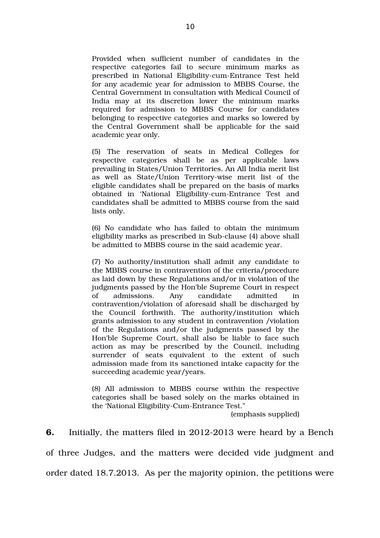Provided when sufficient number of candidates in the respective categories fail to secure minimum marks as prescribed in National Eligibility-cum-Entrance Test held for any academic year for admission to MBBS Course, the Central Government in consultation with Medical Council of India may at its discretion lower the minimum marks required for admission to MBBS Course for candidates belonging to respective categories and marks so lowered by the Central Government shall be applicable for the said academic year only.

(5) The reservation of seats in Medical Colleges for respective categories shall be as per applicable laws prevailing in States/Union Territories. An All India merit list as well as State/Union Territory-wise merit list of the eligible candidates shall be prepared on the basis of marks obtained in 'National Eligibility-cum-Entrance Test and candidates shall be admitted to MBBS course from the said lists only.

(6) No candidate who has failed to obtain the minimum eligibility marks as prescribed in Sub-clause (4) above shall be admitted to MBBS course in the said academic year.

(7) No authority/institution shall admit any candidate to the MBBS course in contravention of the criteria/procedure as laid down by these Regulations and/or in violation of the judgments passed by the Hon'ble Supreme Court in respect of admissions. Any candidate admitted in contravention/violation of aforesaid shall be discharged by the Council forthwith. The authority/institution which grants admission to any student in contravention /violation of the Regulations and/or the judgments passed by the Hon'ble Supreme Court, shall also be liable to face such action as may be prescribed by the Council, including surrender of seats equivalent to the extent of such admission made from its sanctioned intake capacity for the succeeding academic year/years.

(8) All admission to MBBS course within the respective categories shall be based solely on the marks obtained in the 'National Eligibility-Cum-Entrance Test."

(emphasis supplied)

**6.** Initially, the matters filed in 2012-2013 were heard by a Bench of three Judges, and the matters were decided vide judgment and order dated 18.7.2013. As per the majority opinion, the petitions were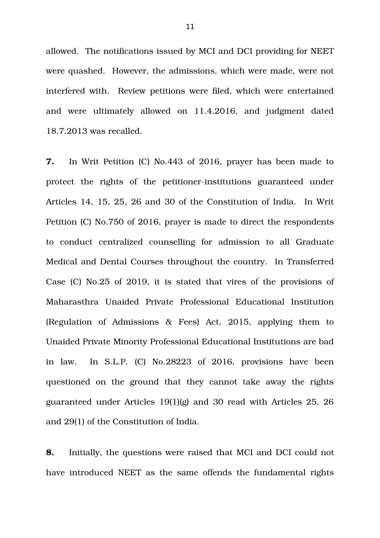allowed. The notifications issued by MCI and DCI providing for NEET were quashed. However, the admissions, which were made, were not interfered with. Review petitions were filed, which were entertained and were ultimately allowed on 11.4.2016, and judgment dated 18.7.2013 was recalled.

**7.** In Writ Petition (C) No.443 of 2016, prayer has been made to protect the rights of the petitioner-institutions guaranteed under Articles 14, 15, 25, 26 and 30 of the Constitution of India. In Writ Petition (C) No.750 of 2016, prayer is made to direct the respondents to conduct centralized counselling for admission to all Graduate Medical and Dental Courses throughout the country. In Transferred Case (C) No.25 of 2019, it is stated that vires of the provisions of Maharasthra Unaided Private Professional Educational Institution (Regulation of Admissions  $\&$  Fees) Act, 2015, applying them to Unaided Private Minority Professional Educational Institutions are bad in law. In S.L.P. (C) No.28223 of 2016, provisions have been questioned on the ground that they cannot take away the rights guaranteed under Articles 19(1)(g) and 30 read with Articles 25, 26 and 29(1) of the Constitution of India.

**8.** Initially, the questions were raised that MCI and DCI could not have introduced NEET as the same offends the fundamental rights

11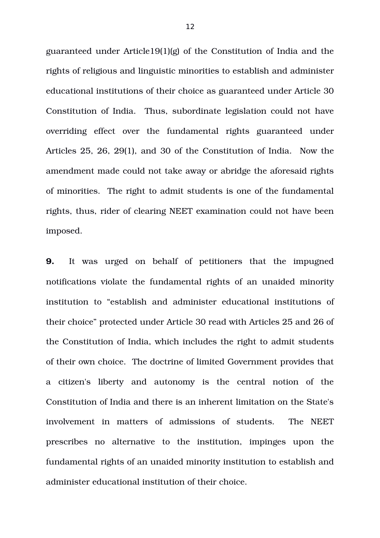guaranteed under Article19(1)(g) of the Constitution of India and the rights of religious and linguistic minorities to establish and administer educational institutions of their choice as guaranteed under Article 30 Constitution of India. Thus, subordinate legislation could not have overriding effect over the fundamental rights guaranteed under Articles 25, 26, 29(1), and 30 of the Constitution of India. Now the amendment made could not take away or abridge the aforesaid rights of minorities. The right to admit students is one of the fundamental rights, thus, rider of clearing NEET examination could not have been imposed.

**9.** It was urged on behalf of petitioners that the impugned notifications violate the fundamental rights of an unaided minority institution to "establish and administer educational institutions of their choice" protected under Article 30 read with Articles 25 and 26 of the Constitution of India, which includes the right to admit students of their own choice. The doctrine of limited Government provides that a citizen's liberty and autonomy is the central notion of the Constitution of India and there is an inherent limitation on the State's involvement in matters of admissions of students. The NEET prescribes no alternative to the institution, impinges upon the fundamental rights of an unaided minority institution to establish and administer educational institution of their choice.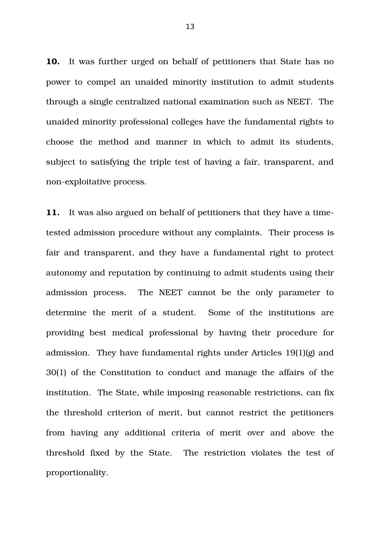**10.** It was further urged on behalf of petitioners that State has no power to compel an unaided minority institution to admit students through a single centralized national examination such as NEET. The unaided minority professional colleges have the fundamental rights to choose the method and manner in which to admit its students, subject to satisfying the triple test of having a fair, transparent, and non-exploitative process.

**11.** It was also argued on behalf of petitioners that they have a timetested admission procedure without any complaints. Their process is fair and transparent, and they have a fundamental right to protect autonomy and reputation by continuing to admit students using their admission process. The NEET cannot be the only parameter to determine the merit of a student. Some of the institutions are providing best medical professional by having their procedure for admission. They have fundamental rights under Articles 19(1)(g) and 30(1) of the Constitution to conduct and manage the affairs of the institution. The State, while imposing reasonable restrictions, can fix the threshold criterion of merit, but cannot restrict the petitioners from having any additional criteria of merit over and above the threshold fixed by the State. The restriction violates the test of proportionality.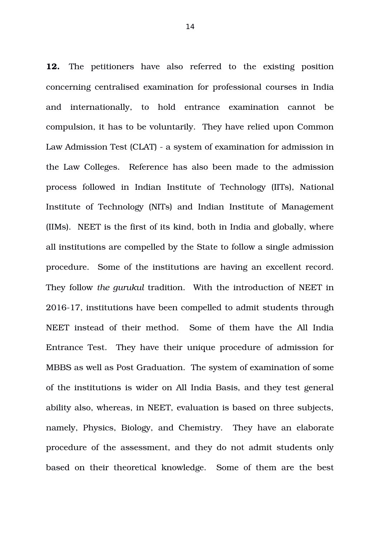**12.** The petitioners have also referred to the existing position concerning centralised examination for professional courses in India and internationally, to hold entrance examination cannot be compulsion, it has to be voluntarily. They have relied upon Common Law Admission Test (CLAT) a system of examination for admission in the Law Colleges. Reference has also been made to the admission process followed in Indian Institute of Technology (IITs), National Institute of Technology (NITs) and Indian Institute of Management (IIMs). NEET is the first of its kind, both in India and globally, where all institutions are compelled by the State to follow a single admission procedure. Some of the institutions are having an excellent record. They follow *the gurukul* tradition. With the introduction of NEET in 2016-17, institutions have been compelled to admit students through NEET instead of their method. Some of them have the All India Entrance Test. They have their unique procedure of admission for MBBS as well as Post Graduation. The system of examination of some of the institutions is wider on All India Basis, and they test general ability also, whereas, in NEET, evaluation is based on three subjects, namely, Physics, Biology, and Chemistry. They have an elaborate procedure of the assessment, and they do not admit students only based on their theoretical knowledge. Some of them are the best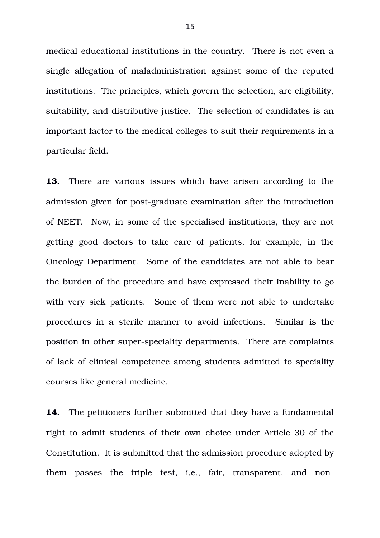medical educational institutions in the country. There is not even a single allegation of maladministration against some of the reputed institutions. The principles, which govern the selection, are eligibility, suitability, and distributive justice. The selection of candidates is an important factor to the medical colleges to suit their requirements in a particular field.

**13.** There are various issues which have arisen according to the admission given for post-graduate examination after the introduction of NEET. Now, in some of the specialised institutions, they are not getting good doctors to take care of patients, for example, in the Oncology Department. Some of the candidates are not able to bear the burden of the procedure and have expressed their inability to go with very sick patients. Some of them were not able to undertake procedures in a sterile manner to avoid infections. Similar is the position in other super-speciality departments. There are complaints of lack of clinical competence among students admitted to speciality courses like general medicine.

**14.** The petitioners further submitted that they have a fundamental right to admit students of their own choice under Article 30 of the Constitution. It is submitted that the admission procedure adopted by them passes the triple test, i.e., fair, transparent, and non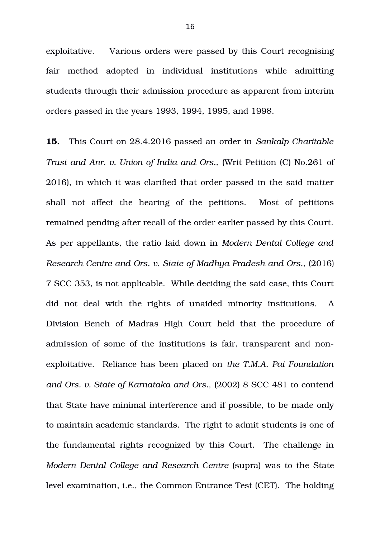exploitative. Various orders were passed by this Court recognising fair method adopted in individual institutions while admitting students through their admission procedure as apparent from interim orders passed in the years 1993, 1994, 1995, and 1998.

**15.** This Court on 28.4.2016 passed an order in *Sankalp Charitable Trust and Anr. v. Union of India and Ors.,* (Writ Petition (C) No.261 of 2016), in which it was clarified that order passed in the said matter shall not affect the hearing of the petitions. Most of petitions remained pending after recall of the order earlier passed by this Court. As per appellants, the ratio laid down in *Modern Dental College and Research Centre and Ors. v. State of Madhya Pradesh and Ors., (2016)* 7 SCC 353, is not applicable. While deciding the said case, this Court did not deal with the rights of unaided minority institutions. A Division Bench of Madras High Court held that the procedure of admission of some of the institutions is fair, transparent and nonexploitative. Reliance has been placed on *the T.M.A. Pai Foundation and Ors. v. State of Karnataka and Ors.,* (2002) 8 SCC 481 to contend that State have minimal interference and if possible, to be made only to maintain academic standards. The right to admit students is one of the fundamental rights recognized by this Court. The challenge in *Modern Dental College and Research Centre (supra)* was to the State level examination, i.e., the Common Entrance Test (CET). The holding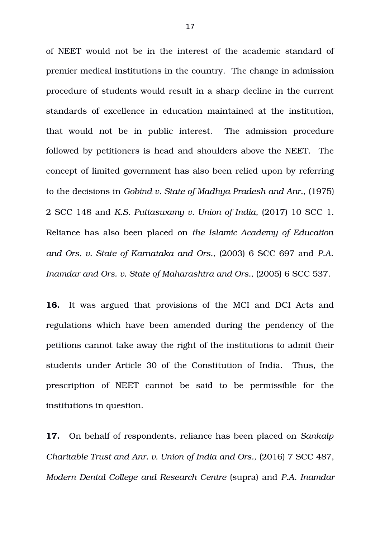of NEET would not be in the interest of the academic standard of premier medical institutions in the country. The change in admission procedure of students would result in a sharp decline in the current standards of excellence in education maintained at the institution, that would not be in public interest. The admission procedure followed by petitioners is head and shoulders above the NEET. The concept of limited government has also been relied upon by referring to the decisions in *Gobind v. State of Madhya Pradesh and Anr.,* (1975) 2 SCC 148 and *K.S. Puttaswamy v. Union of India,* (2017) 10 SCC 1. Reliance has also been placed on *the Islamic Academy of Education and Ors. v. State of Karnataka and Ors.,* (2003) 6 SCC 697 and *P.A. Inamdar and Ors. v. State of Maharashtra and Ors.,* (2005) 6 SCC 537.

**16.** It was argued that provisions of the MCI and DCI Acts and regulations which have been amended during the pendency of the petitions cannot take away the right of the institutions to admit their students under Article 30 of the Constitution of India. Thus, the prescription of NEET cannot be said to be permissible for the institutions in question.

**17.** On behalf of respondents, reliance has been placed on *Sankalp Charitable Trust and Anr. v. Union of India and Ors.,* (2016) 7 SCC 487, *Modern Dental College and Research Centre* (supra) and *P.A. Inamdar*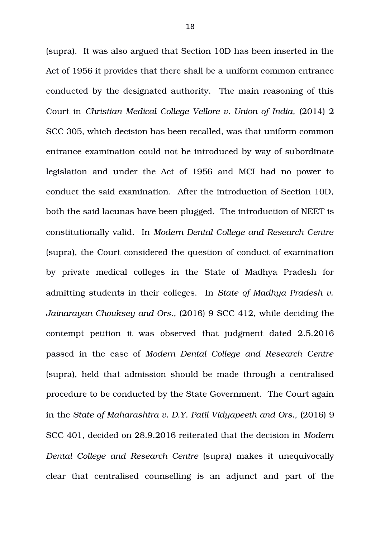(supra). It was also argued that Section 10D has been inserted in the Act of 1956 it provides that there shall be a uniform common entrance conducted by the designated authority. The main reasoning of this Court in *Christian Medical College Vellore v. Union of India,* (2014) 2 SCC 305, which decision has been recalled, was that uniform common entrance examination could not be introduced by way of subordinate legislation and under the Act of 1956 and MCI had no power to conduct the said examination. After the introduction of Section 10D, both the said lacunas have been plugged. The introduction of NEET is constitutionally valid. In *Modern Dental College and Research Centre* (supra), the Court considered the question of conduct of examination by private medical colleges in the State of Madhya Pradesh for admitting students in their colleges. In *State of Madhya Pradesh v. Jainarayan Chouksey and Ors.*, (2016) 9 SCC 412, while deciding the contempt petition it was observed that judgment dated 2.5.2016 passed in the case of *Modern Dental College and Research Centre* (supra), held that admission should be made through a centralised procedure to be conducted by the State Government. The Court again in the *State of Maharashtra v. D.Y. Patil Vidyapeeth and Ors.,* (2016) 9 SCC 401, decided on 28.9.2016 reiterated that the decision in *Modern Dental College and Research Centre (supra)* makes it unequivocally clear that centralised counselling is an adjunct and part of the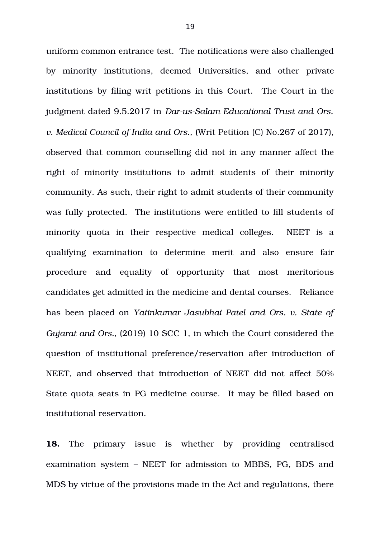uniform common entrance test. The notifications were also challenged by minority institutions, deemed Universities, and other private institutions by filing writ petitions in this Court. The Court in the judgment dated 9.5.2017 in *Dar-us-Salam Educational Trust and Ors. v. Medical Council of India and Ors.,* (Writ Petition (C) No.267 of 2017), observed that common counselling did not in any manner affect the right of minority institutions to admit students of their minority community. As such, their right to admit students of their community was fully protected. The institutions were entitled to fill students of minority quota in their respective medical colleges. NEET is a qualifying examination to determine merit and also ensure fair procedure and equality of opportunity that most meritorious candidates get admitted in the medicine and dental courses. Reliance has been placed on *Yatinkumar Jasubhai Patel and Ors. v. State of Gujarat and Ors.,* (2019) 10 SCC 1, in which the Court considered the question of institutional preference/reservation after introduction of NEET, and observed that introduction of NEET did not affect 50% State quota seats in PG medicine course. It may be filled based on institutional reservation.

**18.** The primary issue is whether by providing centralised examination system – NEET for admission to MBBS, PG, BDS and MDS by virtue of the provisions made in the Act and regulations, there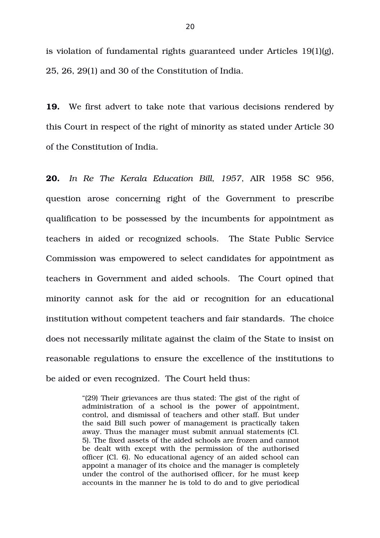is violation of fundamental rights guaranteed under Articles 19(1)(g), 25, 26, 29(1) and 30 of the Constitution of India.

**19.** We first advert to take note that various decisions rendered by this Court in respect of the right of minority as stated under Article 30 of the Constitution of India.

**20.** *In Re The Kerala Education Bill, 1957*, AIR 1958 SC 956, question arose concerning right of the Government to prescribe qualification to be possessed by the incumbents for appointment as teachers in aided or recognized schools. The State Public Service Commission was empowered to select candidates for appointment as teachers in Government and aided schools. The Court opined that minority cannot ask for the aid or recognition for an educational institution without competent teachers and fair standards. The choice does not necessarily militate against the claim of the State to insist on reasonable regulations to ensure the excellence of the institutions to be aided or even recognized. The Court held thus:

> "(29) Their grievances are thus stated: The gist of the right of administration of a school is the power of appointment, control, and dismissal of teachers and other staff. But under the said Bill such power of management is practically taken away. Thus the manager must submit annual statements (Cl. 5). The fixed assets of the aided schools are frozen and cannot be dealt with except with the permission of the authorised officer (Cl. 6). No educational agency of an aided school can appoint a manager of its choice and the manager is completely under the control of the authorised officer, for he must keep accounts in the manner he is told to do and to give periodical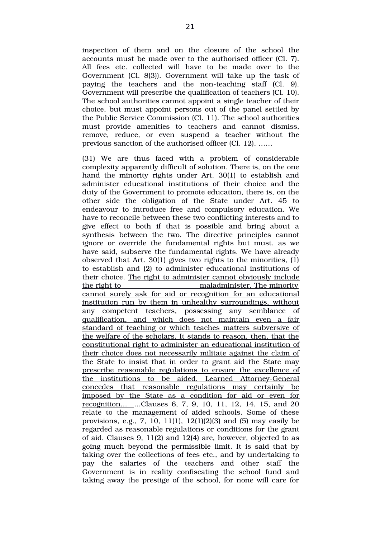inspection of them and on the closure of the school the accounts must be made over to the authorised officer (Cl. 7). All fees etc. collected will have to be made over to the Government (Cl. 8(3)). Government will take up the task of paying the teachers and the  $\pi$  non-teaching staff  $(Cl, 9)$ . Government will prescribe the qualification of teachers (Cl. 10). The school authorities cannot appoint a single teacher of their choice, but must appoint persons out of the panel settled by the Public Service Commission (Cl. 11). The school authorities must provide amenities to teachers and cannot dismiss, remove, reduce, or even suspend a teacher without the previous sanction of the authorised officer (Cl. 12). ……

(31) We are thus faced with a problem of considerable complexity apparently difficult of solution. There is, on the one hand the minority rights under Art. 30(1) to establish and administer educational institutions of their choice and the duty of the Government to promote education, there is, on the other side the obligation of the State under Art. 45 to endeavour to introduce free and compulsory education. We have to reconcile between these two conflicting interests and to give effect to both if that is possible and bring about a synthesis between the two. The directive principles cannot ignore or override the fundamental rights but must, as we have said, subserve the fundamental rights. We have already observed that Art. 30(1) gives two rights to the minorities, (1) to establish and (2) to administer educational institutions of their choice. The right to administer cannot obviously include the right to maladminister. The minority cannot surely ask for aid or recognition for an educational institution run by them in unhealthy surroundings, without any competent teachers, possessing any semblance of qualification, and which does not maintain even a fair standard of teaching or which teaches matters subversive of the welfare of the scholars. It stands to reason, then, that the constitutional right to administer an educational institution of their choice does not necessarily militate against the claim of the State to insist that in order to grant aid the State may prescribe reasonable regulations to ensure the excellence of the institutions to be aided. Learned Attorney-General concedes that reasonable regulations may certainly be imposed by the State as a condition for aid or even for recognition... ...Clauses 6, 7, 9, 10, 11, 12, 14, 15, and 20 relate to the management of aided schools. Some of these provisions, e.g., 7, 10, 11(1), 12(1)(2)(3) and (5) may easily be regarded as reasonable regulations or conditions for the grant of aid. Clauses 9, 11(2) and 12(4) are, however, objected to as going much beyond the permissible limit. It is said that by taking over the collections of fees etc., and by undertaking to pay the salaries of the teachers and other staff the Government is in reality confiscating the school fund and taking away the prestige of the school, for none will care for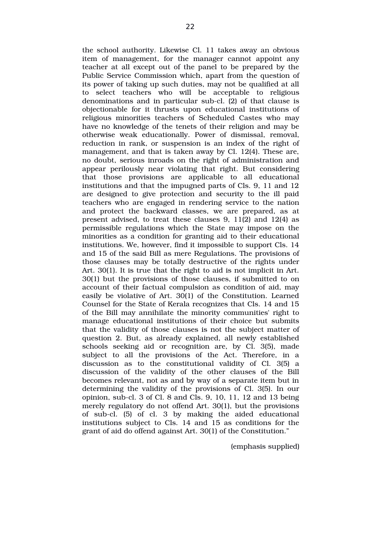the school authority. Likewise Cl. 11 takes away an obvious item of management, for the manager cannot appoint any teacher at all except out of the panel to be prepared by the Public Service Commission which, apart from the question of its power of taking up such duties, may not be qualified at all to select teachers who will be acceptable to religious denominations and in particular sub-cl. (2) of that clause is objectionable for it thrusts upon educational institutions of religious minorities teachers of Scheduled Castes who may have no knowledge of the tenets of their religion and may be otherwise weak educationally. Power of dismissal, removal, reduction in rank, or suspension is an index of the right of management, and that is taken away by Cl. 12(4). These are, no doubt, serious inroads on the right of administration and appear perilously near violating that right. But considering that those provisions are applicable to all educational institutions and that the impugned parts of Cls. 9, 11 and 12 are designed to give protection and security to the ill paid teachers who are engaged in rendering service to the nation and protect the backward classes, we are prepared, as at present advised, to treat these clauses 9, 11(2) and 12(4) as permissible regulations which the State may impose on the minorities as a condition for granting aid to their educational institutions. We, however, find it impossible to support Cls. 14 and 15 of the said Bill as mere Regulations. The provisions of those clauses may be totally destructive of the rights under Art. 30(1). It is true that the right to aid is not implicit in Art. 30(1) but the provisions of those clauses, if submitted to on account of their factual compulsion as condition of aid, may easily be violative of Art. 30(1) of the Constitution. Learned Counsel for the State of Kerala recognizes that Cls. 14 and 15 of the Bill may annihilate the minority communities' right to manage educational institutions of their choice but submits that the validity of those clauses is not the subject matter of question 2. But, as already explained, all newly established schools seeking aid or recognition are, by Cl. 3(5), made subject to all the provisions of the Act. Therefore, in a discussion as to the constitutional validity of Cl. 3(5) a discussion of the validity of the other clauses of the Bill becomes relevant, not as and by way of a separate item but in determining the validity of the provisions of Cl. 3(5). In our opinion, sub-cl. 3 of Cl. 8 and Cls. 9, 10, 11, 12 and 13 being merely regulatory do not offend Art. 30(1), but the provisions of sub-cl.  $(5)$  of cl. 3 by making the aided educational institutions subject to Cls. 14 and 15 as conditions for the grant of aid do offend against Art. 30(1) of the Constitution."

(emphasis supplied)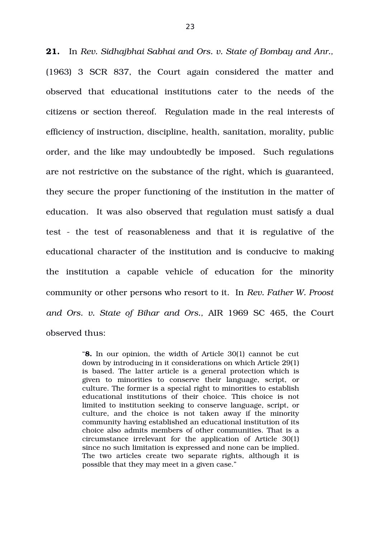**21.** In *Rev. Sidhajbhai Sabhai and Ors. v. State of Bombay and Anr.,* (1963) 3 SCR 837, the Court again considered the matter and observed that educational institutions cater to the needs of the citizens or section thereof. Regulation made in the real interests of efficiency of instruction, discipline, health, sanitation, morality, public order, and the like may undoubtedly be imposed. Such regulations are not restrictive on the substance of the right, which is guaranteed, they secure the proper functioning of the institution in the matter of education. It was also observed that regulation must satisfy a dual test - the test of reasonableness and that it is regulative of the educational character of the institution and is conducive to making the institution a capable vehicle of education for the minority community or other persons who resort to it. In *Rev. Father W. Proost and Ors. v. State of Bihar and Ors.,* AIR 1969 SC 465, the Court observed thus:

> "**8.** In our opinion, the width of Article 30(1) cannot be cut down by introducing in it considerations on which Article 29(1) is based. The latter article is a general protection which is given to minorities to conserve their language, script, or culture. The former is a special right to minorities to establish educational institutions of their choice. This choice is not limited to institution seeking to conserve language, script, or culture, and the choice is not taken away if the minority community having established an educational institution of its choice also admits members of other communities. That is a circumstance irrelevant for the application of Article  $30(1)$ since no such limitation is expressed and none can be implied. The two articles create two separate rights, although it is possible that they may meet in a given case."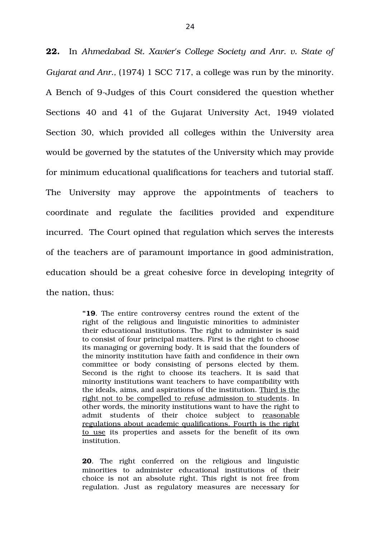**22.** In *Ahmedabad St. Xavier's College Society and Anr. v. State of Gujarat and Anr.,* (1974) 1 SCC 717, a college was run by the minority. A Bench of 9-Judges of this Court considered the question whether Sections 40 and 41 of the Gujarat University Act, 1949 violated Section 30, which provided all colleges within the University area would be governed by the statutes of the University which may provide for minimum educational qualifications for teachers and tutorial staff. The University may approve the appointments of teachers to coordinate and regulate the facilities provided and expenditure incurred. The Court opined that regulation which serves the interests of the teachers are of paramount importance in good administration, education should be a great cohesive force in developing integrity of the nation, thus:

> **"19**. The entire controversy centres round the extent of the right of the religious and linguistic minorities to administer their educational institutions. The right to administer is said to consist of four principal matters. First is the right to choose its managing or governing body. It is said that the founders of the minority institution have faith and confidence in their own committee or body consisting of persons elected by them. Second is the right to choose its teachers. It is said that minority institutions want teachers to have compatibility with the ideals, aims, and aspirations of the institution. Third is the right not to be compelled to refuse admission to students. In other words, the minority institutions want to have the right to admit students of their choice subject to reasonable regulations about academic qualifications. Fourth is the right to use its properties and assets for the benefit of its own institution.

> **20**. The right conferred on the religious and linguistic minorities to administer educational institutions of their choice is not an absolute right. This right is not free from regulation. Just as regulatory measures are necessary for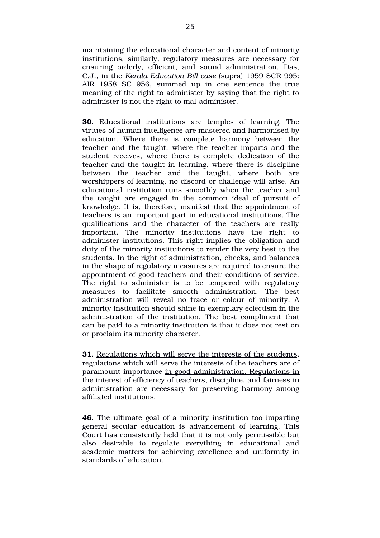maintaining the educational character and content of minority institutions, similarly, regulatory measures are necessary for ensuring orderly, efficient, and sound administration. Das, C.J., in the *Kerala Education Bill case* (supra) 1959 SCR 995: AIR 1958 SC 956, summed up in one sentence the true meaning of the right to administer by saying that the right to administer is not the right to mal-administer.

**30**. Educational institutions are temples of learning. The virtues of human intelligence are mastered and harmonised by education. Where there is complete harmony between the teacher and the taught, where the teacher imparts and the student receives, where there is complete dedication of the teacher and the taught in learning, where there is discipline between the teacher and the taught, where both are worshippers of learning, no discord or challenge will arise. An educational institution runs smoothly when the teacher and the taught are engaged in the common ideal of pursuit of knowledge. It is, therefore, manifest that the appointment of teachers is an important part in educational institutions. The qualifications and the character of the teachers are really important. The minority institutions have the right to administer institutions. This right implies the obligation and duty of the minority institutions to render the very best to the students. In the right of administration, checks, and balances in the shape of regulatory measures are required to ensure the appointment of good teachers and their conditions of service. The right to administer is to be tempered with regulatory measures to facilitate smooth administration. The best administration will reveal no trace or colour of minority. A minority institution should shine in exemplary eclectism in the administration of the institution. The best compliment that can be paid to a minority institution is that it does not rest on or proclaim its minority character.

**31**. Regulations which will serve the interests of the students, regulations which will serve the interests of the teachers are of paramount importance in good administration. Regulations in the interest of efficiency of teachers, discipline, and fairness in administration are necessary for preserving harmony among affiliated institutions.

**46**. The ultimate goal of a minority institution too imparting general secular education is advancement of learning. This Court has consistently held that it is not only permissible but also desirable to regulate everything in educational and academic matters for achieving excellence and uniformity in standards of education.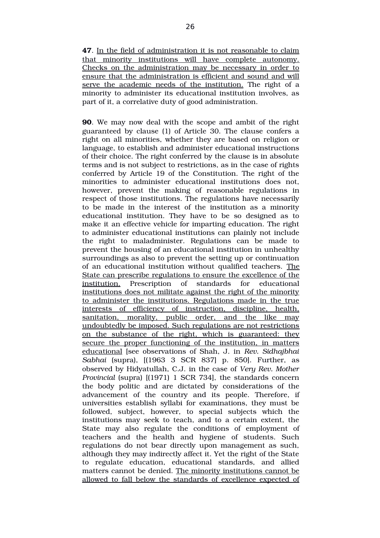**90**. We may now deal with the scope and ambit of the right guaranteed by clause (1) of Article 30. The clause confers a right on all minorities, whether they are based on religion or language, to establish and administer educational instructions of their choice. The right conferred by the clause is in absolute terms and is not subject to restrictions, as in the case of rights conferred by Article 19 of the Constitution. The right of the minorities to administer educational institutions does not, however, prevent the making of reasonable regulations in respect of those institutions. The regulations have necessarily to be made in the interest of the institution as a minority educational institution. They have to be so designed as to make it an effective vehicle for imparting education. The right to administer educational institutions can plainly not include the right to maladminister. Regulations can be made to prevent the housing of an educational institution in unhealthy surroundings as also to prevent the setting up or continuation of an educational institution without qualified teachers. The State can prescribe regulations to ensure the excellence of the institution. Prescription of standards for educational institutions does not militate against the right of the minority to administer the institutions. Regulations made in the true interests of efficiency of instruction, discipline, health, sanitation, morality, public order, and the like may undoubtedly be imposed. Such regulations are not restrictions on the substance of the right, which is guaranteed: they secure the proper functioning of the institution, in matters educational [see observations of Shah, J. in *Rev. Sidhajbhai Sabhai* (supra), [(1963 3 SCR 837] p. 850]. Further, as observed by Hidyatullah, C.J. in the case of *Very Rev. Mother Provincial* (supra) [(1971) 1 SCR 734], the standards concern the body politic and are dictated by considerations of the advancement of the country and its people. Therefore, if universities establish syllabi for examinations, they must be followed, subject, however, to special subjects which the institutions may seek to teach, and to a certain extent, the State may also regulate the conditions of employment of teachers and the health and hygiene of students. Such regulations do not bear directly upon management as such, although they may indirectly affect it. Yet the right of the State to regulate education, educational standards, and allied matters cannot be denied. The minority institutions cannot be allowed to fall below the standards of excellence expected of

**<sup>47</sup>**. In the field of administration it is not reasonable to claim that minority institutions will have complete autonomy. Checks on the administration may be necessary in order to ensure that the administration is efficient and sound and will serve the academic needs of the institution. The right of a minority to administer its educational institution involves, as part of it, a correlative duty of good administration.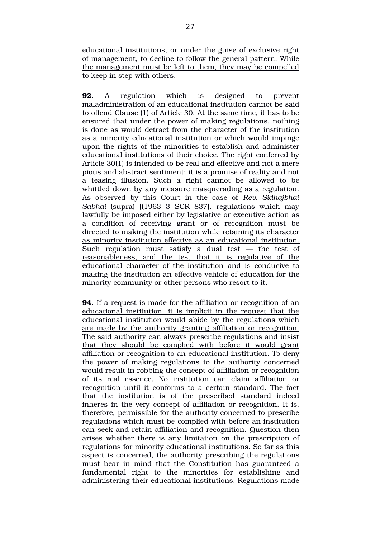educational institutions, or under the guise of exclusive right of management, to decline to follow the general pattern. While the management must be left to them, they may be compelled to keep in step with others.

**92.** A regulation which is designed to prevent maladministration of an educational institution cannot be said to offend Clause (1) of Article 30. At the same time, it has to be ensured that under the power of making regulations, nothing is done as would detract from the character of the institution as a minority educational institution or which would impinge upon the rights of the minorities to establish and administer educational institutions of their choice. The right conferred by Article 30(1) is intended to be real and effective and not a mere pious and abstract sentiment; it is a promise of reality and not a teasing illusion. Such a right cannot be allowed to be whittled down by any measure masquerading as a regulation. As observed by this Court in the case of *Rev. Sidhajbhai Sabhai* (supra) [(1963 3 SCR 837], regulations which may lawfully be imposed either by legislative or executive action as a condition of receiving grant or of recognition must be directed to making the institution while retaining its character as minority institution effective as an educational institution. Such regulation must satisfy a dual  $test -$  the test of reasonableness, and the test that it is regulative of the educational character of the institution and is conducive to making the institution an effective vehicle of education for the minority community or other persons who resort to it.

**94**. If a request is made for the affiliation or recognition of an educational institution, it is implicit in the request that the educational institution would abide by the regulations which are made by the authority granting affiliation or recognition. The said authority can always prescribe regulations and insist that they should be complied with before it would grant affiliation or recognition to an educational institution. To deny the power of making regulations to the authority concerned would result in robbing the concept of affiliation or recognition of its real essence. No institution can claim affiliation or recognition until it conforms to a certain standard. The fact that the institution is of the prescribed standard indeed inheres in the very concept of affiliation or recognition. It is, therefore, permissible for the authority concerned to prescribe regulations which must be complied with before an institution can seek and retain affiliation and recognition. Question then arises whether there is any limitation on the prescription of regulations for minority educational institutions. So far as this aspect is concerned, the authority prescribing the regulations must bear in mind that the Constitution has guaranteed a fundamental right to the minorities for establishing and administering their educational institutions. Regulations made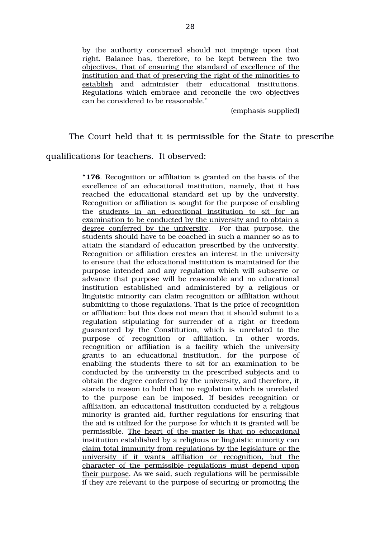by the authority concerned should not impinge upon that right. Balance has, therefore, to be kept between the two objectives, that of ensuring the standard of excellence of the institution and that of preserving the right of the minorities to establish and administer their educational institutions. Regulations which embrace and reconcile the two objectives can be considered to be reasonable."

(emphasis supplied)

The Court held that it is permissible for the State to prescribe

qualifications for teachers. It observed:

**"176**. Recognition or affiliation is granted on the basis of the excellence of an educational institution, namely, that it has reached the educational standard set up by the university. Recognition or affiliation is sought for the purpose of enabling the students in an educational institution to sit for an examination to be conducted by the university and to obtain a degree conferred by the university. For that purpose, the students should have to be coached in such a manner so as to attain the standard of education prescribed by the university. Recognition or affiliation creates an interest in the university to ensure that the educational institution is maintained for the purpose intended and any regulation which will subserve or advance that purpose will be reasonable and no educational institution established and administered by a religious or linguistic minority can claim recognition or affiliation without submitting to those regulations. That is the price of recognition or affiliation: but this does not mean that it should submit to a regulation stipulating for surrender of a right or freedom guaranteed by the Constitution, which is unrelated to the purpose of recognition or affiliation. In other words, recognition or affiliation is a facility which the university grants to an educational institution, for the purpose of enabling the students there to sit for an examination to be conducted by the university in the prescribed subjects and to obtain the degree conferred by the university, and therefore, it stands to reason to hold that no regulation which is unrelated to the purpose can be imposed. If besides recognition or affiliation, an educational institution conducted by a religious minority is granted aid, further regulations for ensuring that the aid is utilized for the purpose for which it is granted will be permissible. The heart of the matter is that no educational institution established by a religious or linguistic minority can claim total immunity from regulations by the legislature or the university if it wants affiliation or recognition, but the character of the permissible regulations must depend upon their purpose. As we said, such regulations will be permissible if they are relevant to the purpose of securing or promoting the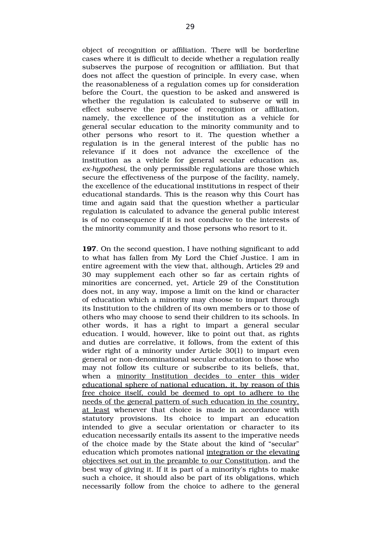object of recognition or affiliation. There will be borderline cases where it is difficult to decide whether a regulation really subserves the purpose of recognition or affiliation. But that does not affect the question of principle. In every case, when the reasonableness of a regulation comes up for consideration before the Court, the question to be asked and answered is whether the regulation is calculated to subserve or will in effect subserve the purpose of recognition or affiliation, namely, the excellence of the institution as a vehicle for general secular education to the minority community and to other persons who resort to it. The question whether a regulation is in the general interest of the public has no relevance if it does not advance the excellence of the institution as a vehicle for general secular education as, ex-hypothesi, the only permissible regulations are those which secure the effectiveness of the purpose of the facility, namely, the excellence of the educational institutions in respect of their educational standards. This is the reason why this Court has time and again said that the question whether a particular regulation is calculated to advance the general public interest is of no consequence if it is not conducive to the interests of the minority community and those persons who resort to it.

**197**. On the second question, I have nothing significant to add to what has fallen from My Lord the Chief Justice. I am in entire agreement with the view that, although, Articles 29 and 30 may supplement each other so far as certain rights of minorities are concerned, yet, Article 29 of the Constitution does not, in any way, impose a limit on the kind or character of education which a minority may choose to impart through its Institution to the children of its own members or to those of others who may choose to send their children to its schools. In other words, it has a right to impart a general secular education. I would, however, like to point out that, as rights and duties are correlative, it follows, from the extent of this wider right of a minority under Article 30(1) to impart even general or non-denominational secular education to those who may not follow its culture or subscribe to its beliefs, that, when a minority Institution decides to enter this wider educational sphere of national education, it, by reason of this free choice itself, could be deemed to opt to adhere to the needs of the general pattern of such education in the country, at least whenever that choice is made in accordance with statutory provisions. Its choice to impart an education intended to give a secular orientation or character to its education necessarily entails its assent to the imperative needs of the choice made by the State about the kind of "secular" education which promotes national integration or the elevating objectives set out in the preamble to our Constitution, and the best way of giving it. If it is part of a minority's rights to make such a choice, it should also be part of its obligations, which necessarily follow from the choice to adhere to the general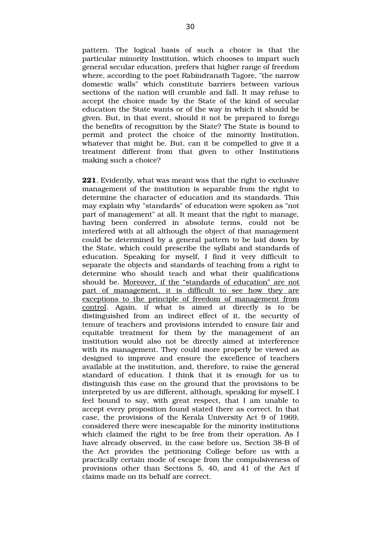pattern. The logical basis of such a choice is that the particular minority Institution, which chooses to impart such general secular education, prefers that higher range of freedom where, according to the poet Rabindranath Tagore, "the narrow domestic walls" which constitute barriers between various sections of the nation will crumble and fall. It may refuse to accept the choice made by the State of the kind of secular education the State wants or of the way in which it should be given. But, in that event, should it not be prepared to forego the benefits of recognition by the State? The State is bound to permit and protect the choice of the minority Institution, whatever that might be. But, can it be compelled to give it a treatment different from that given to other Institutions making such a choice?

**221**. Evidently, what was meant was that the right to exclusive management of the institution is separable from the right to determine the character of education and its standards. This may explain why "standards" of education were spoken as "not part of management" at all. It meant that the right to manage, having been conferred in absolute terms, could not be interfered with at all although the object of that management could be determined by a general pattern to be laid down by the State, which could prescribe the syllabi and standards of education. Speaking for myself, I find it very difficult to separate the objects and standards of teaching from a right to determine who should teach and what their qualifications should be. Moreover, if the "standards of education" are not part of management, it is difficult to see how they are exceptions to the principle of freedom of management from control. Again, if what is aimed at directly is to be distinguished from an indirect effect of it, the security of tenure of teachers and provisions intended to ensure fair and equitable treatment for them by the management of an institution would also not be directly aimed at interference with its management. They could more properly be viewed as designed to improve and ensure the excellence of teachers available at the institution, and, therefore, to raise the general standard of education. I think that it is enough for us to distinguish this case on the ground that the provisions to be interpreted by us are different, although, speaking for myself, I feel bound to say, with great respect, that I am unable to accept every proposition found stated there as correct. In that case, the provisions of the Kerala University Act 9 of 1969, considered there were inescapable for the minority institutions which claimed the right to be free from their operation. As I have already observed, in the case before us, Section 38-B of the Act provides the petitioning College before us with a practically certain mode of escape from the compulsiveness of provisions other than Sections 5, 40, and 41 of the Act if claims made on its behalf are correct.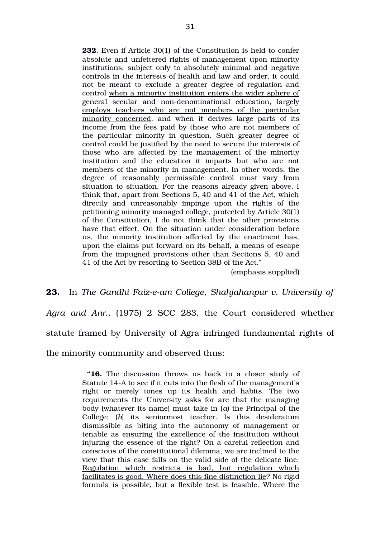**232**. Even if Article 30(1) of the Constitution is held to confer absolute and unfettered rights of management upon minority institutions, subject only to absolutely minimal and negative controls in the interests of health and law and order, it could not be meant to exclude a greater degree of regulation and control when a minority institution enters the wider sphere of general secular and non-denominational education, largely employs teachers who are not members of the particular minority concerned, and when it derives large parts of its income from the fees paid by those who are not members of the particular minority in question. Such greater degree of control could be justified by the need to secure the interests of those who are affected by the management of the minority institution and the education it imparts but who are not members of the minority in management. In other words, the degree of reasonably permissible control must vary from situation to situation. For the reasons already given above, I think that, apart from Sections 5, 40 and 41 of the Act, which directly and unreasonably impinge upon the rights of the petitioning minority managed college, protected by Article 30(1) of the Constitution, I do not think that the other provisions have that effect. On the situation under consideration before us, the minority institution affected by the enactment has, upon the claims put forward on its behalf, a means of escape from the impugned provisions other than Sections 5, 40 and 41 of the Act by resorting to Section 38B of the Act."

(emphasis supplied)

**23.** In *The Gandhi Faiz-e-am College, Shahjahanpur v. University of* Agra and Anr., (1975) 2 SCC 283, the Court considered whether statute framed by University of Agra infringed fundamental rights of the minority community and observed thus:

> **"16.** The discussion throws us back to a closer study of Statute 14A to see if it cuts into the flesh of the management's right or merely tones up its health and habits. The two requirements the University asks for are that the managing body (whatever its name) must take in (*a*) the Principal of the College; (b) its seniormost teacher. Is this desideratum dismissible as biting into the autonomy of management or tenable as ensuring the excellence of the institution without injuring the essence of the right? On a careful reflection and conscious of the constitutional dilemma, we are inclined to the view that this case falls on the valid side of the delicate line. Regulation which restricts is bad, but regulation which facilitates is good. Where does this fine distinction lie? No rigid formula is possible, but a flexible test is feasible. Where the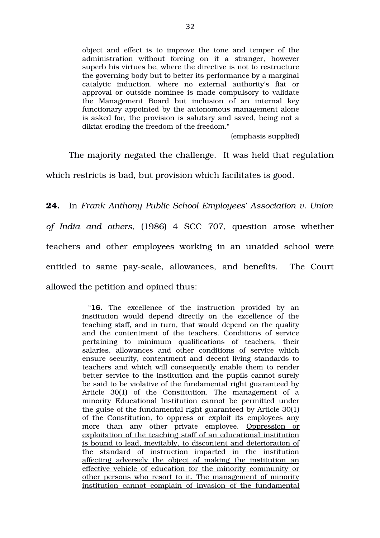object and effect is to improve the tone and temper of the administration without forcing on it a stranger, however superb his virtues be, where the directive is not to restructure the governing body but to better its performance by a marginal catalytic induction, where no external authority's fiat or approval or outside nominee is made compulsory to validate the Management Board but inclusion of an internal key functionary appointed by the autonomous management alone is asked for, the provision is salutary and saved, being not a diktat eroding the freedom of the freedom."

(emphasis supplied)

The majority negated the challenge. It was held that regulation

which restricts is bad, but provision which facilitates is good.

**24.** In *Frank Anthony Public School Employees' Association v. Union of India and others*, (1986) 4 SCC 707, question arose whether teachers and other employees working in an unaided school were entitled to same pay-scale, allowances, and benefits. The Court allowed the petition and opined thus:

> "16. The excellence of the instruction provided by an institution would depend directly on the excellence of the teaching staff, and in turn, that would depend on the quality and the contentment of the teachers. Conditions of service pertaining to minimum qualifications of teachers, their salaries, allowances and other conditions of service which ensure security, contentment and decent living standards to teachers and which will consequently enable them to render better service to the institution and the pupils cannot surely be said to be violative of the fundamental right guaranteed by Article 30(1) of the Constitution. The management of a minority Educational Institution cannot be permitted under the guise of the fundamental right guaranteed by Article 30(1) of the Constitution, to oppress or exploit its employees any more than any other private employee. Oppression or exploitation of the teaching staff of an educational institution is bound to lead, inevitably, to discontent and deterioration of the standard of instruction imparted in the institution affecting adversely the object of making the institution an effective vehicle of education for the minority community or other persons who resort to it. The management of minority institution cannot complain of invasion of the fundamental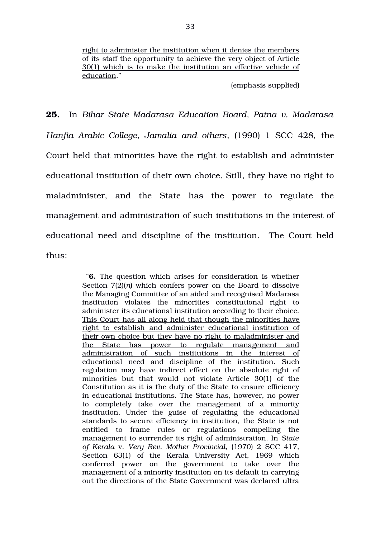right to administer the institution when it denies the members of its staff the opportunity to achieve the very object of Article 30(1) which is to make the institution an effective vehicle of education."

(emphasis supplied)

**25.** In *Bihar State Madarasa Education Board, Patna v. Madarasa Hanfia Arabic College, Jamalia and others*, (1990) 1 SCC 428, the Court held that minorities have the right to establish and administer educational institution of their own choice. Still, they have no right to maladminister, and the State has the power to regulate the management and administration of such institutions in the interest of educational need and discipline of the institution. The Court held thus:

> "**6.** The question which arises for consideration is whether Section 7(2)(*n*) which confers power on the Board to dissolve the Managing Committee of an aided and recognised Madarasa institution violates the minorities constitutional right to administer its educational institution according to their choice. This Court has all along held that though the minorities have right to establish and administer educational institution of their own choice but they have no right to maladminister and the State has power to regulate management and administration of such institutions in the interest of educational need and discipline of the institution. Such regulation may have indirect effect on the absolute right of minorities but that would not violate Article 30(1) of the Constitution as it is the duty of the State to ensure efficiency in educational institutions. The State has, however, no power to completely take over the management of a minority institution. Under the guise of regulating the educational standards to secure efficiency in institution, the State is not entitled to frame rules or regulations compelling the management to surrender its right of administration. In *State of Kerala* v. *Very Rev. Mother Provincial*, (1970) 2 SCC 417, Section 63(1) of the Kerala University Act, 1969 which conferred power on the government to take over the management of a minority institution on its default in carrying out the directions of the State Government was declared ultra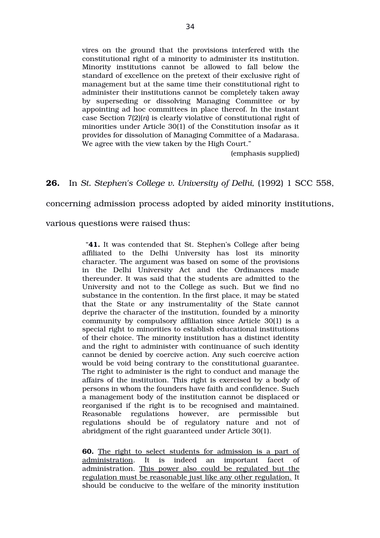vires on the ground that the provisions interfered with the constitutional right of a minority to administer its institution. Minority institutions cannot be allowed to fall below the standard of excellence on the pretext of their exclusive right of management but at the same time their constitutional right to administer their institutions cannot be completely taken away by superseding or dissolving Managing Committee or by appointing ad hoc committees in place thereof. In the instant case Section 7(2)(*n*) is clearly violative of constitutional right of minorities under Article 30(1) of the Constitution insofar as it provides for dissolution of Managing Committee of a Madarasa. We agree with the view taken by the High Court."

(emphasis supplied)

# **26.** In *St. Stephen's College v. University of Delhi,* (1992) 1 SCC 558,

concerning admission process adopted by aided minority institutions,

various questions were raised thus:

"**41.** It was contended that St. Stephen's College after being affiliated to the Delhi University has lost its minority character. The argument was based on some of the provisions in the Delhi University Act and the Ordinances made thereunder. It was said that the students are admitted to the University and not to the College as such. But we find no substance in the contention. In the first place, it may be stated that the State or any instrumentality of the State cannot deprive the character of the institution, founded by a minority community by compulsory affiliation since Article 30(1) is a special right to minorities to establish educational institutions of their choice. The minority institution has a distinct identity and the right to administer with continuance of such identity cannot be denied by coercive action. Any such coercive action would be void being contrary to the constitutional guarantee. The right to administer is the right to conduct and manage the affairs of the institution. This right is exercised by a body of persons in whom the founders have faith and confidence. Such a management body of the institution cannot be displaced or reorganised if the right is to be recognised and maintained. Reasonable regulations however, are permissible but regulations should be of regulatory nature and not of abridgment of the right guaranteed under Article 30(1).

**60.** The right to select students for admission is a part of administration. It is indeed an important facet of administration. This power also could be regulated but the regulation must be reasonable just like any other regulation. It should be conducive to the welfare of the minority institution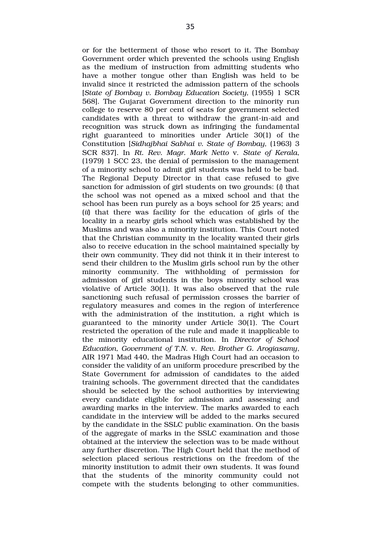or for the betterment of those who resort to it. The Bombay Government order which prevented the schools using English as the medium of instruction from admitting students who have a mother tongue other than English was held to be invalid since it restricted the admission pattern of the schools [*State of Bombay v. Bombay Education Society,* (1955) 1 SCR 568]. The Gujarat Government direction to the minority run college to reserve 80 per cent of seats for government selected candidates with a threat to withdraw the grant-in-aid and recognition was struck down as infringing the fundamental right guaranteed to minorities under Article 30(1) of the Constitution [*Sidhajbhai Sabhai v. State of Bombay,* (1963) 3 SCR 837]. In *Rt. Rev. Magr. Mark Netto* v. *State of Kerala*, (1979) 1 SCC 23, the denial of permission to the management of a minority school to admit girl students was held to be bad. The Regional Deputy Director in that case refused to give sanction for admission of girl students on two grounds: (*i*) that the school was not opened as a mixed school and that the school has been run purely as a boys school for 25 years; and (*ii*) that there was facility for the education of girls of the locality in a nearby girls school which was established by the Muslims and was also a minority institution. This Court noted that the Christian community in the locality wanted their girls also to receive education in the school maintained specially by their own community. They did not think it in their interest to send their children to the Muslim girls school run by the other minority community. The withholding of permission for admission of girl students in the boys minority school was violative of Article 30(1). It was also observed that the rule sanctioning such refusal of permission crosses the barrier of regulatory measures and comes in the region of interference with the administration of the institution, a right which is guaranteed to the minority under Article 30(1). The Court restricted the operation of the rule and made it inapplicable to the minority educational institution. In *Director of School Education, Government of T.N.* v. *Rev. Brother G. Arogiasamy*, AIR 1971 Mad 440, the Madras High Court had an occasion to consider the validity of an uniform procedure prescribed by the State Government for admission of candidates to the aided training schools. The government directed that the candidates should be selected by the school authorities by interviewing every candidate eligible for admission and assessing and awarding marks in the interview. The marks awarded to each candidate in the interview will be added to the marks secured by the candidate in the SSLC public examination. On the basis of the aggregate of marks in the SSLC examination and those obtained at the interview the selection was to be made without any further discretion. The High Court held that the method of selection placed serious restrictions on the freedom of the minority institution to admit their own students. It was found that the students of the minority community could not compete with the students belonging to other communities.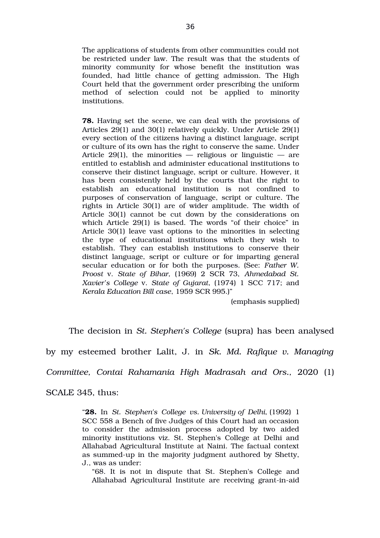The applications of students from other communities could not be restricted under law. The result was that the students of minority community for whose benefit the institution was founded, had little chance of getting admission. The High Court held that the government order prescribing the uniform method of selection could not be applied to minority institutions.

**78.** Having set the scene, we can deal with the provisions of Articles 29(1) and 30(1) relatively quickly. Under Article 29(1) every section of the citizens having a distinct language, script or culture of its own has the right to conserve the same. Under Article 29(1), the minorities — religious or linguistic — are entitled to establish and administer educational institutions to conserve their distinct language, script or culture. However, it has been consistently held by the courts that the right to establish an educational institution is not confined to purposes of conservation of language, script or culture. The rights in Article 30(1) are of wider amplitude. The width of Article 30(1) cannot be cut down by the considerations on which Article 29(1) is based. The words "of their choice" in Article 30(1) leave vast options to the minorities in selecting the type of educational institutions which they wish to establish. They can establish institutions to conserve their distinct language, script or culture or for imparting general secular education or for both the purposes. (See: *Father W. Proost* v. *State of Bihar,* (1969) 2 SCR 73, *Ahmedabad St. Xavier's College* v. *State of Gujarat*, (1974) 1 SCC 717; and *Kerala Education Bill case*, 1959 SCR 995.)"

(emphasis supplied)

The decision in *St. Stephen's College* (supra) has been analysed

by my esteemed brother Lalit, J. in *Sk. Md. Rafique v. Managing*

*Committee, Contai Rahamania High Madrasah and Ors.,* 2020 (1)

SCALE 345, thus:

"**28.** In *St. Stephen's College vs. University of Delhi*, (1992) 1 SCC 558 a Bench of five Judges of this Court had an occasion to consider the admission process adopted by two aided minority institutions viz. St. Stephen's College at Delhi and Allahabad Agricultural Institute at Naini. The factual context as summed-up in the majority judgment authored by Shetty, J., was as under:

"68. It is not in dispute that St. Stephen's College and Allahabad Agricultural Institute are receiving grant-in-aid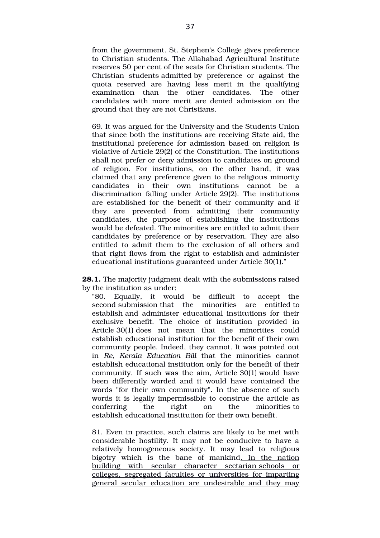from the government. St. Stephen's College gives preference to Christian students. The Allahabad Agricultural Institute reserves 50 per cent of the seats for Christian students. The Christian students admitted by preference or against the quota reserved are having less merit in the qualifying examination than the other candidates. The other candidates with more merit are denied admission on the ground that they are not Christians.

69. It was argued for the University and the Students Union that since both the institutions are receiving State aid, the institutional preference for admission based on religion is violative of Article 29(2) of the Constitution. The institutions shall not prefer or deny admission to candidates on ground of religion. For institutions, on the other hand, it was claimed that any preference given to the religious minority candidates in their own institutions cannot be a discrimination falling under Article 29(2). The institutions are established for the benefit of their community and if they are prevented from admitting their community candidates, the purpose of establishing the institutions would be defeated. The minorities are entitled to admit their candidates by preference or by reservation. They are also entitled to admit them to the exclusion of all others and that right flows from the right to establish and administer educational institutions guaranteed under Article 30(1)."

**28.1.** The majority judgment dealt with the submissions raised by the institution as under:

"80. Equally, it would be difficult to accept the second submission that the minorities are entitled to establish and administer educational institutions for their exclusive benefit. The choice of institution provided in Article 30(1) does not mean that the minorities could establish educational institution for the benefit of their own community people. Indeed, they cannot. It was pointed out in *Re, Kerala Education Bill* that the minorities cannot establish educational institution only for the benefit of their community. If such was the aim, Article 30(1) would have been differently worded and it would have contained the words "for their own community". In the absence of such words it is legally impermissible to construe the article as conferring the right on the minorities to establish educational institution for their own benefit.

81. Even in practice, such claims are likely to be met with considerable hostility. It may not be conducive to have a relatively homogeneous society. It may lead to religious bigotry which is the bane of mankind. In the nation building with secular character sectarian schools or colleges, segregated faculties or universities for imparting general secular education are undesirable and they may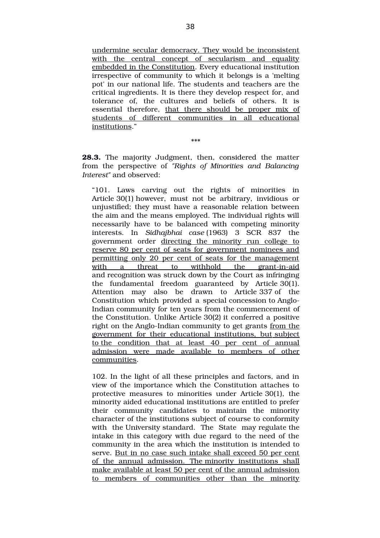undermine secular democracy. They would be inconsistent with the central concept of secularism and equality embedded in the Constitution. Every educational institution irrespective of community to which it belongs is a 'melting pot' in our national life. The students and teachers are the critical ingredients. It is there they develop respect for, and tolerance of, the cultures and beliefs of others. It is essential therefore, that there should be proper mix of students of different communities in all educational institutions."

\*\*\*

28.3. The majority Judgment, then, considered the matter from the perspective of *"Rights of Minorities and Balancing Interest"* and observed:

"101. Laws carving out the rights of minorities in Article 30(1) however, must not be arbitrary, invidious or unjustified; they must have a reasonable relation between the aim and the means employed. The individual rights will necessarily have to be balanced with competing minority interests. In *Sidhajbhai case* (1963) 3 SCR 837 the government order directing the minority run college to reserve 80 per cent of seats for government nominees and permitting only 20 per cent of seats for the management with a threat to withhold the grant-in-aid and recognition was struck down by the Court as infringing the fundamental freedom guaranteed by Article 30(1). Attention may also be drawn to Article 337 of the Constitution which provided a special concession to Anglo-Indian community for ten years from the commencement of the Constitution. Unlike Article 30(2) it conferred a positive right on the Anglo-Indian community to get grants from the government for their educational institutions, but subject to the condition that at least 40 per cent of annual admission were made available to members of other communities.

102. In the light of all these principles and factors, and in view of the importance which the Constitution attaches to protective measures to minorities under Article 30(1), the minority aided educational institutions are entitled to prefer their community candidates to maintain the minority character of the institutions subject of course to conformity with the University standard. The State may regulate the intake in this category with due regard to the need of the community in the area which the institution is intended to serve. But in no case such intake shall exceed 50 per cent of the annual admission. The minority institutions shall make available at least 50 per cent of the annual admission to members of communities other than the minority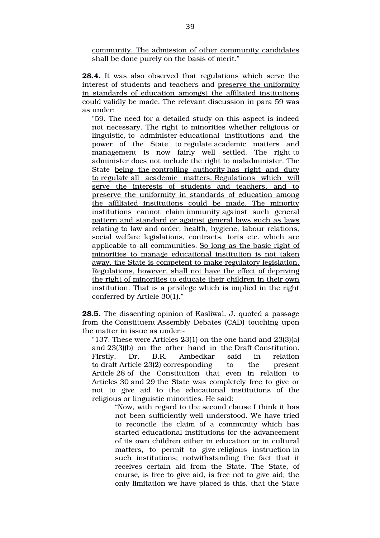community. The admission of other community candidates shall be done purely on the basis of merit."

**28.4.** It was also observed that regulations which serve the interest of students and teachers and preserve the uniformity in standards of education amongst the affiliated institutions could validly be made. The relevant discussion in para 59 was as under:

"59. The need for a detailed study on this aspect is indeed not necessary. The right to minorities whether religious or linguistic, to administer educational institutions and the power of the State to regulate academic matters and management is now fairly well settled. The right to administer does not include the right to maladminister. The State being the controlling authority has right and duty to regulate all academic matters. Regulations which will serve the interests of students and teachers, and to preserve the uniformity in standards of education among the affiliated institutions could be made. The minority institutions cannot claim immunity against such general pattern and standard or against general laws such as laws relating to law and order, health, hygiene, labour relations, social welfare legislations, contracts, torts etc. which are applicable to all communities. So long as the basic right of minorities to manage educational institution is not taken away, the State is competent to make regulatory legislation. Regulations, however, shall not have the effect of depriving the right of minorities to educate their children in their own institution. That is a privilege which is implied in the right conferred by Article 30(1)."

**28.5.** The dissenting opinion of Kasliwal, J. quoted a passage from the Constituent Assembly Debates (CAD) touching upon the matter in issue as under:

"137. These were Articles 23(1) on the one hand and 23(3)(a) and 23(3)(b) on the other hand in the Draft Constitution. Firstly, Dr. B.R. Ambedkar said in relation to draft Article 23(2) corresponding to the present Article 28 of the Constitution that even in relation to Articles 30 and 29 the State was completely free to give or not to give aid to the educational institutions of the religious or linguistic minorities. He said:

> "Now, with regard to the second clause I think it has not been sufficiently well understood. We have tried to reconcile the claim of a community which has started educational institutions for the advancement of its own children either in education or in cultural matters, to permit to give religious instruction in such institutions; notwithstanding the fact that it receives certain aid from the State. The State, of course, is free to give aid, is free not to give aid; the only limitation we have placed is this, that the State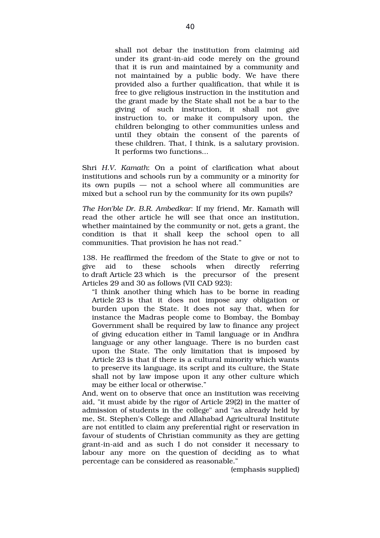shall not debar the institution from claiming aid under its grant-in-aid code merely on the ground that it is run and maintained by a community and not maintained by a public body. We have there provided also a further qualification, that while it is free to give religious instruction in the institution and the grant made by the State shall not be a bar to the giving of such instruction, it shall not give instruction to, or make it compulsory upon, the children belonging to other communities unless and until they obtain the consent of the parents of these children. That, I think, is a salutary provision. It performs two functions...

Shri *H.V. Kamath*: On a point of clarification what about institutions and schools run by a community or a minority for its own pupils  $-$  not a school where all communities are mixed but a school run by the community for its own pupils?

*The Hon'ble Dr. B.R. Ambedkar*: If my friend, Mr. Kamath will read the other article he will see that once an institution, whether maintained by the community or not, gets a grant, the condition is that it shall keep the school open to all communities. That provision he has not read."

138. He reaffirmed the freedom of the State to give or not to give aid to these schools when directly referring to draft Article 23 which is the precursor of the present Articles 29 and 30 as follows (VII CAD 923):

"I think another thing which has to be borne in reading Article 23 is that it does not impose any obligation or burden upon the State. It does not say that, when for instance the Madras people come to Bombay, the Bombay Government shall be required by law to finance any project of giving education either in Tamil language or in Andhra language or any other language. There is no burden cast upon the State. The only limitation that is imposed by Article 23 is that if there is a cultural minority which wants to preserve its language, its script and its culture, the State shall not by law impose upon it any other culture which may be either local or otherwise."

And, went on to observe that once an institution was receiving aid, "it must abide by the rigor of Article 29(2) in the matter of admission of students in the college" and "as already held by me, St. Stephen's College and Allahabad Agricultural Institute are not entitled to claim any preferential right or reservation in favour of students of Christian community as they are getting grant-in-aid and as such I do not consider it necessary to labour any more on the question of deciding as to what percentage can be considered as reasonable."

(emphasis supplied)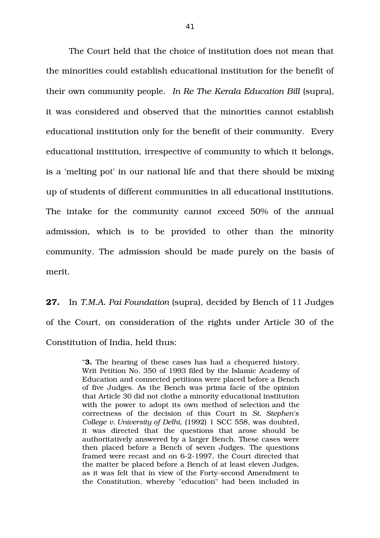The Court held that the choice of institution does not mean that the minorities could establish educational institution for the benefit of their own community people. *In Re The Kerala Education Bill* (supra), it was considered and observed that the minorities cannot establish educational institution only for the benefit of their community. Every educational institution, irrespective of community to which it belongs, is a 'melting pot' in our national life and that there should be mixing up of students of different communities in all educational institutions. The intake for the community cannot exceed 50% of the annual admission, which is to be provided to other than the minority community. The admission should be made purely on the basis of merit.

**27.** In *T.M.A. Pai Foundation* (supra), decided by Bench of 11 Judges of the Court, on consideration of the rights under Article 30 of the Constitution of India, held thus:

> **3.** The hearing of these cases has had a chequered history. Writ Petition No. 350 of 1993 filed by the Islamic Academy of Education and connected petitions were placed before a Bench of five Judges. As the Bench was prima facie of the opinion that Article 30 did not clothe a minority educational institution with the power to adopt its own method of selection and the correctness of the decision of this Court in *St. Stephen's College v. University of Delhi*, (1992) 1 SCC 558, was doubted, it was directed that the questions that arose should be authoritatively answered by a larger Bench. These cases were then placed before a Bench of seven Judges. The questions framed were recast and on 6-2-1997, the Court directed that the matter be placed before a Bench of at least eleven Judges, as it was felt that in view of the Forty-second Amendment to the Constitution, whereby "education" had been included in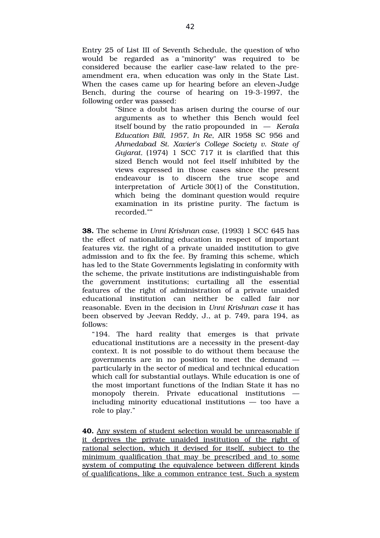Entry 25 of List III of Seventh Schedule, the question of who would be regarded as a "minority" was required to be considered because the earlier case-law related to the preamendment era, when education was only in the State List. When the cases came up for hearing before an eleven-Judge Bench, during the course of hearing on 19-3-1997, the following order was passed:

> "Since a doubt has arisen during the course of our arguments as to whether this Bench would feel itself bound by the ratio propounded in — *Kerala Education Bill, 1957, In Re*, AIR 1958 SC 956 and *Ahmedabad St. Xavier's College Society v. State of Gujarat,* (1974) 1 SCC 717 it is clarified that this sized Bench would not feel itself inhibited by the views expressed in those cases since the present endeavour is to discern the true scope and interpretation of Article  $30(1)$  of the Constitution, which being the dominant question would require examination in its pristine purity. The factum is recorded.""

**38.** The scheme in *Unni Krishnan case*, (1993) 1 SCC 645 has the effect of nationalizing education in respect of important features viz. the right of a private unaided institution to give admission and to fix the fee. By framing this scheme, which has led to the State Governments legislating in conformity with the scheme, the private institutions are indistinguishable from the government institutions; curtailing all the essential features of the right of administration of a private unaided educational institution can neither be called fair nor reasonable. Even in the decision in *Unni Krishnan case* it has been observed by Jeevan Reddy, J., at p. 749, para 194, as follows:

"194. The hard reality that emerges is that private educational institutions are a necessity in the present-day context. It is not possible to do without them because the governments are in no position to meet the demand  $$ particularly in the sector of medical and technical education which call for substantial outlays. While education is one of the most important functions of the Indian State it has no monopoly therein. Private educational institutions including minority educational institutions — too have a role to play."

**40.** Any system of student selection would be unreasonable if it deprives the private unaided institution of the right of rational selection, which it devised for itself, subject to the minimum qualification that may be prescribed and to some system of computing the equivalence between different kinds of qualifications, like a common entrance test. Such a system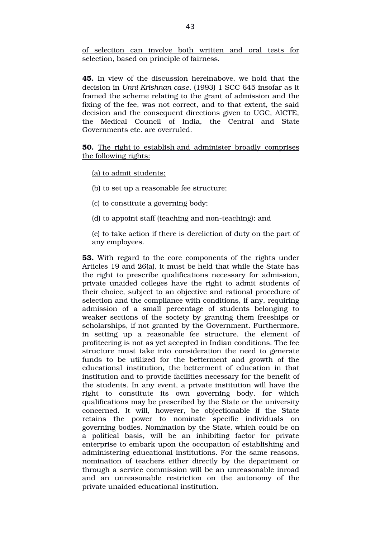of selection can involve both written and oral tests for selection, based on principle of fairness.

**45.** In view of the discussion hereinabove, we hold that the decision in *Unni Krishnan case*, (1993) 1 SCC 645 insofar as it framed the scheme relating to the grant of admission and the fixing of the fee, was not correct, and to that extent, the said decision and the consequent directions given to UGC, AICTE, the Medical Council of India, the Central and State Governments etc. are overruled.

**50.** The right to establish and administer broadly comprises the following rights:

(a) to admit students;

(b) to set up a reasonable fee structure;

- (c) to constitute a governing body;
- (d) to appoint staff (teaching and non-teaching); and

(e) to take action if there is dereliction of duty on the part of any employees.

**53.** With regard to the core components of the rights under Articles 19 and 26(a), it must be held that while the State has the right to prescribe qualifications necessary for admission, private unaided colleges have the right to admit students of their choice, subject to an objective and rational procedure of selection and the compliance with conditions, if any, requiring admission of a small percentage of students belonging to weaker sections of the society by granting them freeships or scholarships, if not granted by the Government. Furthermore, in setting up a reasonable fee structure, the element of profiteering is not as yet accepted in Indian conditions. The fee structure must take into consideration the need to generate funds to be utilized for the betterment and growth of the educational institution, the betterment of education in that institution and to provide facilities necessary for the benefit of the students. In any event, a private institution will have the right to constitute its own governing body, for which qualifications may be prescribed by the State or the university concerned. It will, however, be objectionable if the State retains the power to nominate specific individuals on governing bodies. Nomination by the State, which could be on a political basis, will be an inhibiting factor for private enterprise to embark upon the occupation of establishing and administering educational institutions. For the same reasons, nomination of teachers either directly by the department or through a service commission will be an unreasonable inroad and an unreasonable restriction on the autonomy of the private unaided educational institution.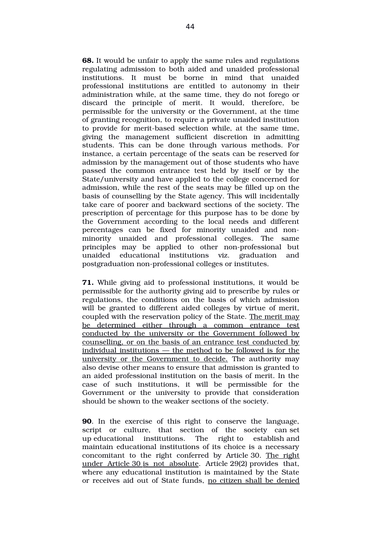**68.** It would be unfair to apply the same rules and regulations regulating admission to both aided and unaided professional institutions. It must be borne in mind that unaided professional institutions are entitled to autonomy in their administration while, at the same time, they do not forego or discard the principle of merit. It would, therefore, be permissible for the university or the Government, at the time of granting recognition, to require a private unaided institution to provide for merit-based selection while, at the same time, giving the management sufficient discretion in admitting students. This can be done through various methods. For instance, a certain percentage of the seats can be reserved for admission by the management out of those students who have passed the common entrance test held by itself or by the State/university and have applied to the college concerned for admission, while the rest of the seats may be filled up on the basis of counselling by the State agency. This will incidentally take care of poorer and backward sections of the society. The prescription of percentage for this purpose has to be done by the Government according to the local needs and different percentages can be fixed for minority unaided and nonminority unaided and professional colleges. The same principles may be applied to other non-professional but unaided educational institutions viz. graduation and postgraduation non-professional colleges or institutes.

**71.** While giving aid to professional institutions, it would be permissible for the authority giving aid to prescribe by rules or regulations, the conditions on the basis of which admission will be granted to different aided colleges by virtue of merit, coupled with the reservation policy of the State. The merit may be determined either through a common entrance test conducted by the university or the Government followed by counselling, or on the basis of an entrance test conducted by individual institutions — the method to be followed is for the university or the Government to decide. The authority may also devise other means to ensure that admission is granted to an aided professional institution on the basis of merit. In the case of such institutions, it will be permissible for the Government or the university to provide that consideration should be shown to the weaker sections of the society.

**90**. In the exercise of this right to conserve the language, script or culture, that section of the society can set up educational institutions. The right to establish and maintain educational institutions of its choice is a necessary concomitant to the right conferred by Article 30. The right under Article 30 is not absolute. Article 29(2) provides that, where any educational institution is maintained by the State or receives aid out of State funds, no citizen shall be denied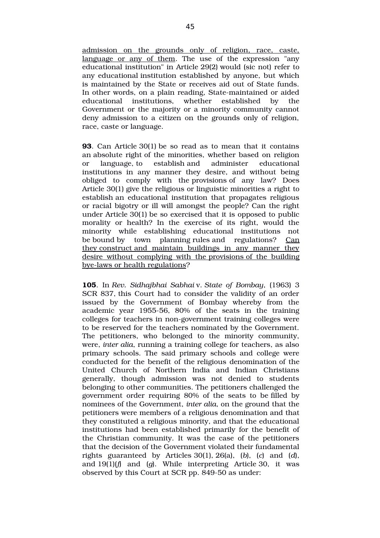admission on the grounds only of religion, race, caste, language or any of them. The use of the expression "any educational institution" in Article 29(2) would (sic not) refer to any educational institution established by anyone, but which is maintained by the State or receives aid out of State funds. In other words, on a plain reading, State-maintained or aided educational institutions, whether established by the Government or the majority or a minority community cannot deny admission to a citizen on the grounds only of religion, race, caste or language.

**93**. Can Article 30(1) be so read as to mean that it contains an absolute right of the minorities, whether based on religion or language, to establish and administer educational institutions in any manner they desire, and without being obliged to comply with the provisions of any law? Does Article 30(1) give the religious or linguistic minorities a right to establish an educational institution that propagates religious or racial bigotry or ill will amongst the people? Can the right under Article 30(1) be so exercised that it is opposed to public morality or health? In the exercise of its right, would the minority while establishing educational institutions not be bound by town planning rules and regulations? Can they construct and maintain buildings in any manner they desire without complying with the provisions of the building bye-laws or health regulations?

**105**. In *Rev. Sidhajbhai Sabhai* v. *State of Bombay*, (1963) 3 SCR 837, this Court had to consider the validity of an order issued by the Government of Bombay whereby from the academic year 1955-56, 80% of the seats in the training colleges for teachers in non-government training colleges were to be reserved for the teachers nominated by the Government. The petitioners, who belonged to the minority community, were, *inter alia*, running a training college for teachers, as also primary schools. The said primary schools and college were conducted for the benefit of the religious denomination of the United Church of Northern India and Indian Christians generally, though admission was not denied to students belonging to other communities. The petitioners challenged the government order requiring 80% of the seats to be filled by nominees of the Government, *inter alia*, on the ground that the petitioners were members of a religious denomination and that they constituted a religious minority, and that the educational institutions had been established primarily for the benefit of the Christian community. It was the case of the petitioners that the decision of the Government violated their fundamental rights guaranteed by Articles 30(1), 26(a), (*b*), (*c*) and (*d*), and  $19(1)(f)$  and  $(g)$ . While interpreting Article 30, it was observed by this Court at SCR pp. 849-50 as under: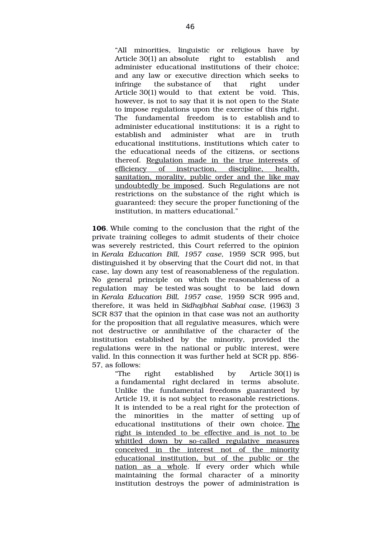"All minorities, linguistic or religious have by Article 30(1) an absolute right to establish and administer educational institutions of their choice; and any law or executive direction which seeks to infringe the substance of that right under Article 30(1) would to that extent be void. This, however, is not to say that it is not open to the State to impose regulations upon the exercise of this right. The fundamental freedom is to establish and to administer educational institutions: it is a right to establish and administer what are in truth educational institutions, institutions which cater to the educational needs of the citizens, or sections thereof. Regulation made in the true interests of efficiency of instruction, discipline, health, sanitation, morality, public order and the like may undoubtedly be imposed. Such Regulations are not restrictions on the substance of the right which is guaranteed: they secure the proper functioning of the institution, in matters educational."

**106**. While coming to the conclusion that the right of the private training colleges to admit students of their choice was severely restricted, this Court referred to the opinion in *Kerala Education Bill, 1957 case*, 1959 SCR 995, but distinguished it by observing that the Court did not, in that case, lay down any test of reasonableness of the regulation. No general principle on which the reasonableness of a regulation may be tested was sought to be laid down in *Kerala Education Bill, 1957 case,* 1959 SCR 995 and, therefore, it was held in *Sidhajbhai Sabhai case,* (1963) 3 SCR 837 that the opinion in that case was not an authority for the proposition that all regulative measures, which were not destructive or annihilative of the character of the institution established by the minority, provided the regulations were in the national or public interest, were valid. In this connection it was further held at SCR pp. 856 57, as follows:

> "The right established by Article 30(1) is a fundamental right declared in terms absolute. Unlike the fundamental freedoms guaranteed by Article 19, it is not subject to reasonable restrictions. It is intended to be a real right for the protection of the minorities in the matter of setting up of educational institutions of their own choice. The right is intended to be effective and is not to be whittled down by so-called regulative measures conceived in the interest not of the minority educational institution, but of the public or the nation as a whole. If every order which while maintaining the formal character of a minority institution destroys the power of administration is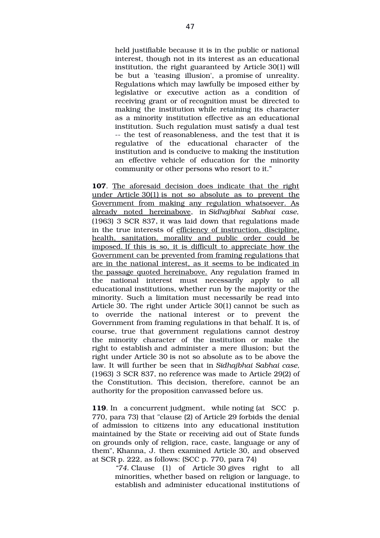held justifiable because it is in the public or national interest, though not in its interest as an educational institution, the right guaranteed by Article 30(1) will be but a 'teasing illusion', a promise of unreality. Regulations which may lawfully be imposed either by legislative or executive action as a condition of receiving grant or of recognition must be directed to making the institution while retaining its character as a minority institution effective as an educational institution. Such regulation must satisfy a dual test -- the test of reasonableness, and the test that it is regulative of the educational character of the institution and is conducive to making the institution an effective vehicle of education for the minority community or other persons who resort to it."

**107**. The aforesaid decision does indicate that the right under Article  $30(1)$  is not so absolute as to prevent the Government from making any regulation whatsoever. As already noted hereinabove, in *Sidhajbhai Sabhai case,* (1963) 3 SCR 837, it was laid down that regulations made in the true interests of efficiency of instruction, discipline, health, sanitation, morality and public order could be imposed.If this is so, it is difficult to appreciate how the Government can be prevented from framing regulations that are in the national interest, as it seems to be indicated in the passage quoted hereinabove. Any regulation framed in the national interest must necessarily apply to all educational institutions, whether run by the majority or the minority. Such a limitation must necessarily be read into Article 30. The right under Article 30(1) cannot be such as to override the national interest or to prevent the Government from framing regulations in that behalf. It is, of course, true that government regulations cannot destroy the minority character of the institution or make the right to establish and administer a mere illusion; but the right under Article 30 is not so absolute as to be above the law. It will further be seen that in *Sidhajbhai Sabhai case,* (1963) 3 SCR 837, no reference was made to Article 29(2) of the Constitution. This decision, therefore, cannot be an authority for the proposition canvassed before us.

**119.** In a concurrent judgment, while noting (at SCC p. 770, para 73) that "clause (2) of Article 29 forbids the denial of admission to citizens into any educational institution maintained by the State or receiving aid out of State funds on grounds only of religion, race, caste, language or any of them", Khanna, J. then examined Article 30, and observed at SCR p. 222, as follows: (SCC p. 770, para 74)

> *"74.* Clause (1) of Article 30 gives right to all minorities, whether based on religion or language, to establish and administer educational institutions of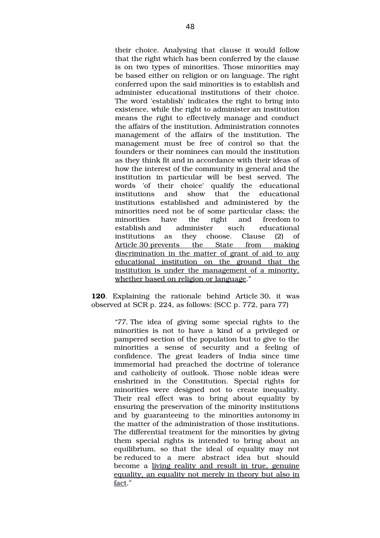their choice. Analysing that clause it would follow that the right which has been conferred by the clause is on two types of minorities. Those minorities may be based either on religion or on language. The right conferred upon the said minorities is to establish and administer educational institutions of their choice. The word 'establish' indicates the right to bring into existence, while the right to administer an institution means the right to effectively manage and conduct the affairs of the institution. Administration connotes management of the affairs of the institution. The management must be free of control so that the founders or their nominees can mould the institution as they think fit and in accordance with their ideas of how the interest of the community in general and the institution in particular will be best served. The words 'of their choice' qualify the educational institutions and show that the educational institutions established and administered by the minorities need not be of some particular class; the minorities have the right and freedom to establish and administer such educational institutions as they choose. Clause (2) of Article 30 prevents the State from making discrimination in the matter of grant of aid to any educational institution on the ground that the institution is under the management of a minority, whether based on religion or language."

**120.** Explaining the rationale behind Article 30, it was observed at SCR p. 224, as follows: (SCC p. 772, para 77)

> "77. The idea of giving some special rights to the minorities is not to have a kind of a privileged or pampered section of the population but to give to the minorities a sense of security and a feeling of confidence. The great leaders of India since time immemorial had preached the doctrine of tolerance and catholicity of outlook. Those noble ideas were enshrined in the Constitution. Special rights for minorities were designed not to create inequality. Their real effect was to bring about equality by ensuring the preservation of the minority institutions and by guaranteeing to the minorities autonomy in the matter of the administration of those institutions. The differential treatment for the minorities by giving them special rights is intended to bring about an equilibrium, so that the ideal of equality may not be reduced to a mere abstract idea but should become a living reality and result in true, genuine equality, an equality not merely in theory but also in fact."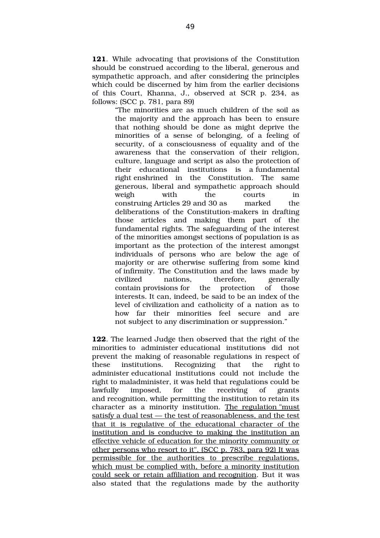**121**. While advocating that provisions of the Constitution should be construed according to the liberal, generous and sympathetic approach, and after considering the principles which could be discerned by him from the earlier decisions of this Court, Khanna, J., observed at SCR p. 234, as follows: (SCC p. 781, para 89)

> "The minorities are as much children of the soil as the majority and the approach has been to ensure that nothing should be done as might deprive the minorities of a sense of belonging, of a feeling of security, of a consciousness of equality and of the awareness that the conservation of their religion. culture, language and script as also the protection of their educational institutions is a fundamental right enshrined in the Constitution. The same generous, liberal and sympathetic approach should weigh with the courts in construing Articles 29 and 30 as marked the deliberations of the Constitution-makers in drafting those articles and making them part of the fundamental rights. The safeguarding of the interest of the minorities amongst sections of population is as important as the protection of the interest amongst individuals of persons who are below the age of majority or are otherwise suffering from some kind of infirmity. The Constitution and the laws made by civilized nations, therefore, generally contain provisions for the protection of those interests. It can, indeed, be said to be an index of the level of civilization and catholicity of a nation as to how far their minorities feel secure and are not subject to any discrimination or suppression."

**122**. The learned Judge then observed that the right of the minorities to administer educational institutions did not prevent the making of reasonable regulations in respect of these institutions. Recognizing that the right to administer educational institutions could not include the right to maladminister, it was held that regulations could be lawfully imposed, for the receiving of grants and recognition, while permitting the institution to retain its character as a minority institution. The regulation "must" satisfy a dual test  $-$  the test of reasonableness, and the test that it is regulative of the educational character of the institution and is conducive to making the institution an effective vehicle of education for the minority community or other persons who resort to it". (SCC p. 783, para 92) It was permissible for the authorities to prescribe regulations, which must be complied with, before a minority institution could seek or retain affiliation and recognition. But it was also stated that the regulations made by the authority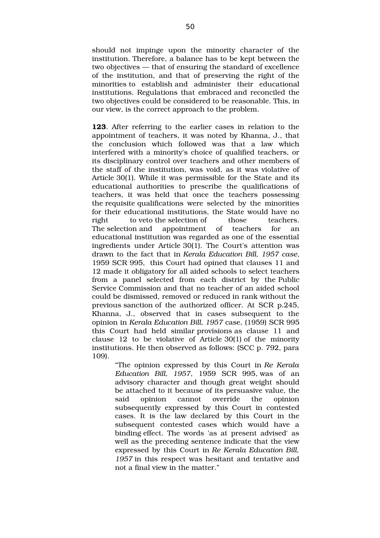should not impinge upon the minority character of the institution. Therefore, a balance has to be kept between the two objectives — that of ensuring the standard of excellence of the institution, and that of preserving the right of the minorities to establish and administer their educational institutions. Regulations that embraced and reconciled the two objectives could be considered to be reasonable. This, in our view, is the correct approach to the problem.

**123**. After referring to the earlier cases in relation to the appointment of teachers, it was noted by Khanna, J., that the conclusion which followed was that a law which interfered with a minority's choice of qualified teachers, or its disciplinary control over teachers and other members of the staff of the institution, was void, as it was violative of Article 30(1). While it was permissible for the State and its educational authorities to prescribe the qualifications of teachers, it was held that once the teachers possessing the requisite qualifications were selected by the minorities for their educational institutions, the State would have no right to veto the selection of those teachers. The selection and appointment of teachers for an educational institution was regarded as one of the essential ingredients under Article 30(1). The Court's attention was drawn to the fact that in *Kerala Education Bill, 1957 case*, 1959 SCR 995, this Court had opined that clauses 11 and 12 made it obligatory for all aided schools to select teachers from a panel selected from each district by the Public Service Commission and that no teacher of an aided school could be dismissed, removed or reduced in rank without the previous sanction of the authorized officer. At SCR p.245, Khanna, J., observed that in cases subsequent to the opinion in *Kerala Education Bill, 1957* case, (1959) SCR 995 this Court had held similar provisions as clause 11 and clause  $12$  to be violative of Article 30(1) of the minority institutions. He then observed as follows: (SCC p. 792, para 109).

> "The opinion expressed by this Court in *Re Kerala Education Bill, 1957*, 1959 SCR 995, was of an advisory character and though great weight should be attached to it because of its persuasive value, the said opinion cannot override the opinion subsequently expressed by this Court in contested cases. It is the law declared by this Court in the subsequent contested cases which would have a binding effect. The words 'as at present advised' as well as the preceding sentence indicate that the view expressed by this Court in *Re Kerala Education Bill, 1957* in this respect was hesitant and tentative and not a final view in the matter."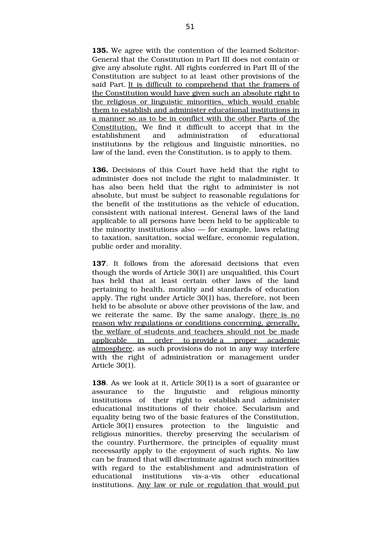**135.** We agree with the contention of the learned Solicitor-General that the Constitution in Part III does not contain or give any absolute right. All rights conferred in Part III of the Constitution are subject to at least other provisions of the said Part. It is difficult to comprehend that the framers of the Constitution would have given such an absolute right to the religious or linguistic minorities, which would enable them to establish and administer educational institutions in a manner so as to be in conflict with the other Parts of the Constitution. We find it difficult to accept that in the establishment and administration of educational institutions by the religious and linguistic minorities, no law of the land, even the Constitution, is to apply to them.

**136.** Decisions of this Court have held that the right to administer does not include the right to maladminister. It has also been held that the right to administer is not absolute, but must be subject to reasonable regulations for the benefit of the institutions as the vehicle of education, consistent with national interest. General laws of the land applicable to all persons have been held to be applicable to the minority institutions also — for example, laws relating to taxation, sanitation, social welfare, economic regulation, public order and morality.

**137.** It follows from the aforesaid decisions that even though the words of Article 30(1) are unqualified, this Court has held that at least certain other laws of the land pertaining to health, morality and standards of education apply. The right under Article 30(1) has, therefore, not been held to be absolute or above other provisions of the law, and we reiterate the same. By the same analogy, there is no reason why regulations or conditions concerning, generally, the welfare of students and teachers should not be made applicable in order to provide a proper academic atmosphere, as such provisions do not in any way interfere with the right of administration or management under Article 30(1).

**138**. As we look at it, Article 30(1) is a sort of guarantee or assurance to the linguistic and religious minority institutions of their right to establish and administer educational institutions of their choice. Secularism and equality being two of the basic features of the Constitution, Article 30(1) ensures protection to the linguistic and religious minorities, thereby preserving the secularism of the country. Furthermore, the principles of equality must necessarily apply to the enjoyment of such rights. No law can be framed that will discriminate against such minorities with regard to the establishment and administration of educational institutions vis-a-vis other educational institutions. Any law or rule or regulation that would put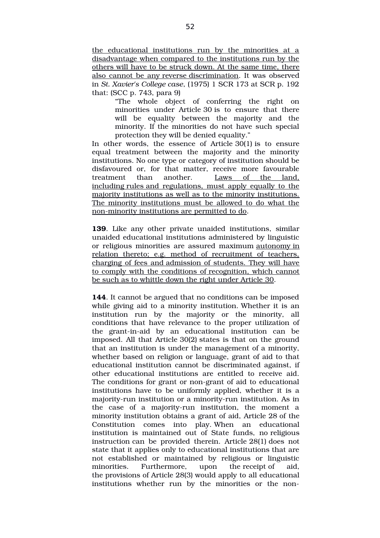the educational institutions run by the minorities at a disadvantage when compared to the institutions run by the others will have to be struck down.At the same time, there also cannot be any reverse discrimination. It was observed in *St. Xavier's College case*, (1975) 1 SCR 173 at SCR p. 192 that: (SCC p. 743, para 9)

> "The whole object of conferring the right on minorities under Article 30 is to ensure that there will be equality between the majority and the minority. If the minorities do not have such special protection they will be denied equality."

In other words, the essence of Article  $30(1)$  is to ensure equal treatment between the majority and the minority institutions. No one type or category of institution should be disfavoured or, for that matter, receive more favourable treatment than another. Laws of the land, including rules and regulations, must apply equally to the majority institutions as well as to the minority institutions. The minority institutions must be allowed to do what the non-minority institutions are permitted to do.

**139**. Like any other private unaided institutions, similar unaided educational institutions administered by linguistic or religious minorities are assured maximum autonomy in relation thereto; e.g. method of recruitment of teachers, charging of fees and admission of students. They will have to comply with the conditions of recognition, which cannot be such as to whittle down the right under Article 30.

**144**. It cannot be argued that no conditions can be imposed while giving aid to a minority institution. Whether it is an institution run by the majority or the minority, all conditions that have relevance to the proper utilization of the grant-in-aid by an educational institution can be imposed. All that Article 30(2) states is that on the ground that an institution is under the management of a minority, whether based on religion or language, grant of aid to that educational institution cannot be discriminated against, if other educational institutions are entitled to receive aid. The conditions for grant or non-grant of aid to educational institutions have to be uniformly applied, whether it is a majority-run institution or a minority-run institution. As in the case of a majority-run institution, the moment a minority institution obtains a grant of aid, Article 28 of the Constitution comes into play. When an educational institution is maintained out of State funds, no religious instruction can be provided therein. Article 28(1) does not state that it applies only to educational institutions that are not established or maintained by religious or linguistic minorities. Furthermore, upon the receipt of aid, the provisions of Article 28(3) would apply to all educational institutions whether run by the minorities or the non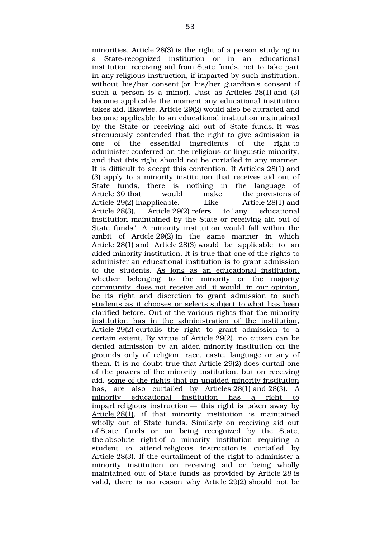minorities. Article 28(3) is the right of a person studying in a State-recognized institution or in an educational institution receiving aid from State funds, not to take part in any religious instruction, if imparted by such institution, without his/her consent (or his/her guardian's consent if such a person is a minor). Just as Articles 28(1) and (3) become applicable the moment any educational institution takes aid, likewise, Article 29(2) would also be attracted and become applicable to an educational institution maintained by the State or receiving aid out of State funds. It was strenuously contended that the right to give admission is one of the essential ingredients of the right to administer conferred on the religious or linguistic minority, and that this right should not be curtailed in any manner. It is difficult to accept this contention. If Articles 28(1) and (3) apply to a minority institution that receives aid out of State funds, there is nothing in the language of Article 30 that would make the provisions of Article 29(2) inapplicable. Like Article 28(1) and Article 28(3), Article 29(2) refers to "any educational institution maintained by the State or receiving aid out of State funds". A minority institution would fall within the ambit of Article 29(2) in the same manner in which Article  $28(1)$  and Article  $28(3)$  would be applicable to an aided minority institution. It is true that one of the rights to administer an educational institution is to grant admission to the students. As long as an educational institution, whether belonging to the minority or the majority community, does not receive aid, it would, in our opinion, be its right and discretion to grant admission to such students as it chooses or selects subject to what has been clarified before. Out of the various rights that the minority institution has in the administration of the institution, Article 29(2) curtails the right to grant admission to a certain extent. By virtue of Article 29(2), no citizen can be denied admission by an aided minority institution on the grounds only of religion, race, caste, language or any of them. It is no doubt true that Article 29(2) does curtail one of the powers of the minority institution, but on receiving aid, some of the rights that an unaided minority institution has, are also curtailed by Articles  $28(1)$  and  $28(3)$ . A minority educational institution has a right to impart religious instruction  $-$  this right is taken away by Article 28(1), if that minority institution is maintained wholly out of State funds. Similarly on receiving aid out of State funds or on being recognized by the State, the absolute right of a minority institution requiring a student to attend religious instruction is curtailed by Article 28(3). If the curtailment of the right to administer a minority institution on receiving aid or being wholly maintained out of State funds as provided by Article 28 is valid, there is no reason why Article 29(2) should not be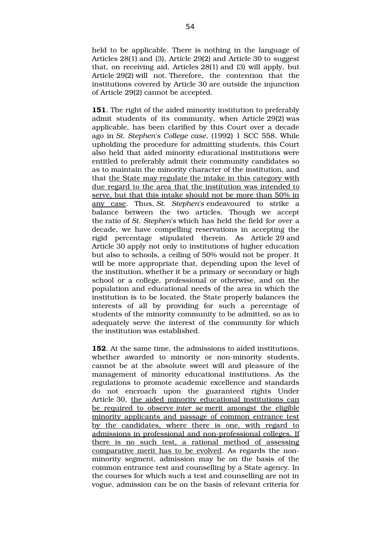held to be applicable. There is nothing in the language of Articles 28(1) and (3), Article 29(2) and Article 30 to suggest that, on receiving aid, Articles 28(1) and (3) will apply, but Article 29(2) will not. Therefore, the contention that the institutions covered by Article 30 are outside the injunction of Article 29(2) cannot be accepted.

**151**. The right of the aided minority institution to preferably admit students of its community, when Article 29(2) was applicable, has been clarified by this Court over a decade ago in *St. Stephen's College case*, (1992) 1 SCC 558. While upholding the procedure for admitting students, this Court also held that aided minority educational institutions were entitled to preferably admit their community candidates so as to maintain the minority character of the institution, and that the State may regulate the intake in this category with due regard to the area that the institution was intended to serve, but that this intake should not be more than 50% in any case. Thus, *St. Stephen's* endeavoured to strike a balance between the two articles. Though we accept the ratio of *St. Stephen's* which has held the field for over a decade, we have compelling reservations in accepting the rigid percentage stipulated therein. As Article 29 and Article 30 apply not only to institutions of higher education but also to schools, a ceiling of 50% would not be proper. It will be more appropriate that, depending upon the level of the institution, whether it be a primary or secondary or high school or a college, professional or otherwise, and on the population and educational needs of the area in which the institution is to be located, the State properly balances the interests of all by providing for such a percentage of students of the minority community to be admitted, so as to adequately serve the interest of the community for which the institution was established.

**152**. At the same time, the admissions to aided institutions, whether awarded to minority or non-minority students, cannot be at the absolute sweet will and pleasure of the management of minority educational institutions. As the regulations to promote academic excellence and standards do not encroach upon the guaranteed rights Under Article 30, the aided minority educational institutions can be required to observe *inter se* merit amongst the eligible minority applicants and passage of common entrance test by the candidates, where there is one, with regard to admissions in professional and non-professional colleges. If there is no such test, a rational method of assessing comparative merit has to be evolved. As regards the nonminority segment, admission may be on the basis of the common entrance test and counselling by a State agency. In the courses for which such a test and counselling are not in vogue, admission can be on the basis of relevant criteria for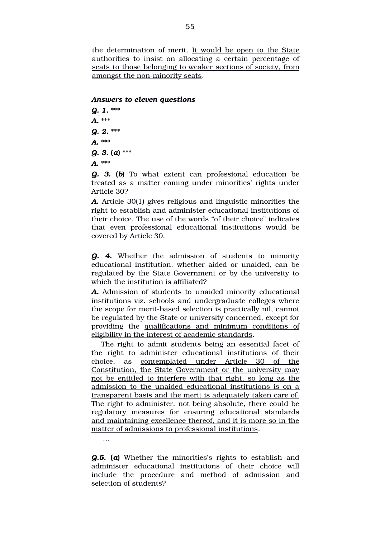the determination of merit. It would be open to the State authorities to insist on allocating a certain percentage of seats to those belonging to weaker sections of society, from amongst the non-minority seats.

#### *Answers to eleven questions*

*Q. 1***.** \*\*\* *A.* \*\*\* *Q. 2***.** \*\*\* *A***.** \*\*\* *Q. 3***. (***a***)** \*\*\* *A.* \*\*\*

…

*Q. 3***. (***b*) To what extent can professional education be treated as a matter coming under minorities' rights under Article 30?

*A.* Article 30(1) gives religious and linguistic minorities the right to establish and administer educational institutions of their choice. The use of the words "of their choice" indicates that even professional educational institutions would be covered by Article 30.

*Q. 4***.** Whether the admission of students to minority educational institution, whether aided or unaided, can be regulated by the State Government or by the university to which the institution is affiliated?

*A.* Admission of students to unaided minority educational institutions viz. schools and undergraduate colleges where the scope for merit-based selection is practically nil, cannot be regulated by the State or university concerned, except for providing the qualifications and minimum conditions of eligibility in the interest of academic standards.

The right to admit students being an essential facet of the right to administer educational institutions of their choice, as contemplated under Article 30 of the Constitution, the State Government or the university may not be entitled to interfere with that right, so long as the admission to the unaided educational institutions is on a transparent basis and the merit is adequately taken care of. The right to administer, not being absolute, there could be regulatory measures for ensuring educational standards and maintaining excellence thereof, and it is more so in the matter of admissions to professional institutions.

*Q.5***. (***a***)** Whether the minorities's rights to establish and administer educational institutions of their choice will include the procedure and method of admission and selection of students?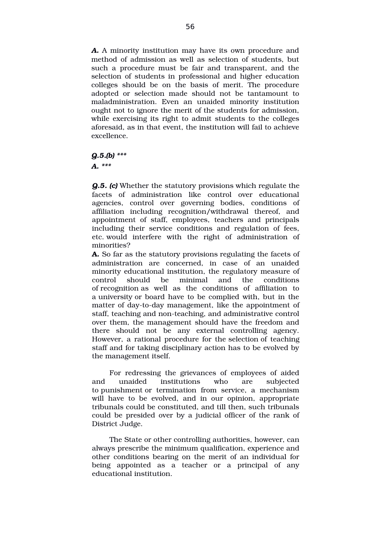*A.* A minority institution may have its own procedure and method of admission as well as selection of students, but such a procedure must be fair and transparent, and the selection of students in professional and higher education colleges should be on the basis of merit. The procedure adopted or selection made should not be tantamount to maladministration. Even an unaided minority institution ought not to ignore the merit of the students for admission, while exercising its right to admit students to the colleges aforesaid, as in that event, the institution will fail to achieve excellence.

*Q.5.(b) \*\*\**

*A. \*\*\**

*Q.5. (c)* Whether the statutory provisions which regulate the facets of administration like control over educational agencies, control over governing bodies, conditions of affiliation including recognition/withdrawal thereof, and appointment of staff, employees, teachers and principals including their service conditions and regulation of fees, etc. would interfere with the right of administration of minorities?

**A.** So far as the statutory provisions regulating the facets of administration are concerned, in case of an unaided minority educational institution, the regulatory measure of control should be minimal and the conditions of recognition as well as the conditions of affiliation to a university or board have to be complied with, but in the matter of day-to-day management, like the appointment of staff, teaching and non-teaching, and administrative control over them, the management should have the freedom and there should not be any external controlling agency. However, a rational procedure for the selection of teaching staff and for taking disciplinary action has to be evolved by the management itself.

For redressing the grievances of employees of aided and unaided institutions who are subjected to punishment or termination from service, a mechanism will have to be evolved, and in our opinion, appropriate tribunals could be constituted, and till then, such tribunals could be presided over by a judicial officer of the rank of District Judge.

The State or other controlling authorities, however, can always prescribe the minimum qualification, experience and other conditions bearing on the merit of an individual for being appointed as a teacher or a principal of any educational institution.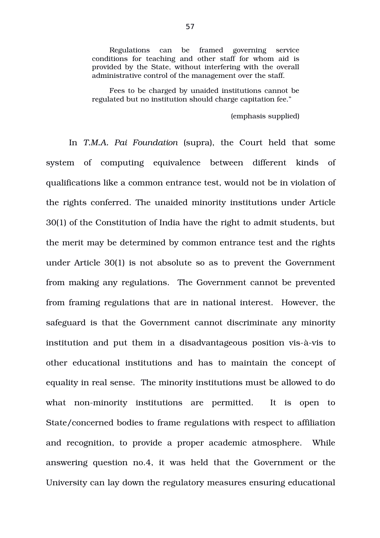Regulations can be framed governing service conditions for teaching and other staff for whom aid is provided by the State, without interfering with the overall administrative control of the management over the staff.

Fees to be charged by unaided institutions cannot be regulated but no institution should charge capitation fee."

(emphasis supplied)

In *T.M.A. Pai Foundation* (supra), the Court held that some system of computing equivalence between different kinds of qualifications like a common entrance test, would not be in violation of the rights conferred. The unaided minority institutions under Article 30(1) of the Constitution of India have the right to admit students, but the merit may be determined by common entrance test and the rights under Article 30(1) is not absolute so as to prevent the Government from making any regulations. The Government cannot be prevented from framing regulations that are in national interest. However, the safeguard is that the Government cannot discriminate any minority institution and put them in a disadvantageous position vis-à-vis to other educational institutions and has to maintain the concept of equality in real sense. The minority institutions must be allowed to do what non-minority institutions are permitted. It is open to State/concerned bodies to frame regulations with respect to affiliation and recognition, to provide a proper academic atmosphere. While answering question no.4, it was held that the Government or the University can lay down the regulatory measures ensuring educational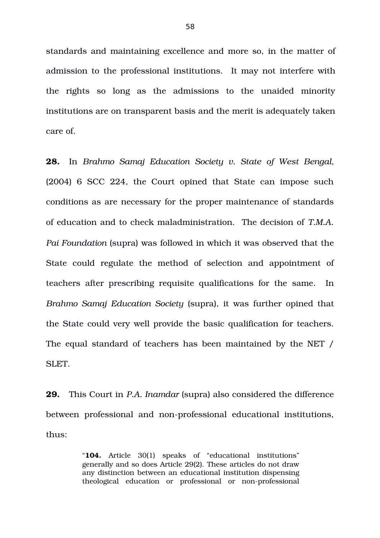standards and maintaining excellence and more so, in the matter of admission to the professional institutions. It may not interfere with the rights so long as the admissions to the unaided minority institutions are on transparent basis and the merit is adequately taken care of.

**28.** In *Brahmo Samaj Education Society v. State of West Bengal,* (2004) 6 SCC 224, the Court opined that State can impose such conditions as are necessary for the proper maintenance of standards of education and to check maladministration. The decision of *T.M.A. Pai Foundation* (supra) was followed in which it was observed that the State could regulate the method of selection and appointment of teachers after prescribing requisite qualifications for the same. In *Brahmo Samaj Education Society* (supra), it was further opined that the State could very well provide the basic qualification for teachers. The equal standard of teachers has been maintained by the NET / SLET.

**29.** This Court in *P.A. Inamdar* (supra) also considered the difference between professional and non-professional educational institutions, thus:

> "**104.** Article 30(1) speaks of "educational institutions" generally and so does Article 29(2). These articles do not draw any distinction between an educational institution dispensing theological education or professional or non-professional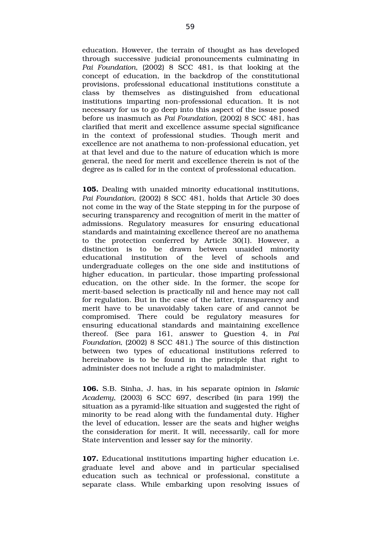education. However, the terrain of thought as has developed through successive judicial pronouncements culminating in Pai Foundation, (2002) 8 SCC 481, is that looking at the concept of education, in the backdrop of the constitutional provisions, professional educational institutions constitute a class by themselves as distinguished from educational institutions imparting non-professional education. It is not necessary for us to go deep into this aspect of the issue posed before us inasmuch as *Pai Foundation,* (2002) 8 SCC 481, has clarified that merit and excellence assume special significance in the context of professional studies. Though merit and excellence are not anathema to non-professional education, yet at that level and due to the nature of education which is more general, the need for merit and excellence therein is not of the degree as is called for in the context of professional education.

**105.** Dealing with unaided minority educational institutions, *Pai Foundation,* (2002) 8 SCC 481, holds that Article 30 does not come in the way of the State stepping in for the purpose of securing transparency and recognition of merit in the matter of admissions. Regulatory measures for ensuring educational standards and maintaining excellence thereof are no anathema to the protection conferred by Article 30(1). However, a distinction is to be drawn between unaided minority educational institution of the level of schools and undergraduate colleges on the one side and institutions of higher education, in particular, those imparting professional education, on the other side. In the former, the scope for merit-based selection is practically nil and hence may not call for regulation. But in the case of the latter, transparency and merit have to be unavoidably taken care of and cannot be compromised. There could be regulatory measures for ensuring educational standards and maintaining excellence thereof. (See para 161, answer to Question 4, in *Pai Foundation,* (2002) 8 SCC 481.) The source of this distinction between two types of educational institutions referred to hereinabove is to be found in the principle that right to administer does not include a right to maladminister.

**106.** S.B. Sinha, J. has, in his separate opinion in *Islamic Academy*, (2003) 6 SCC 697, described (in para 199) the situation as a pyramid-like situation and suggested the right of minority to be read along with the fundamental duty. Higher the level of education, lesser are the seats and higher weighs the consideration for merit. It will, necessarily, call for more State intervention and lesser say for the minority.

**107.** Educational institutions imparting higher education i.e. graduate level and above and in particular specialised education such as technical or professional, constitute a separate class. While embarking upon resolving issues of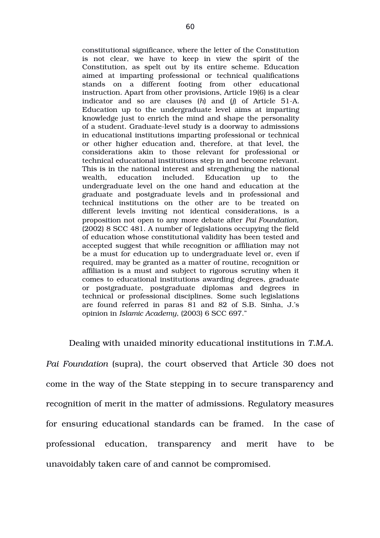constitutional significance, where the letter of the Constitution is not clear, we have to keep in view the spirit of the Constitution, as spelt out by its entire scheme. Education aimed at imparting professional or technical qualifications stands on a different footing from other educational instruction. Apart from other provisions, Article 19(6) is a clear indicator and so are clauses (h) and (j) of Article 51-A. Education up to the undergraduate level aims at imparting knowledge just to enrich the mind and shape the personality of a student. Graduate-level study is a doorway to admissions in educational institutions imparting professional or technical or other higher education and, therefore, at that level, the considerations akin to those relevant for professional or technical educational institutions step in and become relevant. This is in the national interest and strengthening the national wealth, education included. Education up to the undergraduate level on the one hand and education at the graduate and postgraduate levels and in professional and technical institutions on the other are to be treated on different levels inviting not identical considerations, is a proposition not open to any more debate after *Pai Foundation,* (2002) 8 SCC 481. A number of legislations occupying the field of education whose constitutional validity has been tested and accepted suggest that while recognition or affiliation may not be a must for education up to undergraduate level or, even if required, may be granted as a matter of routine, recognition or affiliation is a must and subject to rigorous scrutiny when it comes to educational institutions awarding degrees, graduate or postgraduate, postgraduate diplomas and degrees in technical or professional disciplines. Some such legislations are found referred in paras 81 and 82 of S.B. Sinha, J.'s opinion in *Islamic Academy*, (2003) 6 SCC 697."

Dealing with unaided minority educational institutions in *T.M.A. Pai Foundation (supra), the court observed that Article 30 does not* come in the way of the State stepping in to secure transparency and recognition of merit in the matter of admissions. Regulatory measures for ensuring educational standards can be framed. In the case of professional education, transparency and merit have to be unavoidably taken care of and cannot be compromised.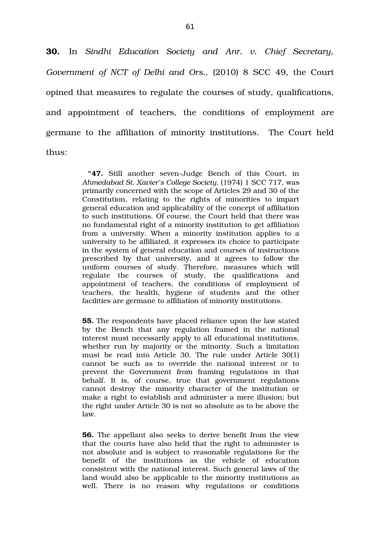**30.** In *Sindhi Education Society and Anr. v. Chief Secretary, Government of NCT of Delhi and Ors.,* (2010) 8 SCC 49, the Court opined that measures to regulate the courses of study, qualifications, and appointment of teachers, the conditions of employment are germane to the affiliation of minority institutions. The Court held thus:

> **"47.** Still another seven-Judge Bench of this Court, in *Ahmedabad St. Xavier's College Society,* (1974) 1 SCC 717, was primarily concerned with the scope of Articles 29 and 30 of the Constitution, relating to the rights of minorities to impart general education and applicability of the concept of affiliation to such institutions. Of course, the Court held that there was no fundamental right of a minority institution to get affiliation from a university. When a minority institution applies to a university to be affiliated, it expresses its choice to participate in the system of general education and courses of instructions prescribed by that university, and it agrees to follow the uniform courses of study. Therefore, measures which will regulate the courses of study, the qualifications and appointment of teachers, the conditions of employment of teachers, the health, hygiene of students and the other facilities are germane to affiliation of minority institutions.

> **55.** The respondents have placed reliance upon the law stated by the Bench that any regulation framed in the national interest must necessarily apply to all educational institutions, whether run by majority or the minority. Such a limitation must be read into Article 30. The rule under Article 30(1) cannot be such as to override the national interest or to prevent the Government from framing regulations in that behalf. It is, of course, true that government regulations cannot destroy the minority character of the institution or make a right to establish and administer a mere illusion; but the right under Article 30 is not so absolute as to be above the law.

> **56.** The appellant also seeks to derive benefit from the view that the courts have also held that the right to administer is not absolute and is subject to reasonable regulations for the benefit of the institutions as the vehicle of education consistent with the national interest. Such general laws of the land would also be applicable to the minority institutions as well. There is no reason why regulations or conditions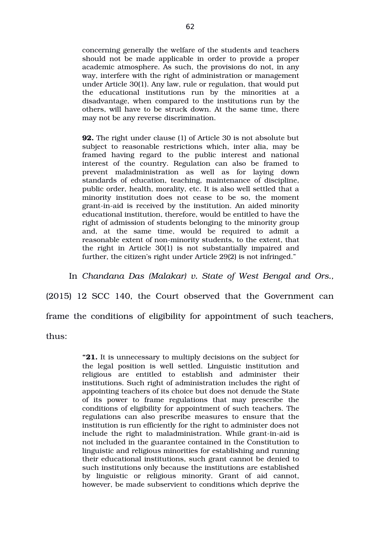concerning generally the welfare of the students and teachers should not be made applicable in order to provide a proper academic atmosphere. As such, the provisions do not, in any way, interfere with the right of administration or management under Article 30(1). Any law, rule or regulation, that would put the educational institutions run by the minorities at a disadvantage, when compared to the institutions run by the others, will have to be struck down. At the same time, there may not be any reverse discrimination.

**92.** The right under clause (1) of Article 30 is not absolute but subject to reasonable restrictions which, inter alia, may be framed having regard to the public interest and national interest of the country. Regulation can also be framed to prevent maladministration as well as for laying down standards of education, teaching, maintenance of discipline, public order, health, morality, etc. It is also well settled that a minority institution does not cease to be so, the moment grant-in-aid is received by the institution. An aided minority educational institution, therefore, would be entitled to have the right of admission of students belonging to the minority group and, at the same time, would be required to admit a reasonable extent of non-minority students, to the extent, that the right in Article 30(1) is not substantially impaired and further, the citizen's right under Article 29(2) is not infringed."

In *Chandana Das (Malakar) v. State of West Bengal and Ors.,*

(2015) 12 SCC 140, the Court observed that the Government can frame the conditions of eligibility for appointment of such teachers, thus:

> **"21.** It is unnecessary to multiply decisions on the subject for the legal position is well settled. Linguistic institution and religious are entitled to establish and administer their institutions. Such right of administration includes the right of appointing teachers of its choice but does not denude the State of its power to frame regulations that may prescribe the conditions of eligibility for appointment of such teachers. The regulations can also prescribe measures to ensure that the institution is run efficiently for the right to administer does not include the right to maladministration. While grant-in-aid is not included in the guarantee contained in the Constitution to linguistic and religious minorities for establishing and running their educational institutions, such grant cannot be denied to such institutions only because the institutions are established by linguistic or religious minority. Grant of aid cannot, however, be made subservient to conditions which deprive the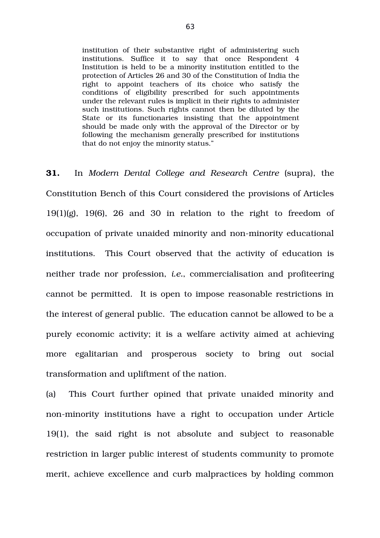institution of their substantive right of administering such institutions. Suffice it to say that once Respondent 4 Institution is held to be a minority institution entitled to the protection of Articles 26 and 30 of the Constitution of India the right to appoint teachers of its choice who satisfy the conditions of eligibility prescribed for such appointments under the relevant rules is implicit in their rights to administer such institutions. Such rights cannot then be diluted by the State or its functionaries insisting that the appointment should be made only with the approval of the Director or by following the mechanism generally prescribed for institutions that do not enjoy the minority status."

**31.** In Modern Dental College and Research Centre (supra), the Constitution Bench of this Court considered the provisions of Articles  $19(1)(g)$ ,  $19(6)$ ,  $26$  and  $30$  in relation to the right to freedom of occupation of private unaided minority and non-minority educational institutions. This Court observed that the activity of education is neither trade nor profession, *i.e.*, commercialisation and profiteering cannot be permitted. It is open to impose reasonable restrictions in the interest of general public. The education cannot be allowed to be a purely economic activity; it is a welfare activity aimed at achieving more egalitarian and prosperous society to bring out social transformation and upliftment of the nation.

(a) This Court further opined that private unaided minority and non-minority institutions have a right to occupation under Article  $19(1)$ , the said right is not absolute and subject to reasonable restriction in larger public interest of students community to promote merit, achieve excellence and curb malpractices by holding common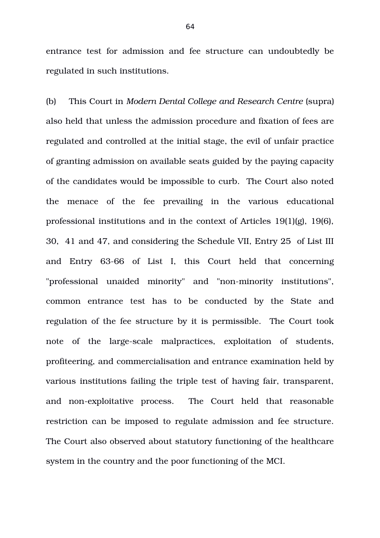entrance test for admission and fee structure can undoubtedly be regulated in such institutions.

(b) This Court in *Modern Dental College and Research Centre* (supra) also held that unless the admission procedure and fixation of fees are regulated and controlled at the initial stage, the evil of unfair practice of granting admission on available seats guided by the paying capacity of the candidates would be impossible to curb. The Court also noted the menace of the fee prevailing in the various educational professional institutions and in the context of Articles 19(1)(g), 19(6), 30, 41 and 47, and considering the Schedule VII, Entry 25 of List III and Entry 63-66 of List I, this Court held that concerning "professional unaided minority" and "non-minority institutions", common entrance test has to be conducted by the State and regulation of the fee structure by it is permissible. The Court took note of the large-scale malpractices, exploitation of students, profiteering, and commercialisation and entrance examination held by various institutions failing the triple test of having fair, transparent, and non-exploitative process. The Court held that reasonable restriction can be imposed to regulate admission and fee structure. The Court also observed about statutory functioning of the healthcare system in the country and the poor functioning of the MCI.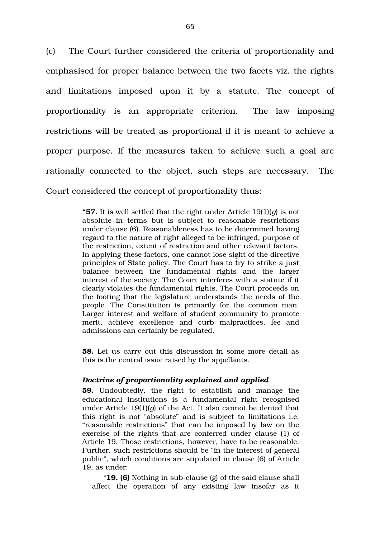(c) The Court further considered the criteria of proportionality and emphasised for proper balance between the two facets viz. the rights and limitations imposed upon it by a statute. The concept of proportionality is an appropriate criterion. The law imposing restrictions will be treated as proportional if it is meant to achieve a proper purpose. If the measures taken to achieve such a goal are rationally connected to the object, such steps are necessary. The Court considered the concept of proportionality thus:

> **"57.** It is well settled that the right under Article 19(1)(*g*) is not absolute in terms but is subject to reasonable restrictions under clause (6). Reasonableness has to be determined having regard to the nature of right alleged to be infringed, purpose of the restriction, extent of restriction and other relevant factors. In applying these factors, one cannot lose sight of the directive principles of State policy. The Court has to try to strike a just balance between the fundamental rights and the larger interest of the society. The Court interferes with a statute if it clearly violates the fundamental rights. The Court proceeds on the footing that the legislature understands the needs of the people. The Constitution is primarily for the common man. Larger interest and welfare of student community to promote merit, achieve excellence and curb malpractices, fee and admissions can certainly be regulated.

> **58.** Let us carry out this discussion in some more detail as this is the central issue raised by the appellants.

#### *Doctrine of proportionality explained and applied*

**59.** Undoubtedly, the right to establish and manage the educational institutions is a fundamental right recognised under Article 19(1)(*g*) of the Act. It also cannot be denied that this right is not "absolute" and is subject to limitations i.e. "reasonable restrictions" that can be imposed by law on the exercise of the rights that are conferred under clause (1) of Article 19. Those restrictions, however, have to be reasonable. Further, such restrictions should be "in the interest of general public", which conditions are stipulated in clause (6) of Article 19, as under:

"**19. (6)** Nothing in sub-clause (g) of the said clause shall affect the operation of any existing law insofar as it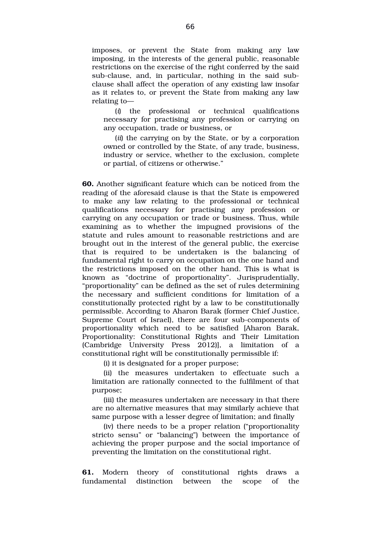imposes, or prevent the State from making any law imposing, in the interests of the general public, reasonable restrictions on the exercise of the right conferred by the said sub-clause, and, in particular, nothing in the said subclause shall affect the operation of any existing law insofar as it relates to, or prevent the State from making any law relating to—

(*i*) the professional or technical qualifications necessary for practising any profession or carrying on any occupation, trade or business, or

(*ii*) the carrying on by the State, or by a corporation owned or controlled by the State, of any trade, business, industry or service, whether to the exclusion, complete or partial, of citizens or otherwise."

**60.** Another significant feature which can be noticed from the reading of the aforesaid clause is that the State is empowered to make any law relating to the professional or technical qualifications necessary for practising any profession or carrying on any occupation or trade or business. Thus, while examining as to whether the impugned provisions of the statute and rules amount to reasonable restrictions and are brought out in the interest of the general public, the exercise that is required to be undertaken is the balancing of fundamental right to carry on occupation on the one hand and the restrictions imposed on the other hand. This is what is known as "doctrine of proportionality". Jurisprudentially, "proportionality" can be defined as the set of rules determining the necessary and sufficient conditions for limitation of a constitutionally protected right by a law to be constitutionally permissible. According to Aharon Barak (former Chief Justice, Supreme Court of Israel), there are four sub-components of proportionality which need to be satisfied [Aharon Barak, Proportionality: Constitutional Rights and Their Limitation (Cambridge University Press 2012)], a limitation of a constitutional right will be constitutionally permissible if:

(i) it is designated for a proper purpose;

(ii) the measures undertaken to effectuate such a limitation are rationally connected to the fulfilment of that purpose;

(iii) the measures undertaken are necessary in that there are no alternative measures that may similarly achieve that same purpose with a lesser degree of limitation; and finally

(iv) there needs to be a proper relation ("proportionality stricto sensu" or "balancing") between the importance of achieving the proper purpose and the social importance of preventing the limitation on the constitutional right.

**61.** Modern theory of constitutional rights draws a fundamental distinction between the scope of the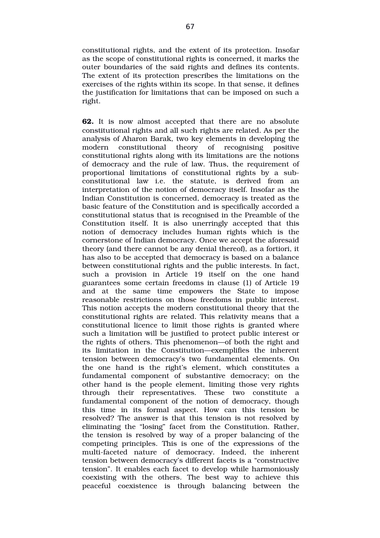constitutional rights, and the extent of its protection. Insofar as the scope of constitutional rights is concerned, it marks the outer boundaries of the said rights and defines its contents. The extent of its protection prescribes the limitations on the exercises of the rights within its scope. In that sense, it defines the justification for limitations that can be imposed on such a right.

**62.** It is now almost accepted that there are no absolute constitutional rights and all such rights are related. As per the analysis of Aharon Barak, two key elements in developing the modern constitutional theory of recognising positive constitutional rights along with its limitations are the notions of democracy and the rule of law. Thus, the requirement of proportional limitations of constitutional rights by a subconstitutional law i.e. the statute, is derived from an interpretation of the notion of democracy itself. Insofar as the Indian Constitution is concerned, democracy is treated as the basic feature of the Constitution and is specifically accorded a constitutional status that is recognised in the Preamble of the Constitution itself. It is also unerringly accepted that this notion of democracy includes human rights which is the cornerstone of Indian democracy. Once we accept the aforesaid theory (and there cannot be any denial thereof), as a fortiori, it has also to be accepted that democracy is based on a balance between constitutional rights and the public interests. In fact, such a provision in Article 19 itself on the one hand guarantees some certain freedoms in clause (1) of Article 19 and at the same time empowers the State to impose reasonable restrictions on those freedoms in public interest. This notion accepts the modern constitutional theory that the constitutional rights are related. This relativity means that a constitutional licence to limit those rights is granted where such a limitation will be justified to protect public interest or the rights of others. This phenomenon—of both the right and its limitation in the Constitution—exemplifies the inherent tension between democracy's two fundamental elements. On the one hand is the right's element, which constitutes a fundamental component of substantive democracy; on the other hand is the people element, limiting those very rights through their representatives. These two constitute a fundamental component of the notion of democracy, though this time in its formal aspect. How can this tension be resolved? The answer is that this tension is not resolved by eliminating the "losing" facet from the Constitution. Rather, the tension is resolved by way of a proper balancing of the competing principles. This is one of the expressions of the multi-faceted nature of democracy. Indeed, the inherent tension between democracy's different facets is a "constructive tension". It enables each facet to develop while harmoniously coexisting with the others. The best way to achieve this peaceful coexistence is through balancing between the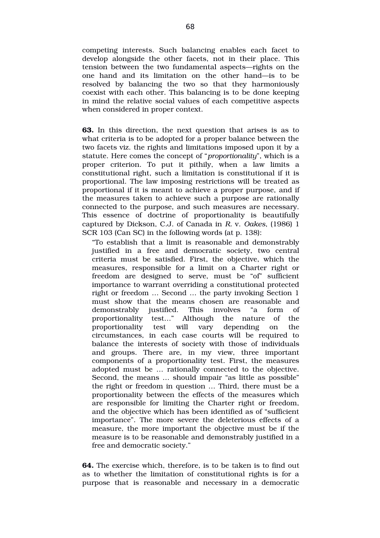competing interests. Such balancing enables each facet to develop alongside the other facets, not in their place. This tension between the two fundamental aspects—rights on the one hand and its limitation on the other hand—is to be resolved by balancing the two so that they harmoniously coexist with each other. This balancing is to be done keeping in mind the relative social values of each competitive aspects when considered in proper context.

**63.** In this direction, the next question that arises is as to what criteria is to be adopted for a proper balance between the two facets viz. the rights and limitations imposed upon it by a statute. Here comes the concept of "*proportionality*", which is a proper criterion. To put it pithily, when a law limits a constitutional right, such a limitation is constitutional if it is proportional. The law imposing restrictions will be treated as proportional if it is meant to achieve a proper purpose, and if the measures taken to achieve such a purpose are rationally connected to the purpose, and such measures are necessary. This essence of doctrine of proportionality is beautifully captured by Dickson, C.J. of Canada in *R.* v. *Oakes*, (1986) 1 SCR 103 (Can SC) in the following words (at p. 138):

"To establish that a limit is reasonable and demonstrably justified in a free and democratic society, two central criteria must be satisfied. First, the objective, which the measures, responsible for a limit on a Charter right or freedom are designed to serve, must be "of" sufficient importance to warrant overriding a constitutional protected right or freedom … Second … the party invoking Section 1 must show that the means chosen are reasonable and demonstrably justified. This involves "a form of proportionality test…" Although the nature of the proportionality test will vary depending on the circumstances, in each case courts will be required to balance the interests of society with those of individuals and groups. There are, in my view, three important components of a proportionality test. First, the measures adopted must be … rationally connected to the objective. Second, the means … should impair "as little as possible" the right or freedom in question … Third, there must be a proportionality between the effects of the measures which are responsible for limiting the Charter right or freedom, and the objective which has been identified as of "sufficient importance". The more severe the deleterious effects of a measure, the more important the objective must be if the measure is to be reasonable and demonstrably justified in a free and democratic society."

**64.** The exercise which, therefore, is to be taken is to find out as to whether the limitation of constitutional rights is for a purpose that is reasonable and necessary in a democratic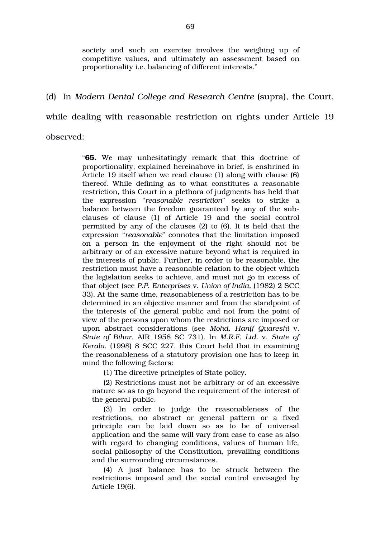society and such an exercise involves the weighing up of competitive values, and ultimately an assessment based on proportionality i.e. balancing of different interests."

## (d) In *Modern Dental College and Research Centre* (supra), the Court,

while dealing with reasonable restriction on rights under Article 19

observed:

"**65.** We may unhesitatingly remark that this doctrine of proportionality, explained hereinabove in brief, is enshrined in Article 19 itself when we read clause (1) along with clause (6) thereof. While defining as to what constitutes a reasonable restriction, this Court in a plethora of judgments has held that the expression "*reasonable restriction*" seeks to strike a balance between the freedom guaranteed by any of the subclauses of clause (1) of Article 19 and the social control permitted by any of the clauses (2) to (6). It is held that the expression "*reasonable*" connotes that the limitation imposed on a person in the enjoyment of the right should not be arbitrary or of an excessive nature beyond what is required in the interests of public. Further, in order to be reasonable, the restriction must have a reasonable relation to the object which the legislation seeks to achieve, and must not go in excess of that object (see *P.P. Enterprises* v. *Union of India,* (1982) 2 SCC 33). At the same time, reasonableness of a restriction has to be determined in an objective manner and from the standpoint of the interests of the general public and not from the point of view of the persons upon whom the restrictions are imposed or upon abstract considerations (see *Mohd. Hanif Quareshi* v. *State of Bihar*, AIR 1958 SC 731). In *M.R.F. Ltd.* v. *State of Kerala*, (1998) 8 SCC 227, this Court held that in examining the reasonableness of a statutory provision one has to keep in mind the following factors:

(1) The directive principles of State policy.

(2) Restrictions must not be arbitrary or of an excessive nature so as to go beyond the requirement of the interest of the general public.

(3) In order to judge the reasonableness of the restrictions, no abstract or general pattern or a fixed principle can be laid down so as to be of universal application and the same will vary from case to case as also with regard to changing conditions, values of human life, social philosophy of the Constitution, prevailing conditions and the surrounding circumstances.

(4) A just balance has to be struck between the restrictions imposed and the social control envisaged by Article 19(6).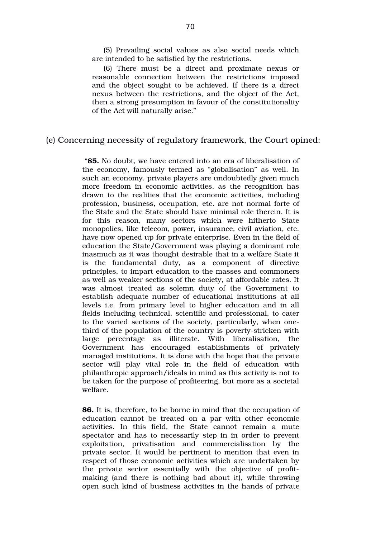(5) Prevailing social values as also social needs which are intended to be satisfied by the restrictions.

(6) There must be a direct and proximate nexus or reasonable connection between the restrictions imposed and the object sought to be achieved. If there is a direct nexus between the restrictions, and the object of the Act, then a strong presumption in favour of the constitutionality of the Act will naturally arise."

### (e) Concerning necessity of regulatory framework, the Court opined:

 "**85.** No doubt, we have entered into an era of liberalisation of the economy, famously termed as "globalisation" as well. In such an economy, private players are undoubtedly given much more freedom in economic activities, as the recognition has drawn to the realities that the economic activities, including profession, business, occupation, etc. are not normal forte of the State and the State should have minimal role therein. It is for this reason, many sectors which were hitherto State monopolies, like telecom, power, insurance, civil aviation, etc. have now opened up for private enterprise. Even in the field of education the State/Government was playing a dominant role inasmuch as it was thought desirable that in a welfare State it is the fundamental duty, as a component of directive principles, to impart education to the masses and commoners as well as weaker sections of the society, at affordable rates. It was almost treated as solemn duty of the Government to establish adequate number of educational institutions at all levels i.e. from primary level to higher education and in all fields including technical, scientific and professional, to cater to the varied sections of the society, particularly, when onethird of the population of the country is poverty-stricken with large percentage as illiterate. With liberalisation, the Government has encouraged establishments of privately managed institutions. It is done with the hope that the private sector will play vital role in the field of education with philanthropic approach/ideals in mind as this activity is not to be taken for the purpose of profiteering, but more as a societal welfare.

**86.** It is, therefore, to be borne in mind that the occupation of education cannot be treated on a par with other economic activities. In this field, the State cannot remain a mute spectator and has to necessarily step in in order to prevent exploitation, privatisation and commercialisation by the private sector. It would be pertinent to mention that even in respect of those economic activities which are undertaken by the private sector essentially with the objective of profitmaking (and there is nothing bad about it), while throwing open such kind of business activities in the hands of private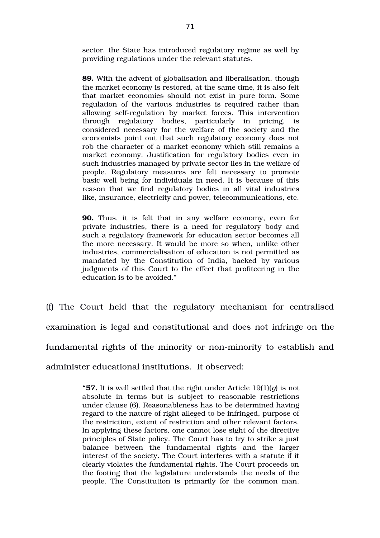sector, the State has introduced regulatory regime as well by providing regulations under the relevant statutes.

**89.** With the advent of globalisation and liberalisation, though the market economy is restored, at the same time, it is also felt that market economies should not exist in pure form. Some regulation of the various industries is required rather than allowing self-regulation by market forces. This intervention through regulatory bodies, particularly in pricing, is considered necessary for the welfare of the society and the economists point out that such regulatory economy does not rob the character of a market economy which still remains a market economy. Justification for regulatory bodies even in such industries managed by private sector lies in the welfare of people. Regulatory measures are felt necessary to promote basic well being for individuals in need. It is because of this reason that we find regulatory bodies in all vital industries like, insurance, electricity and power, telecommunications, etc.

**90.** Thus, it is felt that in any welfare economy, even for private industries, there is a need for regulatory body and such a regulatory framework for education sector becomes all the more necessary. It would be more so when, unlike other industries, commercialisation of education is not permitted as mandated by the Constitution of India, backed by various judgments of this Court to the effect that profiteering in the education is to be avoided."

(f) The Court held that the regulatory mechanism for centralised examination is legal and constitutional and does not infringe on the fundamental rights of the minority or non-minority to establish and administer educational institutions. It observed:

> **"57.** It is well settled that the right under Article 19(1)(*g*) is not absolute in terms but is subject to reasonable restrictions under clause (6). Reasonableness has to be determined having regard to the nature of right alleged to be infringed, purpose of the restriction, extent of restriction and other relevant factors. In applying these factors, one cannot lose sight of the directive principles of State policy. The Court has to try to strike a just balance between the fundamental rights and the larger interest of the society. The Court interferes with a statute if it clearly violates the fundamental rights. The Court proceeds on the footing that the legislature understands the needs of the people. The Constitution is primarily for the common man.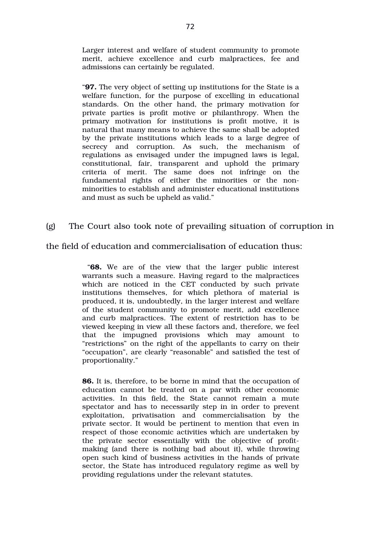Larger interest and welfare of student community to promote merit, achieve excellence and curb malpractices, fee and admissions can certainly be regulated.

"**97.** The very object of setting up institutions for the State is a welfare function, for the purpose of excelling in educational standards. On the other hand, the primary motivation for private parties is profit motive or philanthropy. When the primary motivation for institutions is profit motive, it is natural that many means to achieve the same shall be adopted by the private institutions which leads to a large degree of secrecy and corruption. As such, the mechanism of regulations as envisaged under the impugned laws is legal, constitutional, fair, transparent and uphold the primary criteria of merit. The same does not infringe on the fundamental rights of either the minorities or the nonminorities to establish and administer educational institutions and must as such be upheld as valid."

# (g) The Court also took note of prevailing situation of corruption in

the field of education and commercialisation of education thus:

 "**68.** We are of the view that the larger public interest warrants such a measure. Having regard to the malpractices which are noticed in the CET conducted by such private institutions themselves, for which plethora of material is produced, it is, undoubtedly, in the larger interest and welfare of the student community to promote merit, add excellence and curb malpractices. The extent of restriction has to be viewed keeping in view all these factors and, therefore, we feel that the impugned provisions which may amount to "restrictions" on the right of the appellants to carry on their "occupation", are clearly "reasonable" and satisfied the test of proportionality."

**86.** It is, therefore, to be borne in mind that the occupation of education cannot be treated on a par with other economic activities. In this field, the State cannot remain a mute spectator and has to necessarily step in in order to prevent exploitation, privatisation and commercialisation by the private sector. It would be pertinent to mention that even in respect of those economic activities which are undertaken by the private sector essentially with the objective of profitmaking (and there is nothing bad about it), while throwing open such kind of business activities in the hands of private sector, the State has introduced regulatory regime as well by providing regulations under the relevant statutes.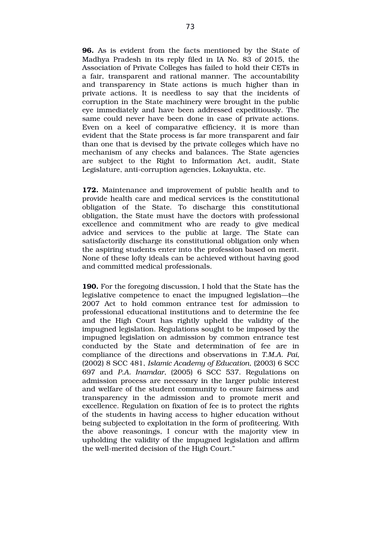**96.** As is evident from the facts mentioned by the State of Madhya Pradesh in its reply filed in IA No. 83 of 2015, the Association of Private Colleges has failed to hold their CETs in a fair, transparent and rational manner. The accountability and transparency in State actions is much higher than in private actions. It is needless to say that the incidents of corruption in the State machinery were brought in the public eye immediately and have been addressed expeditiously. The same could never have been done in case of private actions. Even on a keel of comparative efficiency, it is more than evident that the State process is far more transparent and fair than one that is devised by the private colleges which have no mechanism of any checks and balances. The State agencies are subject to the Right to Information Act, audit, State Legislature, anti-corruption agencies, Lokayukta, etc.

**172.** Maintenance and improvement of public health and to provide health care and medical services is the constitutional obligation of the State. To discharge this constitutional obligation, the State must have the doctors with professional excellence and commitment who are ready to give medical advice and services to the public at large. The State can satisfactorily discharge its constitutional obligation only when the aspiring students enter into the profession based on merit. None of these lofty ideals can be achieved without having good and committed medical professionals.

**190.** For the foregoing discussion, I hold that the State has the legislative competence to enact the impugned legislation—the 2007 Act to hold common entrance test for admission to professional educational institutions and to determine the fee and the High Court has rightly upheld the validity of the impugned legislation. Regulations sought to be imposed by the impugned legislation on admission by common entrance test conducted by the State and determination of fee are in compliance of the directions and observations in *T.M.A. Pai*, (2002) 8 SCC 481, *Islamic Academy of Education*, (2003) 6 SCC 697 and *P.A. Inamdar*, (2005) 6 SCC 537. Regulations on admission process are necessary in the larger public interest and welfare of the student community to ensure fairness and transparency in the admission and to promote merit and excellence. Regulation on fixation of fee is to protect the rights of the students in having access to higher education without being subjected to exploitation in the form of profiteering. With the above reasonings, I concur with the majority view in upholding the validity of the impugned legislation and affirm the well-merited decision of the High Court."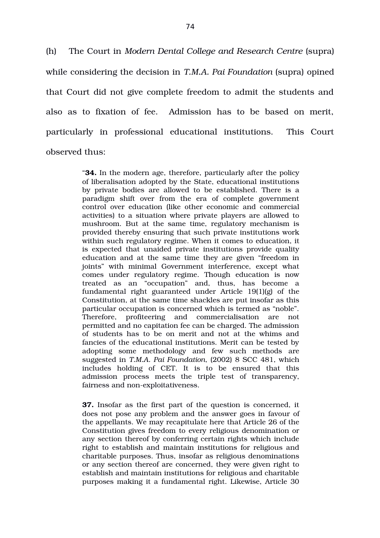(h) The Court in *Modern Dental College and Research Centre* (supra) while considering the decision in *T.M.A. Pai Foundation* (supra) opined that Court did not give complete freedom to admit the students and also as to fixation of fee. Admission has to be based on merit, particularly in professional educational institutions. This Court observed thus:

> "**34.** In the modern age, therefore, particularly after the policy of liberalisation adopted by the State, educational institutions by private bodies are allowed to be established. There is a paradigm shift over from the era of complete government control over education (like other economic and commercial activities) to a situation where private players are allowed to mushroom. But at the same time, regulatory mechanism is provided thereby ensuring that such private institutions work within such regulatory regime. When it comes to education, it is expected that unaided private institutions provide quality education and at the same time they are given "freedom in joints" with minimal Government interference, except what comes under regulatory regime. Though education is now treated as an "occupation" and, thus, has become a fundamental right guaranteed under Article  $19(1)(g)$  of the Constitution, at the same time shackles are put insofar as this particular occupation is concerned which is termed as "noble". Therefore, profiteering and commercialisation are not permitted and no capitation fee can be charged. The admission of students has to be on merit and not at the whims and fancies of the educational institutions. Merit can be tested by adopting some methodology and few such methods are suggested in *T.M.A. Pai Foundation*, (2002) 8 SCC 481, which includes holding of CET. It is to be ensured that this admission process meets the triple test of transparency, fairness and non-exploitativeness.

> **37.** Insofar as the first part of the question is concerned, it does not pose any problem and the answer goes in favour of the appellants. We may recapitulate here that Article 26 of the Constitution gives freedom to every religious denomination or any section thereof by conferring certain rights which include right to establish and maintain institutions for religious and charitable purposes. Thus, insofar as religious denominations or any section thereof are concerned, they were given right to establish and maintain institutions for religious and charitable purposes making it a fundamental right. Likewise, Article 30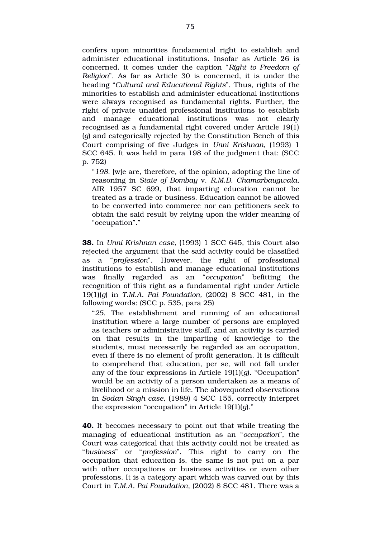confers upon minorities fundamental right to establish and administer educational institutions. Insofar as Article 26 is concerned, it comes under the caption "*Right to Freedom of Religion*". As far as Article 30 is concerned, it is under the heading "*Cultural and Educational Rights*". Thus, rights of the minorities to establish and administer educational institutions were always recognised as fundamental rights. Further, the right of private unaided professional institutions to establish and manage educational institutions was not clearly recognised as a fundamental right covered under Article 19(1) (*g*) and categorically rejected by the Constitution Bench of this Court comprising of five Judges in *Unni Krishnan,* (1993) 1 SCC 645. It was held in para 198 of the judgment that: (SCC p. 752)

"*198*. [w]e are, therefore, of the opinion, adopting the line of reasoning in *State of Bombay* v. *R.M.D. Chamarbaugwala*, AIR 1957 SC 699, that imparting education cannot be treated as a trade or business. Education cannot be allowed to be converted into commerce nor can petitioners seek to obtain the said result by relying upon the wider meaning of "occupation"."

**38.** In *Unni Krishnan case*, (1993) 1 SCC 645, this Court also rejected the argument that the said activity could be classified as a "*profession*". However, the right of professional institutions to establish and manage educational institutions was finally regarded as an "*occupation*" befitting the recognition of this right as a fundamental right under Article 19(1)(*g*) in *T.M.A. Pai Foundation,* (2002) 8 SCC 481, in the following words: (SCC p. 535, para 25)

"*25*. The establishment and running of an educational institution where a large number of persons are employed as teachers or administrative staff, and an activity is carried on that results in the imparting of knowledge to the students, must necessarily be regarded as an occupation, even if there is no element of profit generation. It is difficult to comprehend that education, per se, will not fall under any of the four expressions in Article 19(1)(*g*). "Occupation" would be an activity of a person undertaken as a means of livelihood or a mission in life. The abovequoted observations in *Sodan Singh case*, (1989) 4 SCC 155, correctly interpret the expression "occupation" in Article 19(1)(*g*)."

**40.** It becomes necessary to point out that while treating the managing of educational institution as an "*occupation*", the Court was categorical that this activity could not be treated as "*business*" or "*profession*". This right to carry on the occupation that education is, the same is not put on a par with other occupations or business activities or even other professions. It is a category apart which was carved out by this Court in *T.M.A. Pai Foundation*, (2002) 8 SCC 481. There was a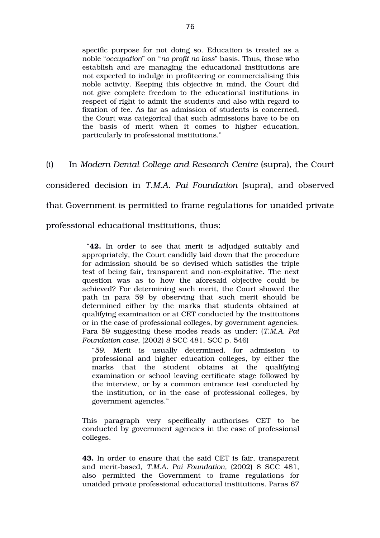specific purpose for not doing so. Education is treated as a noble "*occupation*" on "*no profit no loss*" basis. Thus, those who establish and are managing the educational institutions are not expected to indulge in profiteering or commercialising this noble activity. Keeping this objective in mind, the Court did not give complete freedom to the educational institutions in respect of right to admit the students and also with regard to fixation of fee. As far as admission of students is concerned, the Court was categorical that such admissions have to be on the basis of merit when it comes to higher education, particularly in professional institutions."

(i) In *Modern Dental College and Research Centre* (supra), the Court

considered decision in *T.M.A. Pai Foundation* (supra), and observed

that Government is permitted to frame regulations for unaided private

professional educational institutions, thus:

"**42.** In order to see that merit is adjudged suitably and appropriately, the Court candidly laid down that the procedure for admission should be so devised which satisfies the triple test of being fair, transparent and non-exploitative. The next question was as to how the aforesaid objective could be achieved? For determining such merit, the Court showed the path in para 59 by observing that such merit should be determined either by the marks that students obtained at qualifying examination or at CET conducted by the institutions or in the case of professional colleges, by government agencies. Para 59 suggesting these modes reads as under: (*T.M.A. Pai Foundation case*, (2002) 8 SCC 481, SCC p. 546)

"*59*. Merit is usually determined, for admission to professional and higher education colleges, by either the marks that the student obtains at the qualifying examination or school leaving certificate stage followed by the interview, or by a common entrance test conducted by the institution, or in the case of professional colleges, by government agencies."

This paragraph very specifically authorises CET to be conducted by government agencies in the case of professional colleges.

**43.** In order to ensure that the said CET is fair, transparent and merit-based, T.M.A. Pai Foundation, (2002) 8 SCC 481, also permitted the Government to frame regulations for unaided private professional educational institutions. Paras 67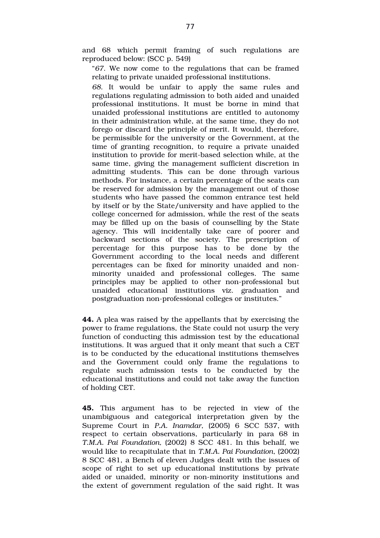and 68 which permit framing of such regulations are reproduced below: (SCC p. 549)

"*67*. We now come to the regulations that can be framed relating to private unaided professional institutions.

*68*. It would be unfair to apply the same rules and regulations regulating admission to both aided and unaided professional institutions. It must be borne in mind that unaided professional institutions are entitled to autonomy in their administration while, at the same time, they do not forego or discard the principle of merit. It would, therefore, be permissible for the university or the Government, at the time of granting recognition, to require a private unaided institution to provide for merit-based selection while, at the same time, giving the management sufficient discretion in admitting students. This can be done through various methods. For instance, a certain percentage of the seats can be reserved for admission by the management out of those students who have passed the common entrance test held by itself or by the State/university and have applied to the college concerned for admission, while the rest of the seats may be filled up on the basis of counselling by the State agency. This will incidentally take care of poorer and backward sections of the society. The prescription of percentage for this purpose has to be done by the Government according to the local needs and different percentages can be fixed for minority unaided and nonminority unaided and professional colleges. The same principles may be applied to other non-professional but unaided educational institutions viz. graduation and postgraduation non-professional colleges or institutes."

**44.** A plea was raised by the appellants that by exercising the power to frame regulations, the State could not usurp the very function of conducting this admission test by the educational institutions. It was argued that it only meant that such a CET is to be conducted by the educational institutions themselves and the Government could only frame the regulations to regulate such admission tests to be conducted by the educational institutions and could not take away the function of holding CET.

**45.** This argument has to be rejected in view of the unambiguous and categorical interpretation given by the Supreme Court in *P.A. Inamdar*, (2005) 6 SCC 537, with respect to certain observations, particularly in para 68 in *T.M.A. Pai Foundation, (2002) 8 SCC 481. In this behalf, we* would like to recapitulate that in *T.M.A. Pai Foundation*, (2002) 8 SCC 481, a Bench of eleven Judges dealt with the issues of scope of right to set up educational institutions by private aided or unaided, minority or non-minority institutions and the extent of government regulation of the said right. It was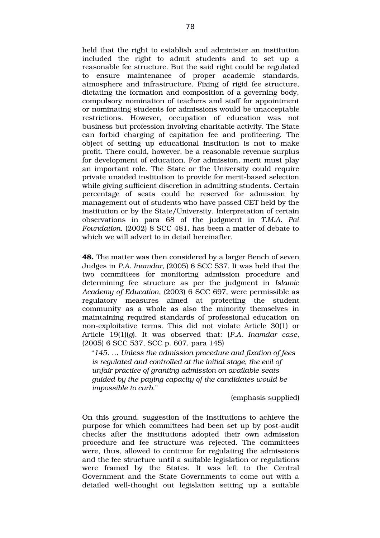held that the right to establish and administer an institution included the right to admit students and to set up a reasonable fee structure. But the said right could be regulated to ensure maintenance of proper academic standards, atmosphere and infrastructure. Fixing of rigid fee structure, dictating the formation and composition of a governing body, compulsory nomination of teachers and staff for appointment or nominating students for admissions would be unacceptable restrictions. However, occupation of education was not business but profession involving charitable activity. The State can forbid charging of capitation fee and profiteering. The object of setting up educational institution is not to make profit. There could, however, be a reasonable revenue surplus for development of education. For admission, merit must play an important role. The State or the University could require private unaided institution to provide for merit-based selection while giving sufficient discretion in admitting students. Certain percentage of seats could be reserved for admission by management out of students who have passed CET held by the institution or by the State/University. Interpretation of certain observations in para 68 of the judgment in *T.M.A. Pai Foundation*, (2002) 8 SCC 481, has been a matter of debate to which we will advert to in detail hereinafter.

**48.** The matter was then considered by a larger Bench of seven Judges in *P.A. Inamdar,* (2005) 6 SCC 537. It was held that the two committees for monitoring admission procedure and determining fee structure as per the judgment in *Islamic Academy of Education*, (2003) 6 SCC 697, were permissible as regulatory measures aimed at protecting the student community as a whole as also the minority themselves in maintaining required standards of professional education on nonexploitative terms. This did not violate Article 30(1) or Article 19(1)(*g*). It was observed that: (*P.A. Inamdar case*, (2005) 6 SCC 537, SCC p. 607, para 145)

"*145*. … *Unless the admission procedure and fixation of fees is regulated and controlled at the initial stage, the evil of unfair practice of granting admission on available seats guided by the paying capacity of the candidates would be impossible to curb*."

(emphasis supplied)

On this ground, suggestion of the institutions to achieve the purpose for which committees had been set up by post-audit checks after the institutions adopted their own admission procedure and fee structure was rejected. The committees were, thus, allowed to continue for regulating the admissions and the fee structure until a suitable legislation or regulations were framed by the States. It was left to the Central Government and the State Governments to come out with a detailed well-thought out legislation setting up a suitable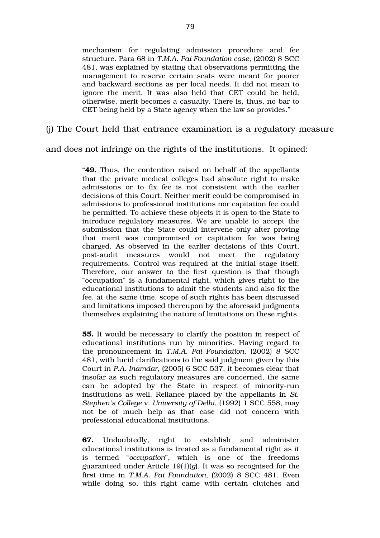mechanism for regulating admission procedure and fee structure. Para 68 in *T.M.A. Pai Foundation case*, (2002) 8 SCC 481, was explained by stating that observations permitting the management to reserve certain seats were meant for poorer and backward sections as per local needs. It did not mean to ignore the merit. It was also held that CET could be held, otherwise, merit becomes a casualty. There is, thus, no bar to CET being held by a State agency when the law so provides."

(j) The Court held that entrance examination is a regulatory measure

and does not infringe on the rights of the institutions. It opined:

"**49.** Thus, the contention raised on behalf of the appellants that the private medical colleges had absolute right to make admissions or to fix fee is not consistent with the earlier decisions of this Court. Neither merit could be compromised in admissions to professional institutions nor capitation fee could be permitted. To achieve these objects it is open to the State to introduce regulatory measures. We are unable to accept the submission that the State could intervene only after proving that merit was compromised or capitation fee was being charged. As observed in the earlier decisions of this Court, post-audit measures would not meet the regulatory requirements. Control was required at the initial stage itself. Therefore, our answer to the first question is that though "occupation" is a fundamental right, which gives right to the educational institutions to admit the students and also fix the fee, at the same time, scope of such rights has been discussed and limitations imposed thereupon by the aforesaid judgments themselves explaining the nature of limitations on these rights.

**55.** It would be necessary to clarify the position in respect of educational institutions run by minorities. Having regard to the pronouncement in *T.M.A. Pai Foundation*, (2002) 8 SCC 481, with lucid clarifications to the said judgment given by this Court in *P.A. Inamdar*, (2005) 6 SCC 537, it becomes clear that insofar as such regulatory measures are concerned, the same can be adopted by the State in respect of minority-run institutions as well. Reliance placed by the appellants in *St. Stephen's College* v. *University of Delhi*, (1992) 1 SCC 558, may not be of much help as that case did not concern with professional educational institutions.

**67.** Undoubtedly, right to establish and administer educational institutions is treated as a fundamental right as it is termed "*occupation*", which is one of the freedoms guaranteed under Article 19(1)(*g*). It was so recognised for the first time in *T.M.A. Pai Foundation*, (2002) 8 SCC 481. Even while doing so, this right came with certain clutches and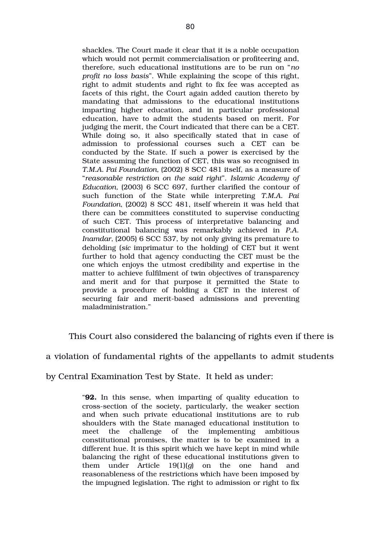shackles. The Court made it clear that it is a noble occupation which would not permit commercialisation or profiteering and, therefore, such educational institutions are to be run on "*no profit no loss basis*". While explaining the scope of this right, right to admit students and right to fix fee was accepted as facets of this right, the Court again added caution thereto by mandating that admissions to the educational institutions imparting higher education, and in particular professional education, have to admit the students based on merit. For judging the merit, the Court indicated that there can be a CET. While doing so, it also specifically stated that in case of admission to professional courses such a CET can be conducted by the State. If such a power is exercised by the State assuming the function of CET, this was so recognised in *T.M.A. Pai Foundation,* (2002) 8 SCC 481 itself, as a measure of "*reasonable restriction on the said right*". *Islamic Academy of Education, (2003) 6 SCC 697, further clarified the contour of* such function of the State while interpreting T.M.A. Pai *Foundation,* (2002) 8 SCC 481, itself wherein it was held that there can be committees constituted to supervise conducting of such CET. This process of interpretative balancing and constitutional balancing was remarkably achieved in *P.A. Inamdar,* (2005) 6 SCC 537, by not only giving its premature to deholding (*sic* imprimatur to the holding) of CET but it went further to hold that agency conducting the CET must be the one which enjoys the utmost credibility and expertise in the matter to achieve fulfilment of twin objectives of transparency and merit and for that purpose it permitted the State to provide a procedure of holding a CET in the interest of securing fair and merit-based admissions and preventing maladministration."

This Court also considered the balancing of rights even if there is

a violation of fundamental rights of the appellants to admit students

by Central Examination Test by State. It held as under:

"**92.** In this sense, when imparting of quality education to crosssection of the society, particularly, the weaker section and when such private educational institutions are to rub shoulders with the State managed educational institution to meet the challenge of the implementing ambitious constitutional promises, the matter is to be examined in a different hue. It is this spirit which we have kept in mind while balancing the right of these educational institutions given to them under Article 19(1)(*g*) on the one hand and reasonableness of the restrictions which have been imposed by the impugned legislation. The right to admission or right to fix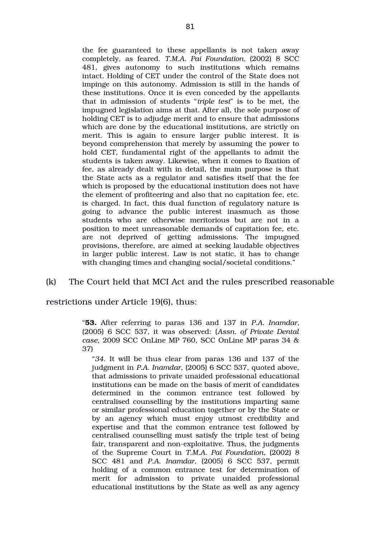the fee guaranteed to these appellants is not taken away completely, as feared. *T.M.A. Pai Foundation,* (2002) 8 SCC 481, gives autonomy to such institutions which remains intact. Holding of CET under the control of the State does not impinge on this autonomy. Admission is still in the hands of these institutions. Once it is even conceded by the appellants that in admission of students "*triple test*" is to be met, the impugned legislation aims at that. After all, the sole purpose of holding CET is to adjudge merit and to ensure that admissions which are done by the educational institutions, are strictly on merit. This is again to ensure larger public interest. It is beyond comprehension that merely by assuming the power to hold CET, fundamental right of the appellants to admit the students is taken away. Likewise, when it comes to fixation of fee, as already dealt with in detail, the main purpose is that the State acts as a regulator and satisfies itself that the fee which is proposed by the educational institution does not have the element of profiteering and also that no capitation fee, etc. is charged. In fact, this dual function of regulatory nature is going to advance the public interest inasmuch as those students who are otherwise meritorious but are not in a position to meet unreasonable demands of capitation fee, etc. are not deprived of getting admissions. The impugned provisions, therefore, are aimed at seeking laudable objectives in larger public interest. Law is not static, it has to change with changing times and changing social/societal conditions."

## (k) The Court held that MCI Act and the rules prescribed reasonable

restrictions under Article 19(6), thus:

"**53.** After referring to paras 136 and 137 in *P.A. Inamdar*, (2005) 6 SCC 537, it was observed: (*Assn. of Private Dental case*, 2009 SCC OnLine MP 760, SCC OnLine MP paras 34 & 37)

"*34*. It will be thus clear from paras 136 and 137 of the judgment in *P.A. Inamdar*, (2005) 6 SCC 537, quoted above, that admissions to private unaided professional educational institutions can be made on the basis of merit of candidates determined in the common entrance test followed by centralised counselling by the institutions imparting same or similar professional education together or by the State or by an agency which must enjoy utmost credibility and expertise and that the common entrance test followed by centralised counselling must satisfy the triple test of being fair, transparent and non-exploitative. Thus, the judgments of the Supreme Court in *T.M.A. Pai Foundation*, (2002) 8 SCC 481 and *P.A. Inamdar*, (2005) 6 SCC 537, permit holding of a common entrance test for determination of merit for admission to private unaided professional educational institutions by the State as well as any agency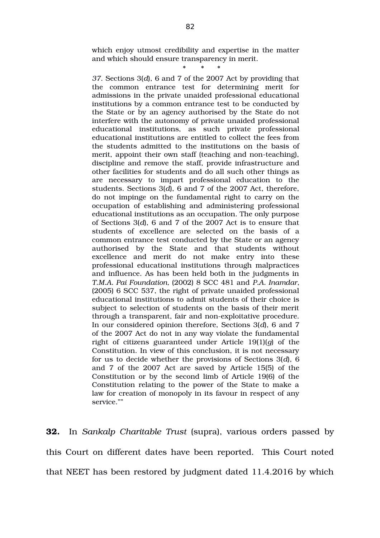which enjoy utmost credibility and expertise in the matter and which should ensure transparency in merit.

## \* \* \*

*37*. Sections 3(*d*), 6 and 7 of the 2007 Act by providing that the common entrance test for determining merit for admissions in the private unaided professional educational institutions by a common entrance test to be conducted by the State or by an agency authorised by the State do not interfere with the autonomy of private unaided professional educational institutions, as such private professional educational institutions are entitled to collect the fees from the students admitted to the institutions on the basis of merit, appoint their own staff (teaching and non-teaching), discipline and remove the staff, provide infrastructure and other facilities for students and do all such other things as are necessary to impart professional education to the students. Sections 3(*d*), 6 and 7 of the 2007 Act, therefore, do not impinge on the fundamental right to carry on the occupation of establishing and administering professional educational institutions as an occupation. The only purpose of Sections 3(*d*), 6 and 7 of the 2007 Act is to ensure that students of excellence are selected on the basis of a common entrance test conducted by the State or an agency authorised by the State and that students without excellence and merit do not make entry into these professional educational institutions through malpractices and influence. As has been held both in the judgments in *T.M.A. Pai Foundation,* (2002) 8 SCC 481 and *P.A. Inamdar*, (2005) 6 SCC 537, the right of private unaided professional educational institutions to admit students of their choice is subject to selection of students on the basis of their merit through a transparent, fair and non-exploitative procedure. In our considered opinion therefore, Sections 3(*d*), 6 and 7 of the 2007 Act do not in any way violate the fundamental right of citizens guaranteed under Article 19(1)(*g*) of the Constitution. In view of this conclusion, it is not necessary for us to decide whether the provisions of Sections 3(*d*), 6 and 7 of the 2007 Act are saved by Article 15(5) of the Constitution or by the second limb of Article 19(6) of the Constitution relating to the power of the State to make a law for creation of monopoly in its favour in respect of any service.""

**32.** In Sankalp Charitable Trust (supra), various orders passed by this Court on different dates have been reported. This Court noted that NEET has been restored by judgment dated 11.4.2016 by which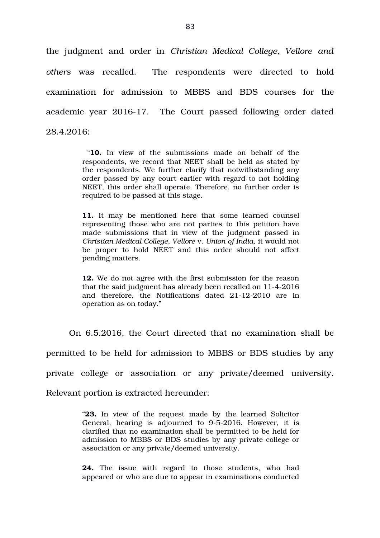the judgment and order in *Christian Medical College, Vellore and others* was recalled. The respondents were directed to hold examination for admission to MBBS and BDS courses for the academic year 2016-17. The Court passed following order dated  $28.4.2016$ 

> "**10.** In view of the submissions made on behalf of the respondents, we record that NEET shall be held as stated by the respondents. We further clarify that notwithstanding any order passed by any court earlier with regard to not holding NEET, this order shall operate. Therefore, no further order is required to be passed at this stage.

> 11. It may be mentioned here that some learned counsel representing those who are not parties to this petition have made submissions that in view of the judgment passed in *Christian Medical College, Vellore* v. *Union of India*, it would not be proper to hold NEET and this order should not affect pending matters.

> **12.** We do not agree with the first submission for the reason that the said judgment has already been recalled on  $11-4-2016$ and therefore, the Notifications dated 21-12-2010 are in operation as on today."

On 6.5.2016, the Court directed that no examination shall be

permitted to be held for admission to MBBS or BDS studies by any

private college or association or any private/deemed university.

Relevant portion is extracted hereunder:

"23. In view of the request made by the learned Solicitor General, hearing is adjourned to 9-5-2016. However, it is clarified that no examination shall be permitted to be held for admission to MBBS or BDS studies by any private college or association or any private/deemed university.

**24.** The issue with regard to those students, who had appeared or who are due to appear in examinations conducted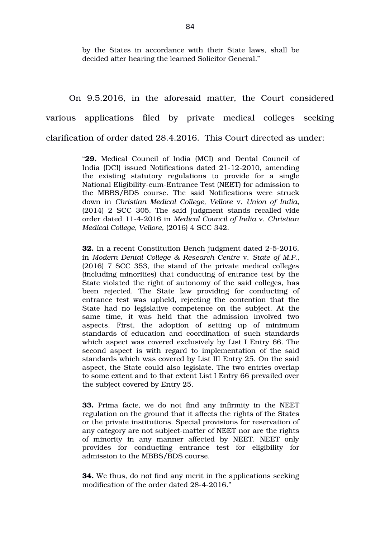by the States in accordance with their State laws, shall be decided after hearing the learned Solicitor General."

On 9.5.2016, in the aforesaid matter, the Court considered various applications filed by private medical colleges seeking clarification of order dated 28.4.2016. This Court directed as under:

> "**29.** Medical Council of India (MCI) and Dental Council of India (DCI) issued Notifications dated 21-12-2010, amending the existing statutory regulations to provide for a single National Eligibility-cum-Entrance Test (NEET) for admission to the MBBS/BDS course. The said Notifications were struck down in *Christian Medical College, Vellore* v. *Union of India*, (2014) 2 SCC 305. The said judgment stands recalled vide order dated 1142016 in *Medical Council of India* v. *Christian Medical College, Vellore*, (2016) 4 SCC 342.

> **32.** In a recent Constitution Bench judgment dated 2-5-2016, in *Modern Dental College & Research Centre* v. *State of M.P.*, (2016) 7 SCC 353, the stand of the private medical colleges (including minorities) that conducting of entrance test by the State violated the right of autonomy of the said colleges, has been rejected. The State law providing for conducting of entrance test was upheld, rejecting the contention that the State had no legislative competence on the subject. At the same time, it was held that the admission involved two aspects. First, the adoption of setting up of minimum standards of education and coordination of such standards which aspect was covered exclusively by List I Entry 66. The second aspect is with regard to implementation of the said standards which was covered by List III Entry 25. On the said aspect, the State could also legislate. The two entries overlap to some extent and to that extent List I Entry 66 prevailed over the subject covered by Entry 25.

> **33.** Prima facie, we do not find any infirmity in the NEET regulation on the ground that it affects the rights of the States or the private institutions. Special provisions for reservation of any category are not subject-matter of NEET nor are the rights of minority in any manner affected by NEET. NEET only provides for conducting entrance test for eligibility for admission to the MBBS/BDS course.

> **34.** We thus, do not find any merit in the applications seeking modification of the order dated 28-4-2016."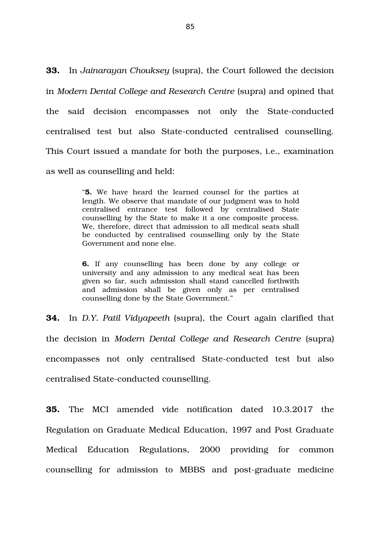**33.** In *Jainarayan Chouksey* (supra), the Court followed the decision in *Modern Dental College and Research Centre* (supra) and opined that the said decision encompasses not only the State-conducted centralised test but also State-conducted centralised counselling. This Court issued a mandate for both the purposes, i.e., examination as well as counselling and held:

> "**5.** We have heard the learned counsel for the parties at length. We observe that mandate of our judgment was to hold centralised entrance test followed by centralised State counselling by the State to make it a one composite process. We, therefore, direct that admission to all medical seats shall be conducted by centralised counselling only by the State Government and none else.

> **6.** If any counselling has been done by any college or university and any admission to any medical seat has been given so far, such admission shall stand cancelled forthwith and admission shall be given only as per centralised counselling done by the State Government."

**34.** In D.Y. Patil Vidyapeeth (supra), the Court again clarified that the decision in *Modern Dental College and Research Centre* (supra) encompasses not only centralised State-conducted test but also centralised State-conducted counselling.

**35.** The MCI amended vide notification dated 10.3.2017 the Regulation on Graduate Medical Education, 1997 and Post Graduate Medical Education Regulations, 2000 providing for common counselling for admission to MBBS and post-graduate medicine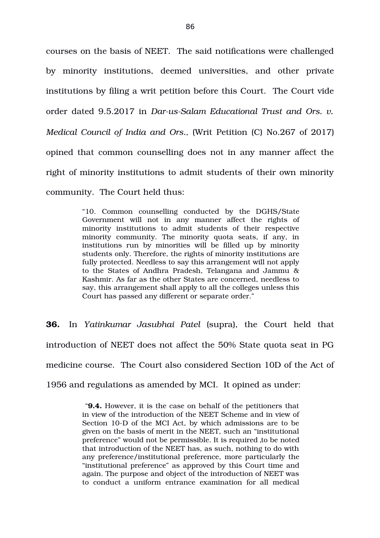courses on the basis of NEET. The said notifications were challenged by minority institutions, deemed universities, and other private institutions by filing a writ petition before this Court. The Court vide order dated 9.5.2017 in *Dar-us-Salam Educational Trust and Ors. v. Medical Council of India and Ors.,* (Writ Petition (C) No.267 of 2017) opined that common counselling does not in any manner affect the right of minority institutions to admit students of their own minority community. The Court held thus:

> "10. Common counselling conducted by the DGHS/State Government will not in any manner affect the rights of minority institutions to admit students of their respective minority community. The minority quota seats, if any, in institutions run by minorities will be filled up by minority students only. Therefore, the rights of minority institutions are fully protected. Needless to say this arrangement will not apply to the States of Andhra Pradesh, Telangana and Jammu & Kashmir. As far as the other States are concerned, needless to say, this arrangement shall apply to all the colleges unless this Court has passed any different or separate order."

**36.** In *Yatinkumar Jasubhai Patel* (supra), the Court held that introduction of NEET does not affect the 50% State quota seat in PG medicine course. The Court also considered Section 10D of the Act of 1956 and regulations as amended by MCI. It opined as under:

> "**9.4.** However, it is the case on behalf of the petitioners that in view of the introduction of the NEET Scheme and in view of Section 10-D of the MCI Act, by which admissions are to be given on the basis of merit in the NEET, such an "institutional preference" would not be permissible. It is required to be noted that introduction of the NEET has, as such, nothing to do with any preference/institutional preference, more particularly the "institutional preference" as approved by this Court time and again. The purpose and object of the introduction of NEET was to conduct a uniform entrance examination for all medical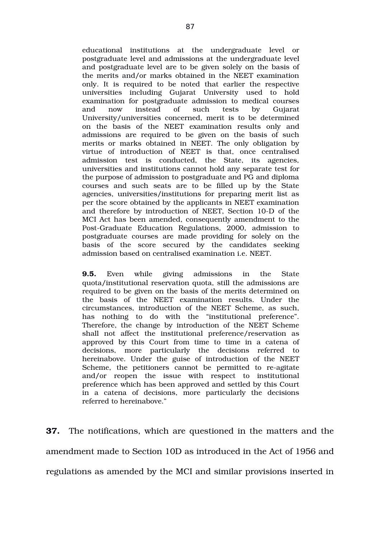educational institutions at the undergraduate level or postgraduate level and admissions at the undergraduate level and postgraduate level are to be given solely on the basis of the merits and/or marks obtained in the NEET examination only. It is required to be noted that earlier the respective universities including Gujarat University used to hold examination for postgraduate admission to medical courses and now instead of such tests by Gujarat University/universities concerned, merit is to be determined on the basis of the NEET examination results only and admissions are required to be given on the basis of such merits or marks obtained in NEET. The only obligation by virtue of introduction of NEET is that, once centralised admission test is conducted, the State, its agencies, universities and institutions cannot hold any separate test for the purpose of admission to postgraduate and PG and diploma courses and such seats are to be filled up by the State agencies, universities/institutions for preparing merit list as per the score obtained by the applicants in NEET examination and therefore by introduction of NEET, Section 10-D of the MCI Act has been amended, consequently amendment to the Post-Graduate Education Regulations, 2000, admission to postgraduate courses are made providing for solely on the basis of the score secured by the candidates seeking admission based on centralised examination i.e. NEET.

**9.5.** Even while giving admissions in the State quota/institutional reservation quota, still the admissions are required to be given on the basis of the merits determined on the basis of the NEET examination results. Under the circumstances, introduction of the NEET Scheme, as such, has nothing to do with the "institutional preference". Therefore, the change by introduction of the NEET Scheme shall not affect the institutional preference/reservation as approved by this Court from time to time in a catena of decisions, more particularly the decisions referred to hereinabove. Under the guise of introduction of the NEET Scheme, the petitioners cannot be permitted to re-agitate and/or reopen the issue with respect to institutional preference which has been approved and settled by this Court in a catena of decisions, more particularly the decisions referred to hereinabove."

**37.** The notifications, which are questioned in the matters and the amendment made to Section 10D as introduced in the Act of 1956 and regulations as amended by the MCI and similar provisions inserted in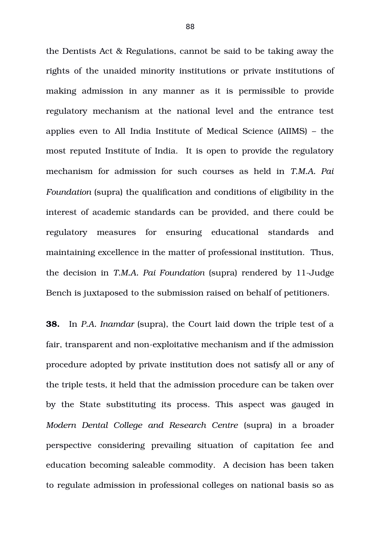the Dentists Act & Regulations, cannot be said to be taking away the rights of the unaided minority institutions or private institutions of making admission in any manner as it is permissible to provide regulatory mechanism at the national level and the entrance test applies even to All India Institute of Medical Science (AIIMS) – the most reputed Institute of India. It is open to provide the regulatory mechanism for admission for such courses as held in *T.M.A. Pai Foundation* (supra) the qualification and conditions of eligibility in the interest of academic standards can be provided, and there could be regulatory measures for ensuring educational standards and maintaining excellence in the matter of professional institution. Thus, the decision in *T.M.A. Pai Foundation* [supra] rendered by 11-Judge Bench is juxtaposed to the submission raised on behalf of petitioners.

**38.** In *P.A. Inamdar* (supra), the Court laid down the triple test of a fair, transparent and non-exploitative mechanism and if the admission procedure adopted by private institution does not satisfy all or any of the triple tests, it held that the admission procedure can be taken over by the State substituting its process. This aspect was gauged in *Modern Dental College and Research Centre* (supra) in a broader perspective considering prevailing situation of capitation fee and education becoming saleable commodity. A decision has been taken to regulate admission in professional colleges on national basis so as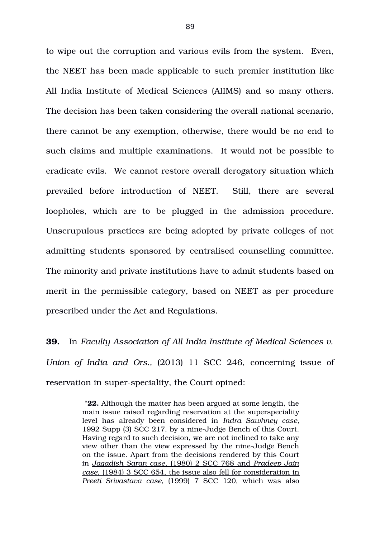to wipe out the corruption and various evils from the system. Even, the NEET has been made applicable to such premier institution like All India Institute of Medical Sciences (AIIMS) and so many others. The decision has been taken considering the overall national scenario, there cannot be any exemption, otherwise, there would be no end to such claims and multiple examinations. It would not be possible to eradicate evils. We cannot restore overall derogatory situation which prevailed before introduction of NEET. Still, there are several loopholes, which are to be plugged in the admission procedure. Unscrupulous practices are being adopted by private colleges of not admitting students sponsored by centralised counselling committee. The minority and private institutions have to admit students based on merit in the permissible category, based on NEET as per procedure prescribed under the Act and Regulations.

**39.** In *Faculty Association of All India Institute of Medical Sciences v. Union of India and Ors., (2013) 11 SCC 246, concerning issue of* reservation in super-speciality, the Court opined:

> "**22.** Although the matter has been argued at some length, the main issue raised regarding reservation at the superspeciality level has already been considered in *Indra Sawhney case*, 1992 Supp (3) SCC 217, by a nine-Judge Bench of this Court. Having regard to such decision, we are not inclined to take any view other than the view expressed by the nine-Judge Bench on the issue. Apart from the decisions rendered by this Court in  *Jagadish Saran case* , (1980) 2 SCC 768 and *Pradeep Jain case*, (1984) 3 SCC 654, the issue also fell for consideration in Preeti Srivastava case, (1999) 7 SCC 120, which was also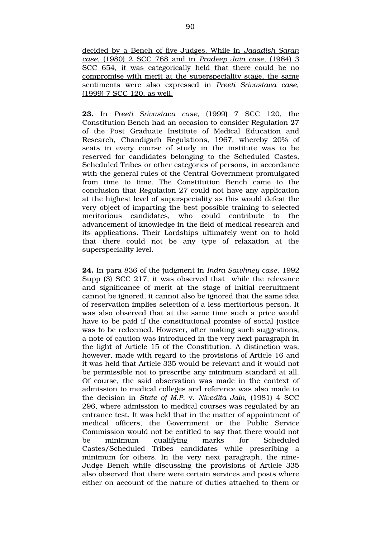decided by a Bench of five Judges. While in *Jagadish Saran case,*  (1980) 2 SCC 768 and in  *Pradeep Jain case,* (1984) 3 SCC 654, it was categorically held that there could be no compromise with merit at the superspeciality stage, the same sentiments were also expressed in *Preeti Srivastava case,* (1999) 7 SCC 120, as well.

**23.** In *Preeti Srivastava case*, (1999) 7 SCC 120, the Constitution Bench had an occasion to consider Regulation 27 of the Post Graduate Institute of Medical Education and Research, Chandigarh Regulations, 1967, whereby 20% of seats in every course of study in the institute was to be reserved for candidates belonging to the Scheduled Castes, Scheduled Tribes or other categories of persons, in accordance with the general rules of the Central Government promulgated from time to time. The Constitution Bench came to the conclusion that Regulation 27 could not have any application at the highest level of superspeciality as this would defeat the very object of imparting the best possible training to selected meritorious candidates, who could contribute to the advancement of knowledge in the field of medical research and its applications. Their Lordships ultimately went on to hold that there could not be any type of relaxation at the superspeciality level.

**24.** In para 836 of the judgment in *Indra Sawhney case*, 1992 Supp (3) SCC 217, it was observed that while the relevance and significance of merit at the stage of initial recruitment cannot be ignored, it cannot also be ignored that the same idea of reservation implies selection of a less meritorious person. It was also observed that at the same time such a price would have to be paid if the constitutional promise of social justice was to be redeemed. However, after making such suggestions, a note of caution was introduced in the very next paragraph in the light of Article 15 of the Constitution. A distinction was, however, made with regard to the provisions of Article 16 and it was held that Article 335 would be relevant and it would not be permissible not to prescribe any minimum standard at all. Of course, the said observation was made in the context of admission to medical colleges and reference was also made to the decision in *State of M.P.* v. *Nivedita Jain*, (1981) 4 SCC 296, where admission to medical courses was regulated by an entrance test. It was held that in the matter of appointment of medical officers, the Government or the Public Service Commission would not be entitled to say that there would not be minimum qualifying marks for Scheduled Castes/Scheduled Tribes candidates while prescribing a minimum for others. In the very next paragraph, the nine-Judge Bench while discussing the provisions of Article 335 also observed that there were certain services and posts where either on account of the nature of duties attached to them or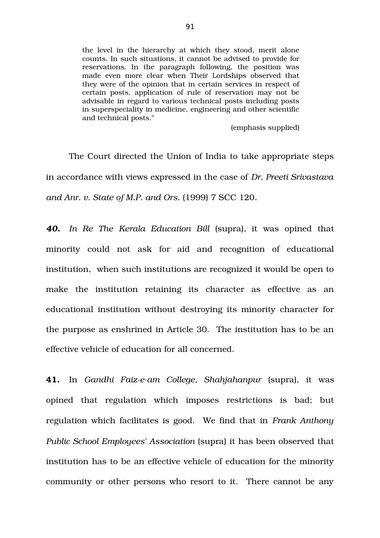the level in the hierarchy at which they stood, merit alone counts. In such situations, it cannot be advised to provide for reservations. In the paragraph following, the position was made even more clear when Their Lordships observed that they were of the opinion that in certain services in respect of certain posts, application of rule of reservation may not be advisable in regard to various technical posts including posts in superspeciality in medicine, engineering and other scientific and technical posts."

(emphasis supplied)

The Court directed the Union of India to take appropriate steps in accordance with views expressed in the case of *Dr. Preeti Srivastava and Anr. v. State of M.P. and Ors.* (1999) 7 SCC 120*.*

*40. In Re The Kerala Education Bill* (supra)*,* it was opined that minority could not ask for aid and recognition of educational institution, when such institutions are recognized it would be open to make the institution retaining its character as effective as an educational institution without destroying its minority character for the purpose as enshrined in Article 30. The institution has to be an effective vehicle of education for all concerned.

41. In *Gandhi Faiz-e-am College, Shahjahanpur* (supra), it was opined that regulation which imposes restrictions is bad; but regulation which facilitates is good. We find that in *Frank Anthony Public School Employees' Association* (supra) it has been observed that institution has to be an effective vehicle of education for the minority community or other persons who resort to it. There cannot be any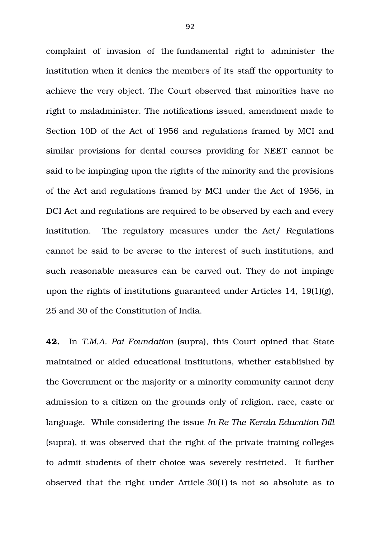complaint of invasion of the fundamental right to administer the institution when it denies the members of its staff the opportunity to achieve the very object. The Court observed that minorities have no right to maladminister. The notifications issued, amendment made to Section 10D of the Act of 1956 and regulations framed by MCI and similar provisions for dental courses providing for NEET cannot be said to be impinging upon the rights of the minority and the provisions of the Act and regulations framed by MCI under the Act of 1956, in DCI Act and regulations are required to be observed by each and every institution. The regulatory measures under the Act/ Regulations cannot be said to be averse to the interest of such institutions, and such reasonable measures can be carved out. They do not impinge upon the rights of institutions guaranteed under Articles 14, 19(1)(g), 25 and 30 of the Constitution of India.

**42.** In *T.M.A. Pai Foundation* (supra), this Court opined that State maintained or aided educational institutions, whether established by the Government or the majority or a minority community cannot deny admission to a citizen on the grounds only of religion, race, caste or language. While considering the issue *In Re The Kerala Education Bill* (supra), it was observed that the right of the private training colleges to admit students of their choice was severely restricted. It further observed that the right under Article 30(1) is not so absolute as to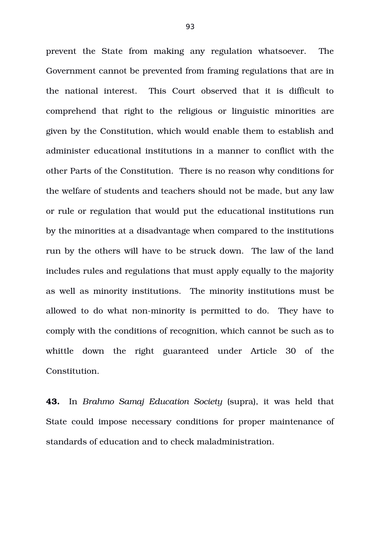prevent the State from making any regulation whatsoever. The Government cannot be prevented from framing regulations that are in the national interest. This Court observed that it is difficult to comprehend that right to the religious or linguistic minorities are given by the Constitution, which would enable them to establish and administer educational institutions in a manner to conflict with the other Parts of the Constitution. There is no reason why conditions for the welfare of students and teachers should not be made, but any law or rule or regulation that would put the educational institutions run by the minorities at a disadvantage when compared to the institutions run by the others will have to be struck down. The law of the land includes rules and regulations that must apply equally to the majority as well as minority institutions. The minority institutions must be allowed to do what non-minority is permitted to do. They have to comply with the conditions of recognition, which cannot be such as to whittle down the right guaranteed under Article 30 of the Constitution.

**43.** In *Brahmo Samaj Education Society* (supra), it was held that State could impose necessary conditions for proper maintenance of standards of education and to check maladministration.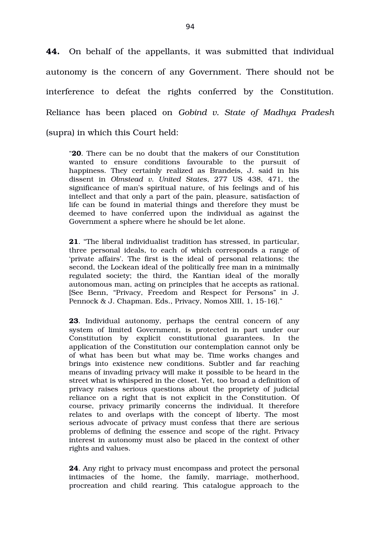**44.** On behalf of the appellants, it was submitted that individual autonomy is the concern of any Government. There should not be interference to defeat the rights conferred by the Constitution. Reliance has been placed on *Gobind v. State of Madhya Pradesh* (supra) in which this Court held:

"**20**. There can be no doubt that the makers of our Constitution wanted to ensure conditions favourable to the pursuit of happiness. They certainly realized as Brandeis, J. said in his dissent in *Olmstead v. United States*, 277 US 438, 471, the significance of man's spiritual nature, of his feelings and of his intellect and that only a part of the pain, pleasure, satisfaction of life can be found in material things and therefore they must be deemed to have conferred upon the individual as against the Government a sphere where he should be let alone.

**21**. "The liberal individualist tradition has stressed, in particular, three personal ideals, to each of which corresponds a range of 'private affairs'. The first is the ideal of personal relations; the second, the Lockean ideal of the politically free man in a minimally regulated society; the third, the Kantian ideal of the morally autonomous man, acting on principles that he accepts as rational. [See Benn, "Privacy, Freedom and Respect for Persons" in J. Pennock & J. Chapman. Eds., Privacy, Nomos XIII, 1, 15-16]."

**23.** Individual autonomy, perhaps the central concern of any system of limited Government, is protected in part under our Constitution by explicit constitutional guarantees. In the application of the Constitution our contemplation cannot only be of what has been but what may be. Time works changes and brings into existence new conditions. Subtler and far reaching means of invading privacy will make it possible to be heard in the street what is whispered in the closet. Yet, too broad a definition of privacy raises serious questions about the propriety of judicial reliance on a right that is not explicit in the Constitution. Of course, privacy primarily concerns the individual. It therefore relates to and overlaps with the concept of liberty. The most serious advocate of privacy must confess that there are serious problems of defining the essence and scope of the right. Privacy interest in autonomy must also be placed in the context of other rights and values.

**24**. Any right to privacy must encompass and protect the personal intimacies of the home, the family, marriage, motherhood, procreation and child rearing. This catalogue approach to the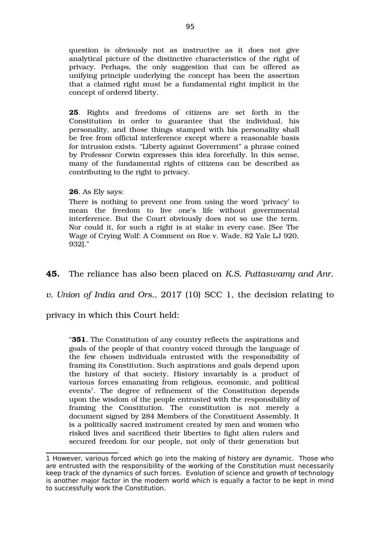question is obviously not as instructive as it does not give analytical picture of the distinctive characteristics of the right of privacy. Perhaps, the only suggestion that can be offered as unifying principle underlying the concept has been the assertion that a claimed right must be a fundamental right implicit in the concept of ordered liberty.

**25**. Rights and freedoms of citizens are set forth in the Constitution in order to guarantee that the individual, his personality, and those things stamped with his personality shall be free from official interference except where a reasonable basis for intrusion exists. "Liberty against Government" a phrase coined by Professor Corwin expresses this idea forcefully. In this sense, many of the fundamental rights of citizens can be described as contributing to the right to privacy.

## **26**. As Ely says:

There is nothing to prevent one from using the word 'privacy' to mean the freedom to live one's life without governmental interference. But the Court obviously does not so use the term. Nor could it, for such a right is at stake in every case. [See The Wage of Crying Wolf: A Comment on Roe v. Wade, 82 Yale LJ 920, 932]."

**45.** The reliance has also been placed on *K.S. Puttaswamy and Anr.*

*v. Union of India and Ors.*, 2017 (10) SCC 1, the decision relating to

privacy in which this Court held:

"**351**. The Constitution of any country reflects the aspirations and goals of the people of that country voiced through the language of the few chosen individuals entrusted with the responsibility of framing its Constitution. Such aspirations and goals depend upon the history of that society. History invariably is a product of various forces emanating from religious, economic, and political events<sup>[1](#page-94-0)</sup>. The degree of refinement of the Constitution depends upon the wisdom of the people entrusted with the responsibility of framing the Constitution. The constitution is not merely a document signed by 284 Members of the Constituent Assembly. It is a politically sacred instrument created by men and women who risked lives and sacrificed their liberties to fight alien rulers and secured freedom for our people, not only of their generation but

<span id="page-94-0"></span><sup>1</sup> However, various forced which go into the making of history are dynamic. Those who are entrusted with the responsibility of the working of the Constitution must necessarily keep track of the dynamics of such forces. Evolution of science and growth of technology is another major factor in the modern world which is equally a factor to be kept in mind to successfully work the Constitution.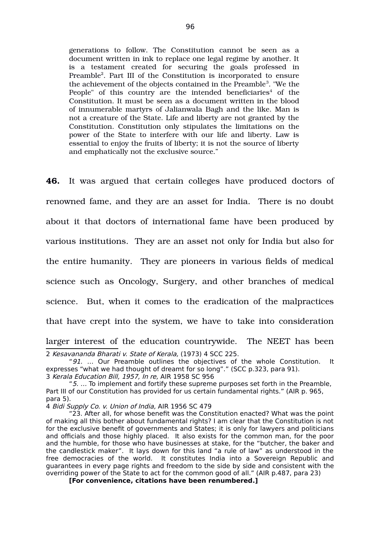generations to follow. The Constitution cannot be seen as a document written in ink to replace one legal regime by another. It is a testament created for securing the goals professed in Preamble<sup>[2](#page-95-0)</sup>. Part III of the Constitution is incorporated to ensure the achievement of the objects contained in the Preamble $^3$  $^3$ . "We the People" of this country are the intended beneficiaries $4$  of the Constitution. It must be seen as a document written in the blood of innumerable martyrs of Jalianwala Bagh and the like. Man is not a creature of the State. Life and liberty are not granted by the Constitution. Constitution only stipulates the limitations on the power of the State to interfere with our life and liberty. Law is essential to enjoy the fruits of liberty; it is not the source of liberty and emphatically not the exclusive source."

**46.** It was argued that certain colleges have produced doctors of renowned fame, and they are an asset for India. There is no doubt about it that doctors of international fame have been produced by various institutions. They are an asset not only for India but also for the entire humanity. They are pioneers in various fields of medical science such as Oncology, Surgery, and other branches of medical science. But, when it comes to the eradication of the malpractices that have crept into the system, we have to take into consideration larger interest of the education countrywide. The NEET has been 2 Kesavananda Bharati v. State of Kerala, (1973) 4 SCC 225.

**[For convenience, citations have been renumbered.]** 

<span id="page-95-0"></span><sup>&</sup>quot;91. ... Our Preamble outlines the objectives of the whole Constitution. It expresses "what we had thought of dreamt for so long"." (SCC p.323, para 91). 3 Kerala Education Bill, 1957, In re, AIR 1958 SC 956

<span id="page-95-1"></span><sup>&</sup>quot; $5.$   $\ldots$  To implement and fortify these supreme purposes set forth in the Preamble, Part III of our Constitution has provided for us certain fundamental rights." (AIR p. 965, para 5).

<span id="page-95-2"></span><sup>4</sup> Bidi Supply Co. v. Union of India, AIR 1956 SC 479

<sup>&</sup>quot;23. After all, for whose benefit was the Constitution enacted? What was the point of making all this bother about fundamental rights? I am clear that the Constitution is not for the exclusive benefit of governments and States; it is only for lawyers and politicians and officials and those highly placed. It also exists for the common man, for the poor and the humble, for those who have businesses at stake, for the "butcher, the baker and the candlestick maker". It lays down for this land "a rule of law" as understood in the free democracies of the world. It constitutes India into a Sovereign Republic and guarantees in every page rights and freedom to the side by side and consistent with the overriding power of the State to act for the common good of all." (AIR p.487, para 23)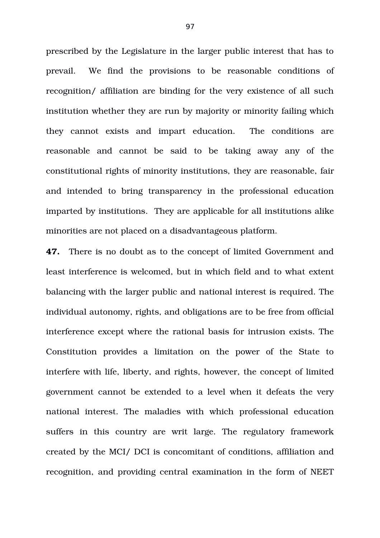prescribed by the Legislature in the larger public interest that has to prevail. We find the provisions to be reasonable conditions of recognition/ affiliation are binding for the very existence of all such institution whether they are run by majority or minority failing which they cannot exists and impart education. The conditions are reasonable and cannot be said to be taking away any of the constitutional rights of minority institutions, they are reasonable, fair and intended to bring transparency in the professional education imparted by institutions. They are applicable for all institutions alike minorities are not placed on a disadvantageous platform.

**47.** There is no doubt as to the concept of limited Government and least interference is welcomed, but in which field and to what extent balancing with the larger public and national interest is required. The individual autonomy, rights, and obligations are to be free from official interference except where the rational basis for intrusion exists. The Constitution provides a limitation on the power of the State to interfere with life, liberty, and rights, however, the concept of limited government cannot be extended to a level when it defeats the very national interest. The maladies with which professional education suffers in this country are writ large. The regulatory framework created by the MCI/ DCI is concomitant of conditions, affiliation and recognition, and providing central examination in the form of NEET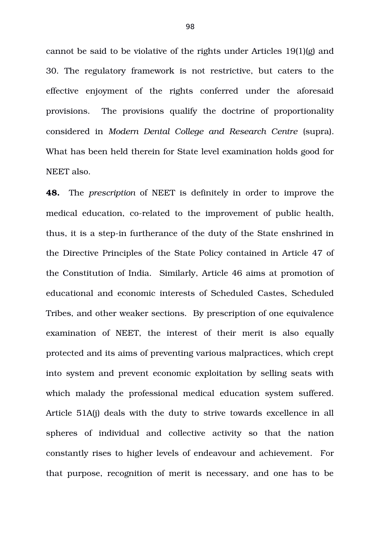cannot be said to be violative of the rights under Articles 19(1)(g) and 30. The regulatory framework is not restrictive, but caters to the effective enjoyment of the rights conferred under the aforesaid provisions. The provisions qualify the doctrine of proportionality considered in *Modern Dental College and Research Centre* (supra). What has been held therein for State level examination holds good for NEET also.

**48.** The *prescription* of NEET is definitely in order to improve the medical education, co-related to the improvement of public health, thus, it is a step-in furtherance of the duty of the State enshrined in the Directive Principles of the State Policy contained in Article 47 of the Constitution of India. Similarly, Article 46 aims at promotion of educational and economic interests of Scheduled Castes, Scheduled Tribes, and other weaker sections. By prescription of one equivalence examination of NEET, the interest of their merit is also equally protected and its aims of preventing various malpractices, which crept into system and prevent economic exploitation by selling seats with which malady the professional medical education system suffered. Article 51A(j) deals with the duty to strive towards excellence in all spheres of individual and collective activity so that the nation constantly rises to higher levels of endeavour and achievement. For that purpose, recognition of merit is necessary, and one has to be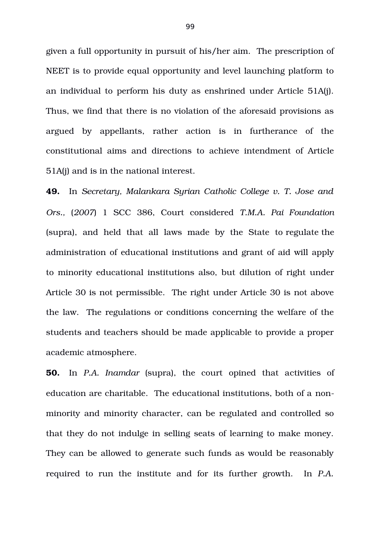given a full opportunity in pursuit of his/her aim. The prescription of NEET is to provide equal opportunity and level launching platform to an individual to perform his duty as enshrined under Article 51A(j). Thus, we find that there is no violation of the aforesaid provisions as argued by appellants, rather action is in furtherance of the constitutional aims and directions to achieve intendment of Article 51A(j) and is in the national interest.

**49.** In *Secretary, Malankara Syrian Catholic College v. T. Jose and Ors.,* (*2007*) 1 SCC 386, Court considered *T.M.A. Pai Foundation* (supra), and held that all laws made by the State to regulate the administration of educational institutions and grant of aid will apply to minority educational institutions also, but dilution of right under Article 30 is not permissible. The right under Article 30 is not above the law. The regulations or conditions concerning the welfare of the students and teachers should be made applicable to provide a proper academic atmosphere.

**50.** In *P.A. Inamdar* (supra), the court opined that activities of education are charitable. The educational institutions, both of a nonminority and minority character, can be regulated and controlled so that they do not indulge in selling seats of learning to make money. They can be allowed to generate such funds as would be reasonably required to run the institute and for its further growth. In P.A.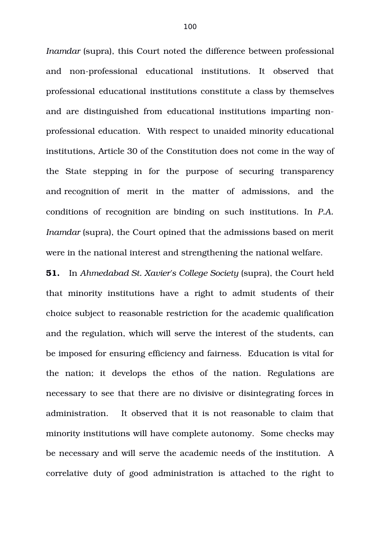*Inamdar* (supra), this Court noted the difference between professional and non-professional educational institutions. It observed that professional educational institutions constitute a class by themselves and are distinguished from educational institutions imparting nonprofessional education. With respect to unaided minority educational institutions, Article 30 of the Constitution does not come in the way of the State stepping in for the purpose of securing transparency and recognition of merit in the matter of admissions, and the conditions of recognition are binding on such institutions. In *P.A. Inamdar* (supra), the Court opined that the admissions based on merit were in the national interest and strengthening the national welfare.

**51.** In *Ahmedabad St. Xavier's College Society* (supra), the Court held that minority institutions have a right to admit students of their choice subject to reasonable restriction for the academic qualification and the regulation, which will serve the interest of the students, can be imposed for ensuring efficiency and fairness. Education is vital for the nation; it develops the ethos of the nation. Regulations are necessary to see that there are no divisive or disintegrating forces in administration. It observed that it is not reasonable to claim that minority institutions will have complete autonomy. Some checks may be necessary and will serve the academic needs of the institution. A correlative duty of good administration is attached to the right to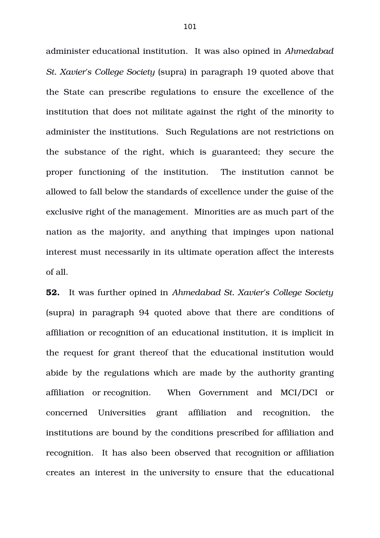administer educational institution. It was also opined in *Ahmedabad St. Xavier's College Society* (supra) in paragraph 19 quoted above that the State can prescribe regulations to ensure the excellence of the institution that does not militate against the right of the minority to administer the institutions. Such Regulations are not restrictions on the substance of the right, which is guaranteed; they secure the proper functioning of the institution. The institution cannot be allowed to fall below the standards of excellence under the guise of the exclusive right of the management. Minorities are as much part of the nation as the majority, and anything that impinges upon national interest must necessarily in its ultimate operation affect the interests of all.

**52.** It was further opined in *Ahmedabad St. Xavier's College Society* (supra) in paragraph 94 quoted above that there are conditions of affiliation or recognition of an educational institution, it is implicit in the request for grant thereof that the educational institution would abide by the regulations which are made by the authority granting affiliation or recognition. When Government and MCI/DCI or concerned Universities grant affiliation and recognition, the institutions are bound by the conditions prescribed for affiliation and recognition. It has also been observed that recognition or affiliation creates an interest in the university to ensure that the educational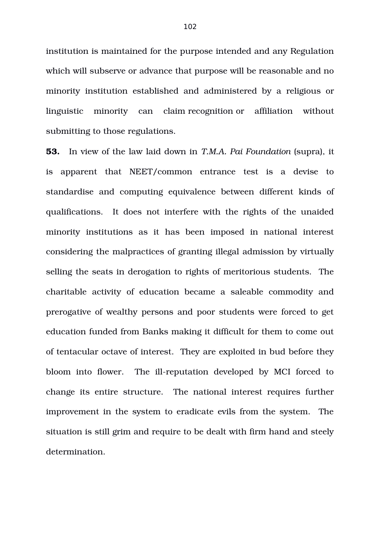institution is maintained for the purpose intended and any Regulation which will subserve or advance that purpose will be reasonable and no minority institution established and administered by a religious or linguistic minority can claim recognition or affiliation without submitting to those regulations.

**53.** In view of the law laid down in *T.M.A. Pai Foundation* (supra), it is apparent that NEET/common entrance test is a devise to standardise and computing equivalence between different kinds of qualifications. It does not interfere with the rights of the unaided minority institutions as it has been imposed in national interest considering the malpractices of granting illegal admission by virtually selling the seats in derogation to rights of meritorious students. The charitable activity of education became a saleable commodity and prerogative of wealthy persons and poor students were forced to get education funded from Banks making it difficult for them to come out of tentacular octave of interest. They are exploited in bud before they bloom into flower. The ill-reputation developed by MCI forced to change its entire structure. The national interest requires further improvement in the system to eradicate evils from the system. The situation is still grim and require to be dealt with firm hand and steely determination.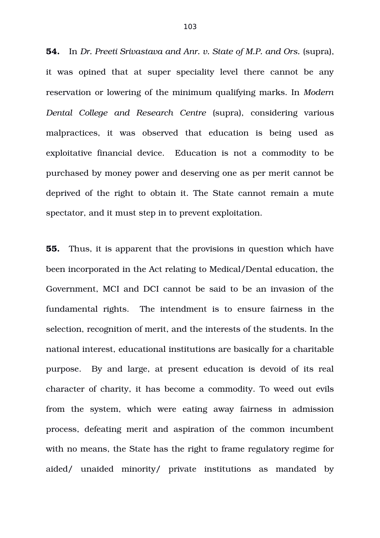**54.** In *Dr. Preeti Srivastava and Anr. v. State of M.P. and Ors.* (supra), it was opined that at super speciality level there cannot be any reservation or lowering of the minimum qualifying marks. In *Modern Dental College and Research Centre* (supra), considering various malpractices, it was observed that education is being used as exploitative financial device. Education is not a commodity to be purchased by money power and deserving one as per merit cannot be deprived of the right to obtain it. The State cannot remain a mute spectator, and it must step in to prevent exploitation.

**55.** Thus, it is apparent that the provisions in question which have been incorporated in the Act relating to Medical/Dental education, the Government, MCI and DCI cannot be said to be an invasion of the fundamental rights. The intendment is to ensure fairness in the selection, recognition of merit, and the interests of the students. In the national interest, educational institutions are basically for a charitable purpose. By and large, at present education is devoid of its real character of charity, it has become a commodity. To weed out evils from the system, which were eating away fairness in admission process, defeating merit and aspiration of the common incumbent with no means, the State has the right to frame regulatory regime for aided/ unaided minority/ private institutions as mandated by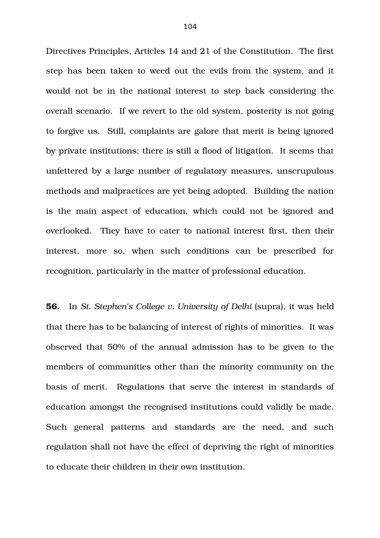Directives Principles, Articles 14 and 21 of the Constitution. The first step has been taken to weed out the evils from the system, and it would not be in the national interest to step back considering the overall scenario. If we revert to the old system, posterity is not going to forgive us. Still, complaints are galore that merit is being ignored by private institutions; there is still a flood of litigation. It seems that unfettered by a large number of regulatory measures, unscrupulous methods and malpractices are yet being adopted. Building the nation is the main aspect of education, which could not be ignored and overlooked. They have to cater to national interest first, then their interest, more so, when such conditions can be prescribed for recognition, particularly in the matter of professional education.

**56.** In *St. Stephen's College v. University of Delhi* (supra), it was held that there has to be balancing of interest of rights of minorities. It was observed that 50% of the annual admission has to be given to the members of communities other than the minority community on the basis of merit. Regulations that serve the interest in standards of education amongst the recognised institutions could validly be made. Such general patterns and standards are the need, and such regulation shall not have the effect of depriving the right of minorities to educate their children in their own institution.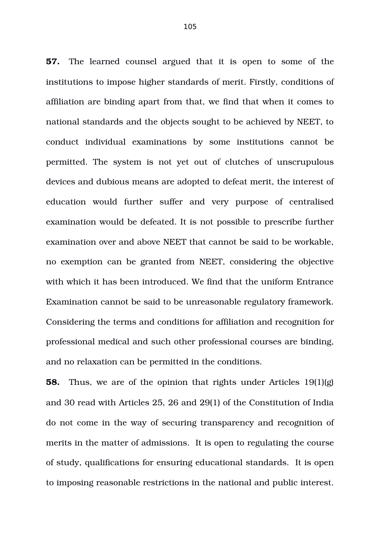**57.** The learned counsel argued that it is open to some of the institutions to impose higher standards of merit. Firstly, conditions of affiliation are binding apart from that, we find that when it comes to national standards and the objects sought to be achieved by NEET, to conduct individual examinations by some institutions cannot be permitted. The system is not yet out of clutches of unscrupulous devices and dubious means are adopted to defeat merit, the interest of education would further suffer and very purpose of centralised examination would be defeated. It is not possible to prescribe further examination over and above NEET that cannot be said to be workable, no exemption can be granted from NEET, considering the objective with which it has been introduced. We find that the uniform Entrance Examination cannot be said to be unreasonable regulatory framework. Considering the terms and conditions for affiliation and recognition for professional medical and such other professional courses are binding, and no relaxation can be permitted in the conditions.

**58.** Thus, we are of the opinion that rights under Articles 19(1)(g) and 30 read with Articles 25, 26 and 29(1) of the Constitution of India do not come in the way of securing transparency and recognition of merits in the matter of admissions. It is open to regulating the course of study, qualifications for ensuring educational standards. It is open to imposing reasonable restrictions in the national and public interest.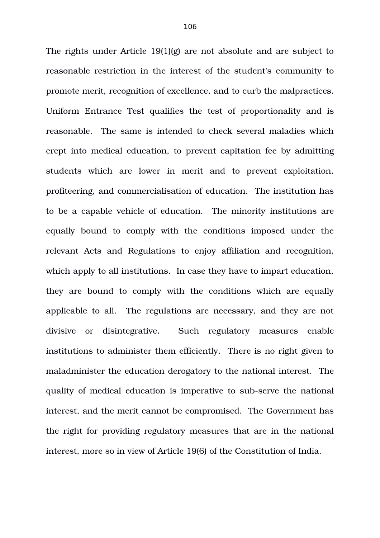The rights under Article 19(1)(g) are not absolute and are subject to reasonable restriction in the interest of the student's community to promote merit, recognition of excellence, and to curb the malpractices. Uniform Entrance Test qualifies the test of proportionality and is reasonable. The same is intended to check several maladies which crept into medical education, to prevent capitation fee by admitting students which are lower in merit and to prevent exploitation, profiteering, and commercialisation of education. The institution has to be a capable vehicle of education. The minority institutions are equally bound to comply with the conditions imposed under the relevant Acts and Regulations to enjoy affiliation and recognition, which apply to all institutions. In case they have to impart education, they are bound to comply with the conditions which are equally applicable to all. The regulations are necessary, and they are not divisive or disintegrative. Such regulatory measures enable institutions to administer them efficiently. There is no right given to maladminister the education derogatory to the national interest. The quality of medical education is imperative to sub-serve the national interest, and the merit cannot be compromised. The Government has the right for providing regulatory measures that are in the national interest, more so in view of Article 19(6) of the Constitution of India.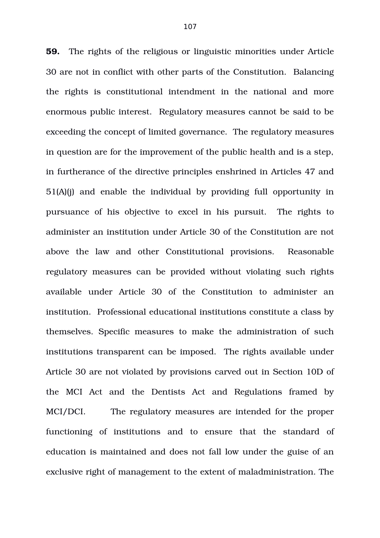**59.** The rights of the religious or linguistic minorities under Article 30 are not in conflict with other parts of the Constitution. Balancing the rights is constitutional intendment in the national and more enormous public interest. Regulatory measures cannot be said to be exceeding the concept of limited governance. The regulatory measures in question are for the improvement of the public health and is a step, in furtherance of the directive principles enshrined in Articles 47 and 51(A)(j) and enable the individual by providing full opportunity in pursuance of his objective to excel in his pursuit. The rights to administer an institution under Article 30 of the Constitution are not above the law and other Constitutional provisions. Reasonable regulatory measures can be provided without violating such rights available under Article 30 of the Constitution to administer an institution. Professional educational institutions constitute a class by themselves. Specific measures to make the administration of such institutions transparent can be imposed. The rights available under Article 30 are not violated by provisions carved out in Section 10D of the MCI Act and the Dentists Act and Regulations framed by MCI/DCI. The regulatory measures are intended for the proper functioning of institutions and to ensure that the standard of education is maintained and does not fall low under the guise of an exclusive right of management to the extent of maladministration. The